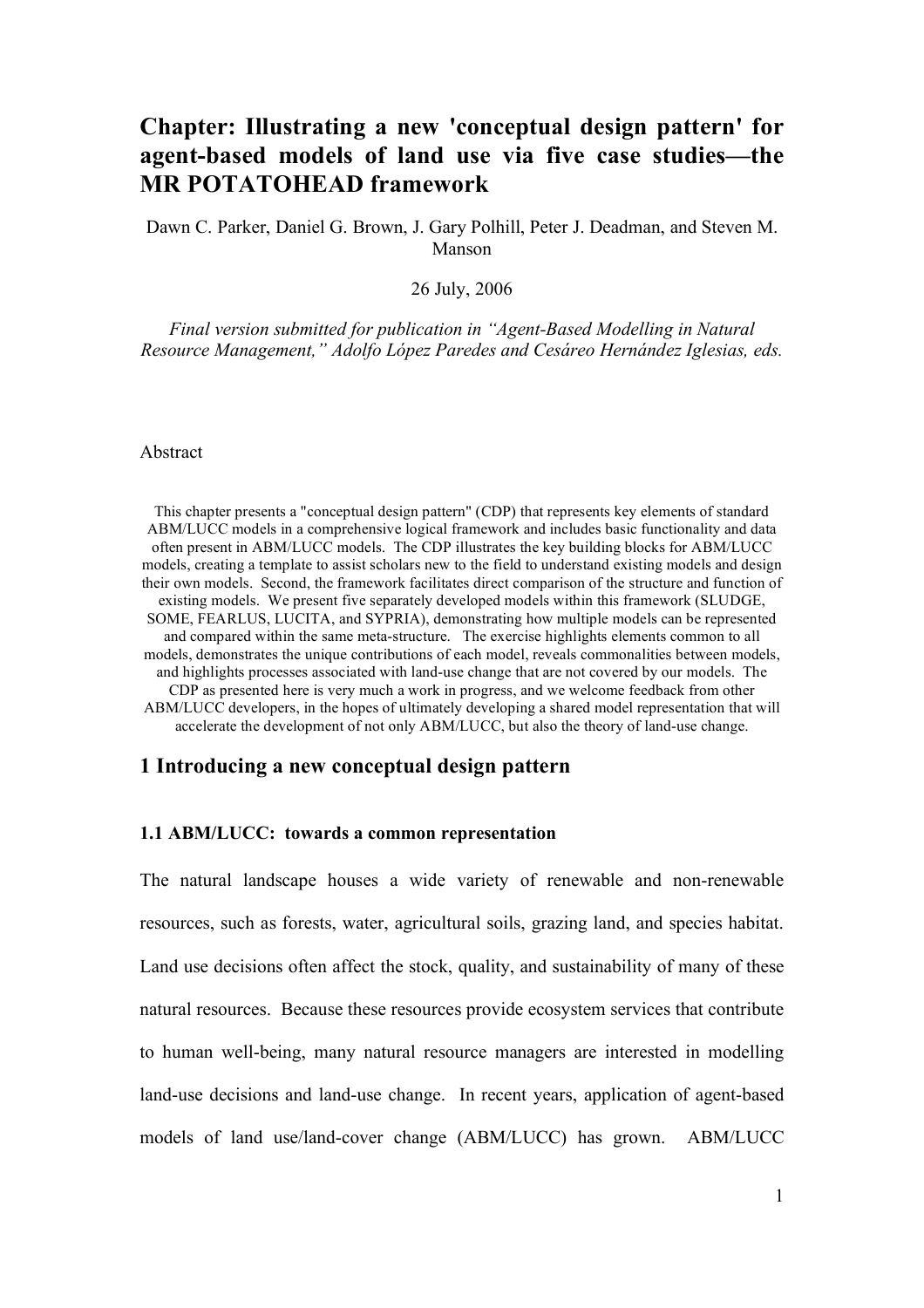## **Chapter: Illustrating a new 'conceptual design pattern' for agent-based models of land use via five case studies—the MR POTATOHEAD framework**

Dawn C. Parker, Daniel G. Brown, J. Gary Polhill, Peter J. Deadman, and Steven M. Manson

26 July, 2006

*Final version submitted for publication in "Agent-Based Modelling in Natural Resource Management," Adolfo López Paredes and Cesáreo Hernández Iglesias, eds.*

#### Abstract

This chapter presents a "conceptual design pattern" (CDP) that represents key elements of standard ABM/LUCC models in a comprehensive logical framework and includes basic functionality and data often present in ABM/LUCC models. The CDP illustrates the key building blocks for ABM/LUCC models, creating a template to assist scholars new to the field to understand existing models and design their own models. Second, the framework facilitates direct comparison of the structure and function of existing models. We present five separately developed models within this framework (SLUDGE, SOME, FEARLUS, LUCITA, and SYPRIA), demonstrating how multiple models can be represented and compared within the same meta-structure. The exercise highlights elements common to all models, demonstrates the unique contributions of each model, reveals commonalities between models, and highlights processes associated with land-use change that are not covered by our models. The CDP as presented here is very much a work in progress, and we welcome feedback from other ABM/LUCC developers, in the hopes of ultimately developing a shared model representation that will accelerate the development of not only ABM/LUCC, but also the theory of land-use change.

#### **1 Introducing a new conceptual design pattern**

## **1.1 ABM/LUCC: towards a common representation**

The natural landscape houses a wide variety of renewable and non-renewable resources, such as forests, water, agricultural soils, grazing land, and species habitat. Land use decisions often affect the stock, quality, and sustainability of many of these natural resources. Because these resources provide ecosystem services that contribute to human well-being, many natural resource managers are interested in modelling land-use decisions and land-use change. In recent years, application of agent-based models of land use/land-cover change (ABM/LUCC) has grown. ABM/LUCC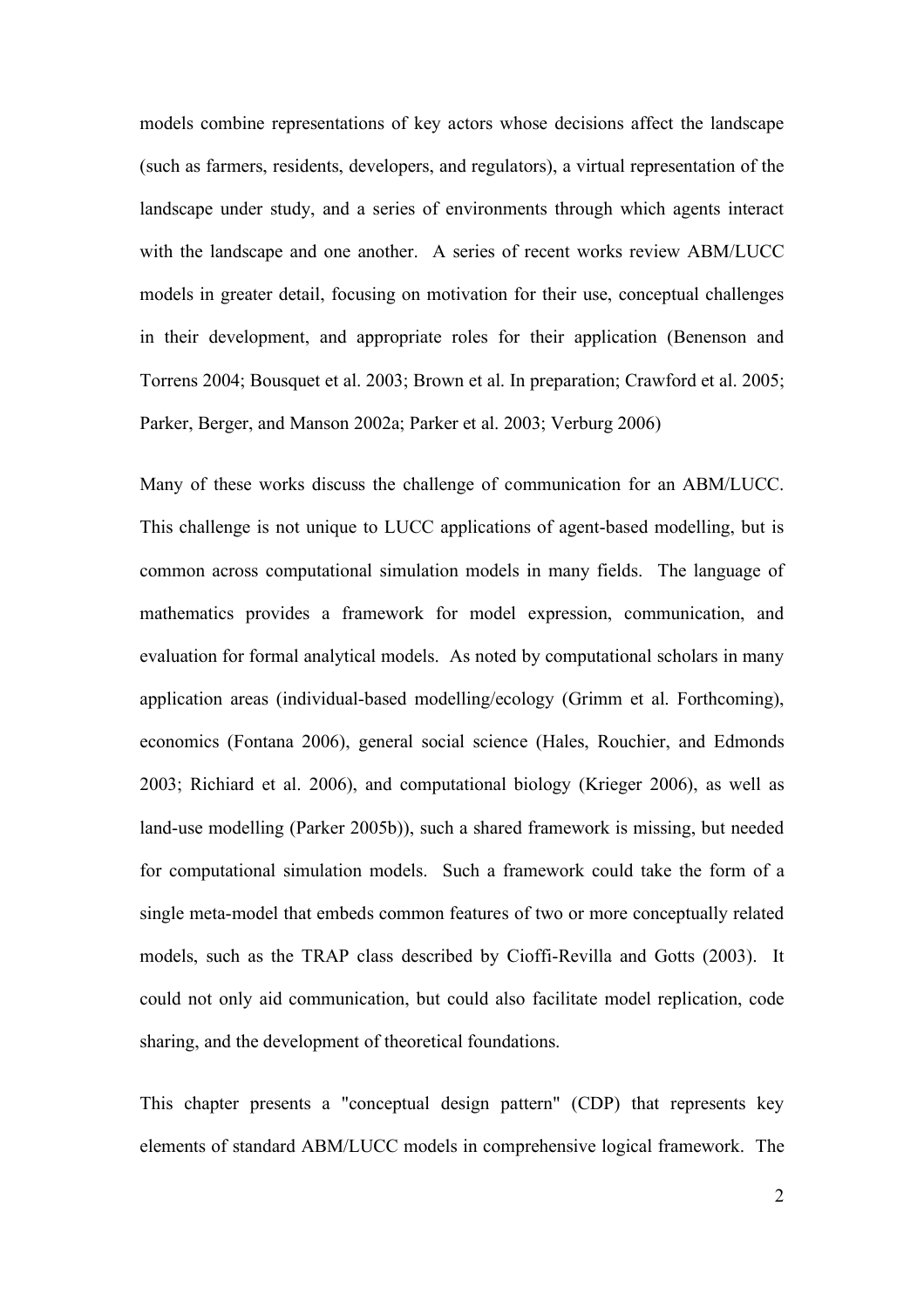models combine representations of key actors whose decisions affect the landscape (such as farmers, residents, developers, and regulators), a virtual representation of the landscape under study, and a series of environments through which agents interact with the landscape and one another. A series of recent works review ABM/LUCC models in greater detail, focusing on motivation for their use, conceptual challenges in their development, and appropriate roles for their application (Benenson and Torrens 2004; Bousquet et al. 2003; Brown et al. In preparation; Crawford et al. 2005; Parker, Berger, and Manson 2002a; Parker et al. 2003; Verburg 2006)

Many of these works discuss the challenge of communication for an ABM/LUCC. This challenge is not unique to LUCC applications of agent-based modelling, but is common across computational simulation models in many fields. The language of mathematics provides a framework for model expression, communication, and evaluation for formal analytical models. As noted by computational scholars in many application areas (individual-based modelling/ecology (Grimm et al. Forthcoming), economics (Fontana 2006), general social science (Hales, Rouchier, and Edmonds 2003; Richiard et al. 2006), and computational biology (Krieger 2006), as well as land-use modelling (Parker 2005b)), such a shared framework is missing, but needed for computational simulation models. Such a framework could take the form of a single meta-model that embeds common features of two or more conceptually related models, such as the TRAP class described by Cioffi-Revilla and Gotts (2003). It could not only aid communication, but could also facilitate model replication, code sharing, and the development of theoretical foundations.

This chapter presents a "conceptual design pattern" (CDP) that represents key elements of standard ABM/LUCC models in comprehensive logical framework. The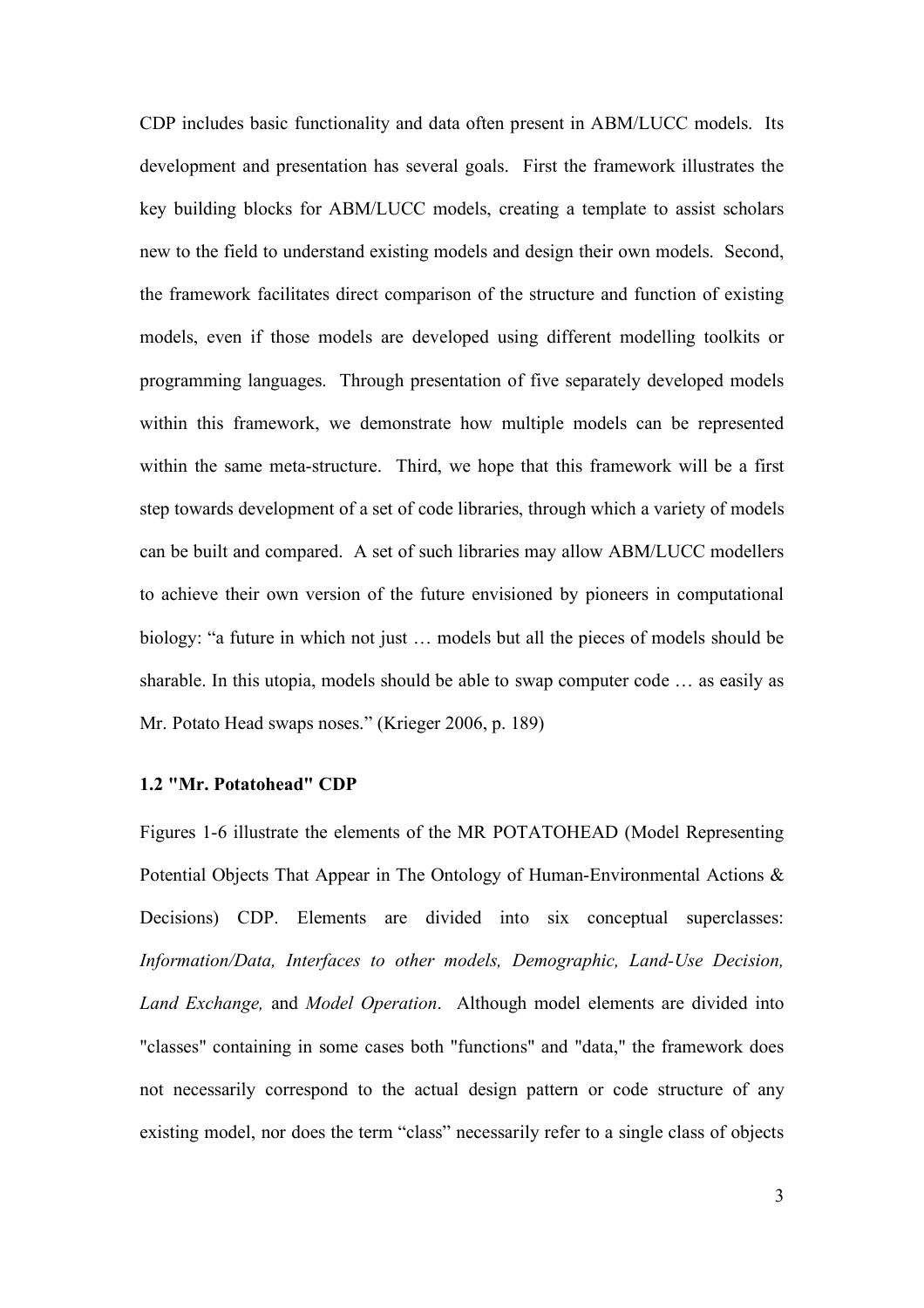CDP includes basic functionality and data often present in ABM/LUCC models. Its development and presentation has several goals. First the framework illustrates the key building blocks for ABM/LUCC models, creating a template to assist scholars new to the field to understand existing models and design their own models. Second, the framework facilitates direct comparison of the structure and function of existing models, even if those models are developed using different modelling toolkits or programming languages. Through presentation of five separately developed models within this framework, we demonstrate how multiple models can be represented within the same meta-structure. Third, we hope that this framework will be a first step towards development of a set of code libraries, through which a variety of models can be built and compared. A set of such libraries may allow ABM/LUCC modellers to achieve their own version of the future envisioned by pioneers in computational biology: "a future in which not just … models but all the pieces of models should be sharable. In this utopia, models should be able to swap computer code … as easily as Mr. Potato Head swaps noses." (Krieger 2006, p. 189)

#### **1.2 "Mr. Potatohead" CDP**

Figures 1-6 illustrate the elements of the MR POTATOHEAD (Model Representing Potential Objects That Appear in The Ontology of Human-Environmental Actions & Decisions) CDP. Elements are divided into six conceptual superclasses: *Information/Data, Interfaces to other models, Demographic, Land-Use Decision, Land Exchange,* and *Model Operation*. Although model elements are divided into "classes" containing in some cases both "functions" and "data," the framework does not necessarily correspond to the actual design pattern or code structure of any existing model, nor does the term "class" necessarily refer to a single class of objects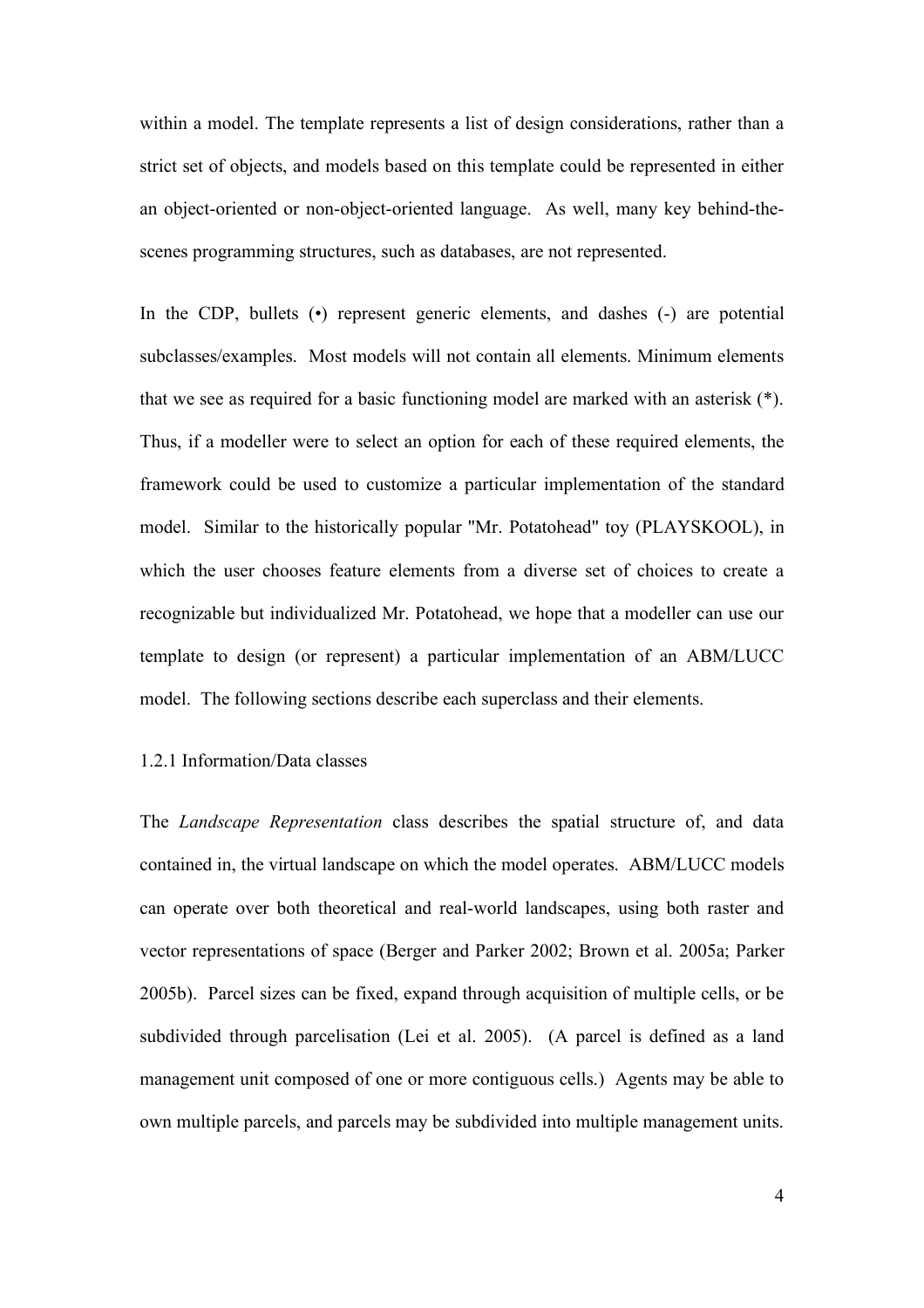within a model. The template represents a list of design considerations, rather than a strict set of objects, and models based on this template could be represented in either an object-oriented or non-object-oriented language. As well, many key behind-thescenes programming structures, such as databases, are not represented.

In the CDP, bullets (•) represent generic elements, and dashes (-) are potential subclasses/examples. Most models will not contain all elements. Minimum elements that we see as required for a basic functioning model are marked with an asterisk (\*). Thus, if a modeller were to select an option for each of these required elements, the framework could be used to customize a particular implementation of the standard model. Similar to the historically popular "Mr. Potatohead" toy (PLAYSKOOL), in which the user chooses feature elements from a diverse set of choices to create a recognizable but individualized Mr. Potatohead, we hope that a modeller can use our template to design (or represent) a particular implementation of an ABM/LUCC model. The following sections describe each superclass and their elements.

## 1.2.1 Information/Data classes

The *Landscape Representation* class describes the spatial structure of, and data contained in, the virtual landscape on which the model operates. ABM/LUCC models can operate over both theoretical and real-world landscapes, using both raster and vector representations of space (Berger and Parker 2002; Brown et al. 2005a; Parker 2005b). Parcel sizes can be fixed, expand through acquisition of multiple cells, or be subdivided through parcelisation (Lei et al. 2005). (A parcel is defined as a land management unit composed of one or more contiguous cells.) Agents may be able to own multiple parcels, and parcels may be subdivided into multiple management units.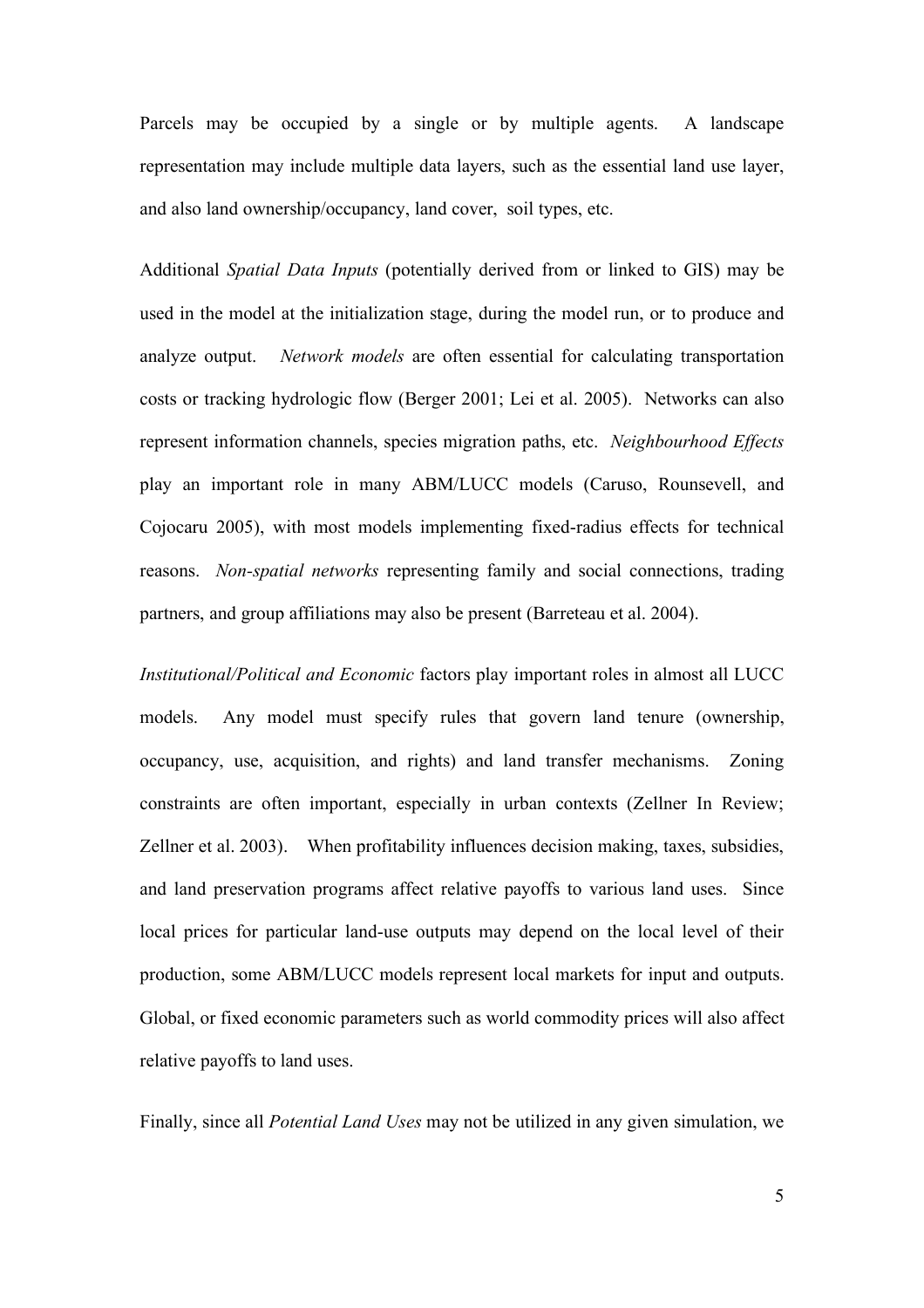Parcels may be occupied by a single or by multiple agents. A landscape representation may include multiple data layers, such as the essential land use layer, and also land ownership/occupancy, land cover, soil types, etc.

Additional *Spatial Data Inputs* (potentially derived from or linked to GIS) may be used in the model at the initialization stage, during the model run, or to produce and analyze output. *Network models* are often essential for calculating transportation costs or tracking hydrologic flow (Berger 2001; Lei et al. 2005). Networks can also represent information channels, species migration paths, etc. *Neighbourhood Effects* play an important role in many ABM/LUCC models (Caruso, Rounsevell, and Cojocaru 2005), with most models implementing fixed-radius effects for technical reasons. *Non-spatial networks* representing family and social connections, trading partners, and group affiliations may also be present (Barreteau et al. 2004).

*Institutional/Political and Economic* factors play important roles in almost all LUCC models. Any model must specify rules that govern land tenure (ownership, occupancy, use, acquisition, and rights) and land transfer mechanisms. Zoning constraints are often important, especially in urban contexts (Zellner In Review; Zellner et al. 2003). When profitability influences decision making, taxes, subsidies, and land preservation programs affect relative payoffs to various land uses. Since local prices for particular land-use outputs may depend on the local level of their production, some ABM/LUCC models represent local markets for input and outputs. Global, or fixed economic parameters such as world commodity prices will also affect relative payoffs to land uses.

Finally, since all *Potential Land Uses* may not be utilized in any given simulation, we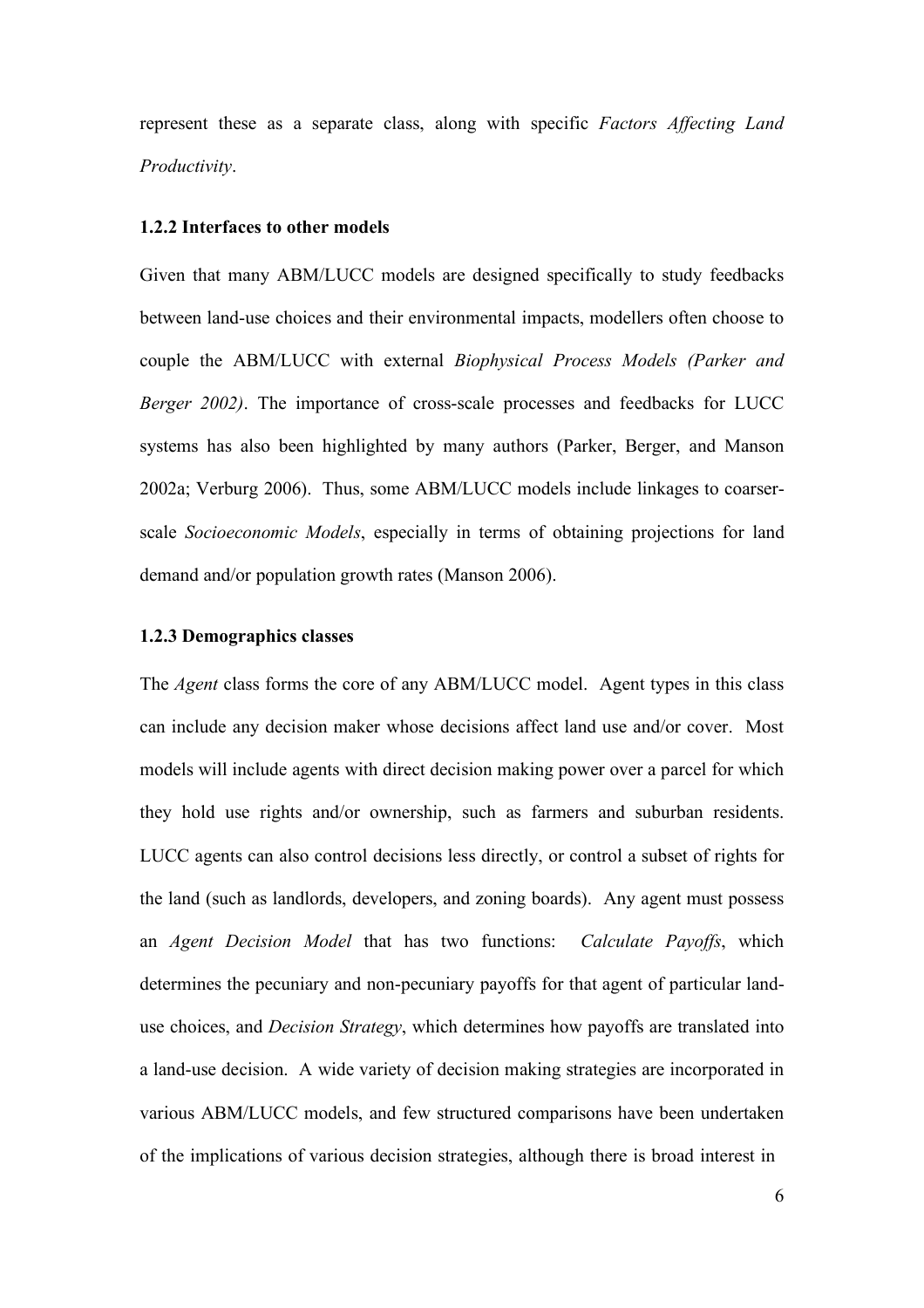represent these as a separate class, along with specific *Factors Affecting Land Productivity*.

#### **1.2.2 Interfaces to other models**

Given that many ABM/LUCC models are designed specifically to study feedbacks between land-use choices and their environmental impacts, modellers often choose to couple the ABM/LUCC with external *Biophysical Process Models (Parker and Berger 2002)*. The importance of cross-scale processes and feedbacks for LUCC systems has also been highlighted by many authors (Parker, Berger, and Manson 2002a; Verburg 2006). Thus, some ABM/LUCC models include linkages to coarserscale *Socioeconomic Models*, especially in terms of obtaining projections for land demand and/or population growth rates (Manson 2006).

#### **1.2.3 Demographics classes**

The *Agent* class forms the core of any ABM/LUCC model. Agent types in this class can include any decision maker whose decisions affect land use and/or cover. Most models will include agents with direct decision making power over a parcel for which they hold use rights and/or ownership, such as farmers and suburban residents. LUCC agents can also control decisions less directly, or control a subset of rights for the land (such as landlords, developers, and zoning boards). Any agent must possess an *Agent Decision Model* that has two functions: *Calculate Payoffs*, which determines the pecuniary and non-pecuniary payoffs for that agent of particular landuse choices, and *Decision Strategy*, which determines how payoffs are translated into a land-use decision. A wide variety of decision making strategies are incorporated in various ABM/LUCC models, and few structured comparisons have been undertaken of the implications of various decision strategies, although there is broad interest in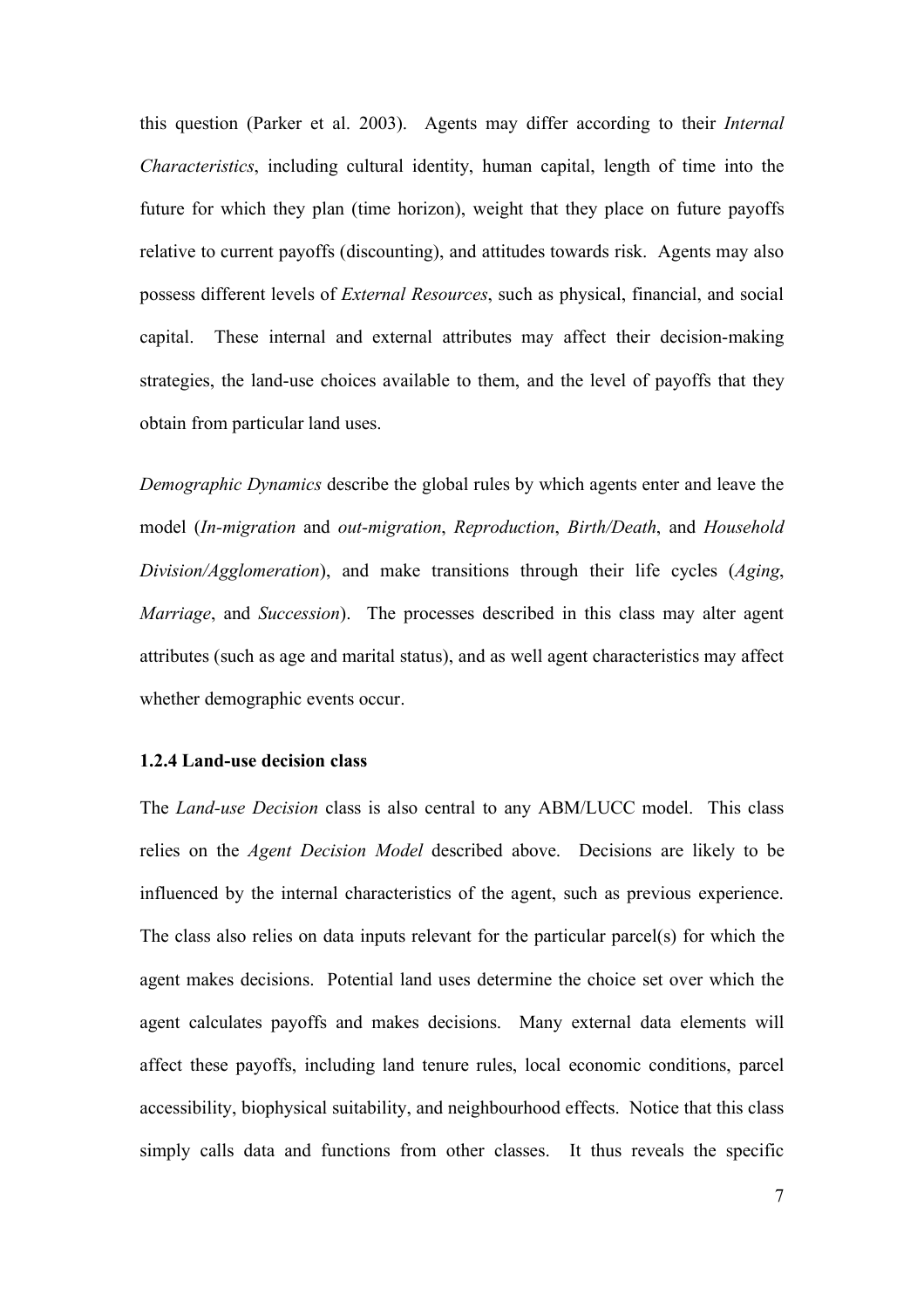this question (Parker et al. 2003). Agents may differ according to their *Internal Characteristics*, including cultural identity, human capital, length of time into the future for which they plan (time horizon), weight that they place on future payoffs relative to current payoffs (discounting), and attitudes towards risk. Agents may also possess different levels of *External Resources*, such as physical, financial, and social capital. These internal and external attributes may affect their decision-making strategies, the land-use choices available to them, and the level of payoffs that they obtain from particular land uses.

*Demographic Dynamics* describe the global rules by which agents enter and leave the model (*In-migration* and *out-migration*, *Reproduction*, *Birth/Death*, and *Household Division/Agglomeration*), and make transitions through their life cycles (*Aging*, *Marriage*, and *Succession*). The processes described in this class may alter agent attributes (such as age and marital status), and as well agent characteristics may affect whether demographic events occur.

## **1.2.4 Land-use decision class**

The *Land-use Decision* class is also central to any ABM/LUCC model. This class relies on the *Agent Decision Model* described above. Decisions are likely to be influenced by the internal characteristics of the agent, such as previous experience. The class also relies on data inputs relevant for the particular parcel(s) for which the agent makes decisions. Potential land uses determine the choice set over which the agent calculates payoffs and makes decisions. Many external data elements will affect these payoffs, including land tenure rules, local economic conditions, parcel accessibility, biophysical suitability, and neighbourhood effects. Notice that this class simply calls data and functions from other classes. It thus reveals the specific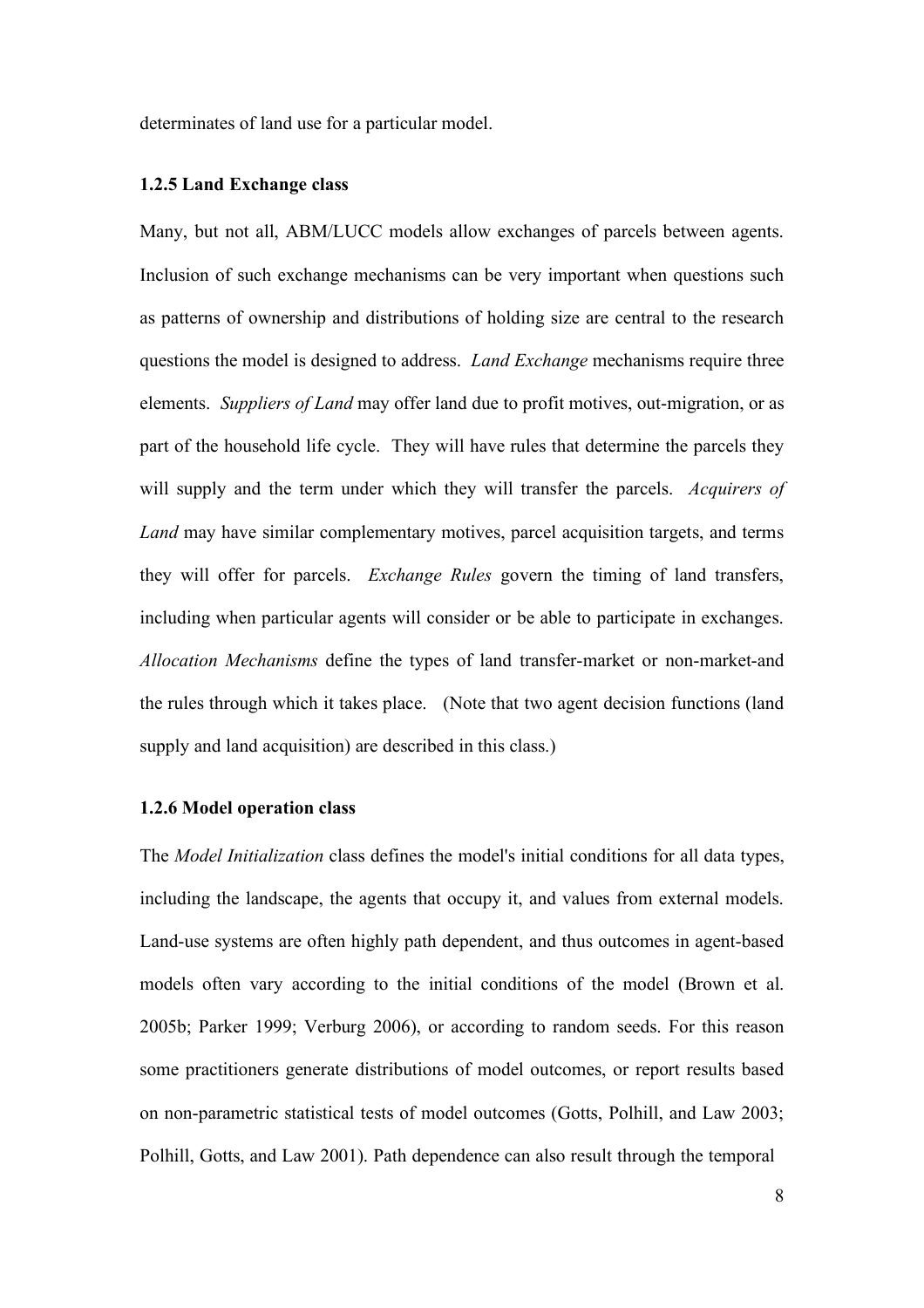determinates of land use for a particular model.

## **1.2.5 Land Exchange class**

Many, but not all, ABM/LUCC models allow exchanges of parcels between agents. Inclusion of such exchange mechanisms can be very important when questions such as patterns of ownership and distributions of holding size are central to the research questions the model is designed to address. *Land Exchange* mechanisms require three elements. *Suppliers of Land* may offer land due to profit motives, out-migration, or as part of the household life cycle. They will have rules that determine the parcels they will supply and the term under which they will transfer the parcels. *Acquirers of Land* may have similar complementary motives, parcel acquisition targets, and terms they will offer for parcels. *Exchange Rules* govern the timing of land transfers, including when particular agents will consider or be able to participate in exchanges. *Allocation Mechanisms* define the types of land transfer-market or non-market-and the rules through which it takes place. (Note that two agent decision functions (land supply and land acquisition) are described in this class.)

## **1.2.6 Model operation class**

The *Model Initialization* class defines the model's initial conditions for all data types, including the landscape, the agents that occupy it, and values from external models. Land-use systems are often highly path dependent, and thus outcomes in agent-based models often vary according to the initial conditions of the model (Brown et al. 2005b; Parker 1999; Verburg 2006), or according to random seeds. For this reason some practitioners generate distributions of model outcomes, or report results based on non-parametric statistical tests of model outcomes (Gotts, Polhill, and Law 2003; Polhill, Gotts, and Law 2001). Path dependence can also result through the temporal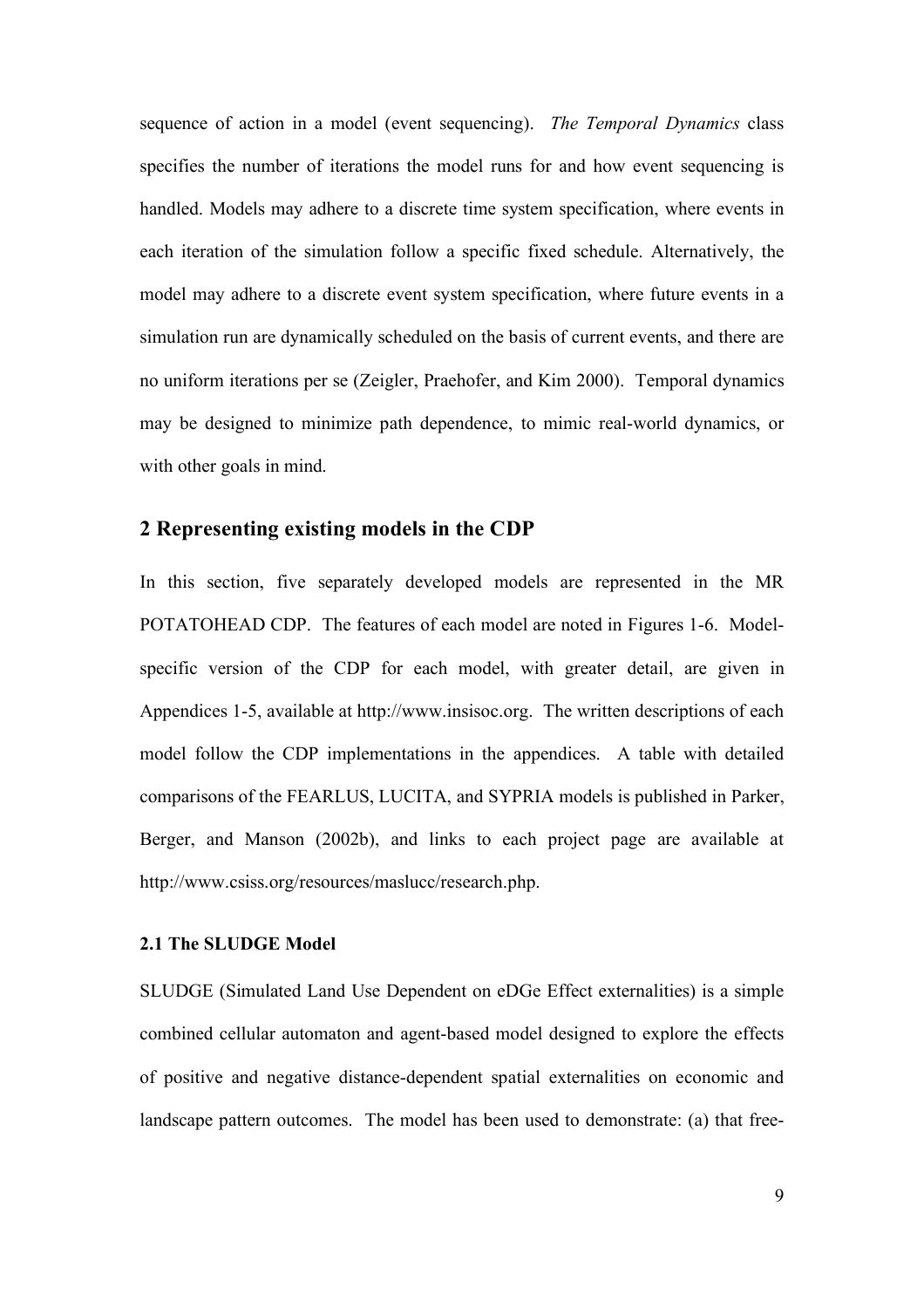sequence of action in a model (event sequencing). *The Temporal Dynamics* class specifies the number of iterations the model runs for and how event sequencing is handled. Models may adhere to a discrete time system specification, where events in each iteration of the simulation follow a specific fixed schedule. Alternatively, the model may adhere to a discrete event system specification, where future events in a simulation run are dynamically scheduled on the basis of current events, and there are no uniform iterations per se (Zeigler, Praehofer, and Kim 2000). Temporal dynamics may be designed to minimize path dependence, to mimic real-world dynamics, or with other goals in mind.

## **2 Representing existing models in the CDP**

In this section, five separately developed models are represented in the MR POTATOHEAD CDP. The features of each model are noted in Figures 1-6. Modelspecific version of the CDP for each model, with greater detail, are given in Appendices 1-5, available at http://www.insisoc.org. The written descriptions of each model follow the CDP implementations in the appendices. A table with detailed comparisons of the FEARLUS, LUCITA, and SYPRIA models is published in Parker, Berger, and Manson (2002b), and links to each project page are available at http://www.csiss.org/resources/maslucc/research.php.

## **2.1 The SLUDGE Model**

SLUDGE (Simulated Land Use Dependent on eDGe Effect externalities) is a simple combined cellular automaton and agent-based model designed to explore the effects of positive and negative distance-dependent spatial externalities on economic and landscape pattern outcomes. The model has been used to demonstrate: (a) that free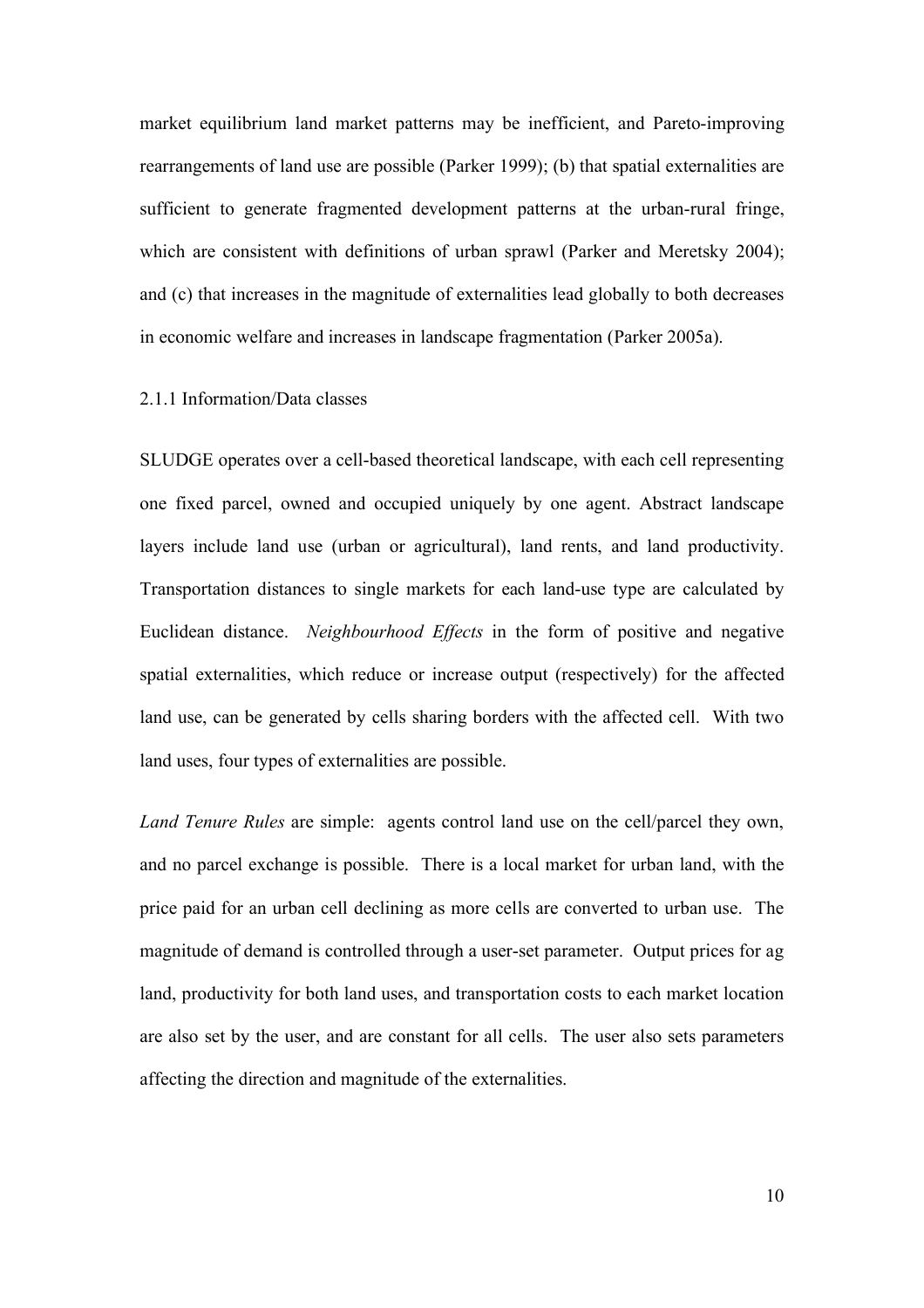market equilibrium land market patterns may be inefficient, and Pareto-improving rearrangements of land use are possible (Parker 1999); (b) that spatial externalities are sufficient to generate fragmented development patterns at the urban-rural fringe, which are consistent with definitions of urban sprawl (Parker and Meretsky 2004); and (c) that increases in the magnitude of externalities lead globally to both decreases in economic welfare and increases in landscape fragmentation (Parker 2005a).

## 2.1.1 Information/Data classes

SLUDGE operates over a cell-based theoretical landscape, with each cell representing one fixed parcel, owned and occupied uniquely by one agent. Abstract landscape layers include land use (urban or agricultural), land rents, and land productivity. Transportation distances to single markets for each land-use type are calculated by Euclidean distance. *Neighbourhood Effects* in the form of positive and negative spatial externalities, which reduce or increase output (respectively) for the affected land use, can be generated by cells sharing borders with the affected cell. With two land uses, four types of externalities are possible.

*Land Tenure Rules* are simple: agents control land use on the cell/parcel they own, and no parcel exchange is possible. There is a local market for urban land, with the price paid for an urban cell declining as more cells are converted to urban use. The magnitude of demand is controlled through a user-set parameter. Output prices for ag land, productivity for both land uses, and transportation costs to each market location are also set by the user, and are constant for all cells. The user also sets parameters affecting the direction and magnitude of the externalities.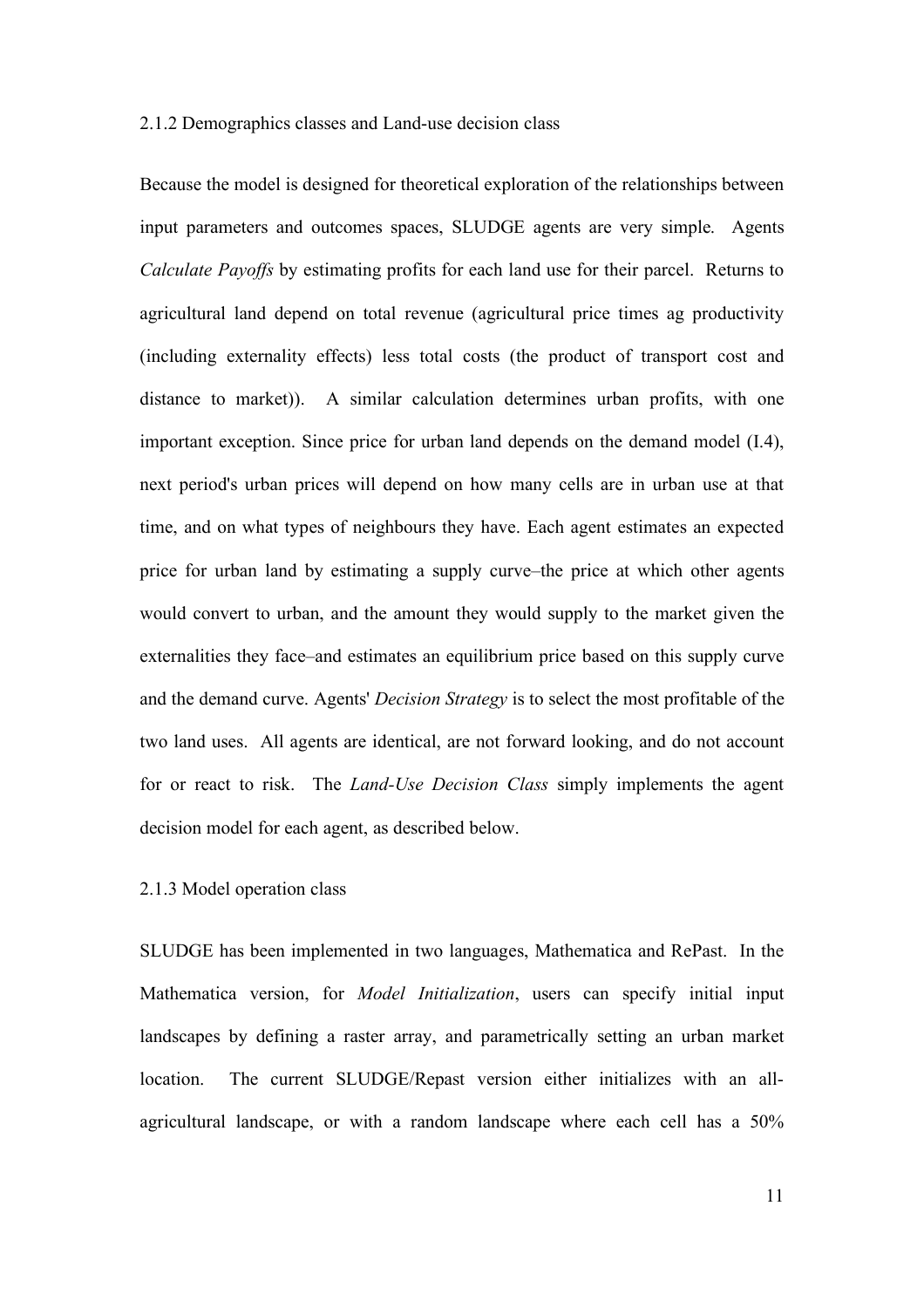#### 2.1.2 Demographics classes and Land-use decision class

Because the model is designed for theoretical exploration of the relationships between input parameters and outcomes spaces, SLUDGE agents are very simple. Agents *Calculate Payoffs* by estimating profits for each land use for their parcel. Returns to agricultural land depend on total revenue (agricultural price times ag productivity (including externality effects) less total costs (the product of transport cost and distance to market)). A similar calculation determines urban profits, with one important exception. Since price for urban land depends on the demand model (I.4), next period's urban prices will depend on how many cells are in urban use at that time, and on what types of neighbours they have. Each agent estimates an expected price for urban land by estimating a supply curve–the price at which other agents would convert to urban, and the amount they would supply to the market given the externalities they face–and estimates an equilibrium price based on this supply curve and the demand curve. Agents' *Decision Strategy* is to select the most profitable of the two land uses. All agents are identical, are not forward looking, and do not account for or react to risk. The *Land-Use Decision Class* simply implements the agent decision model for each agent, as described below.

## 2.1.3 Model operation class

SLUDGE has been implemented in two languages, Mathematica and RePast. In the Mathematica version, for *Model Initialization*, users can specify initial input landscapes by defining a raster array, and parametrically setting an urban market location. The current SLUDGE/Repast version either initializes with an allagricultural landscape, or with a random landscape where each cell has a 50%

11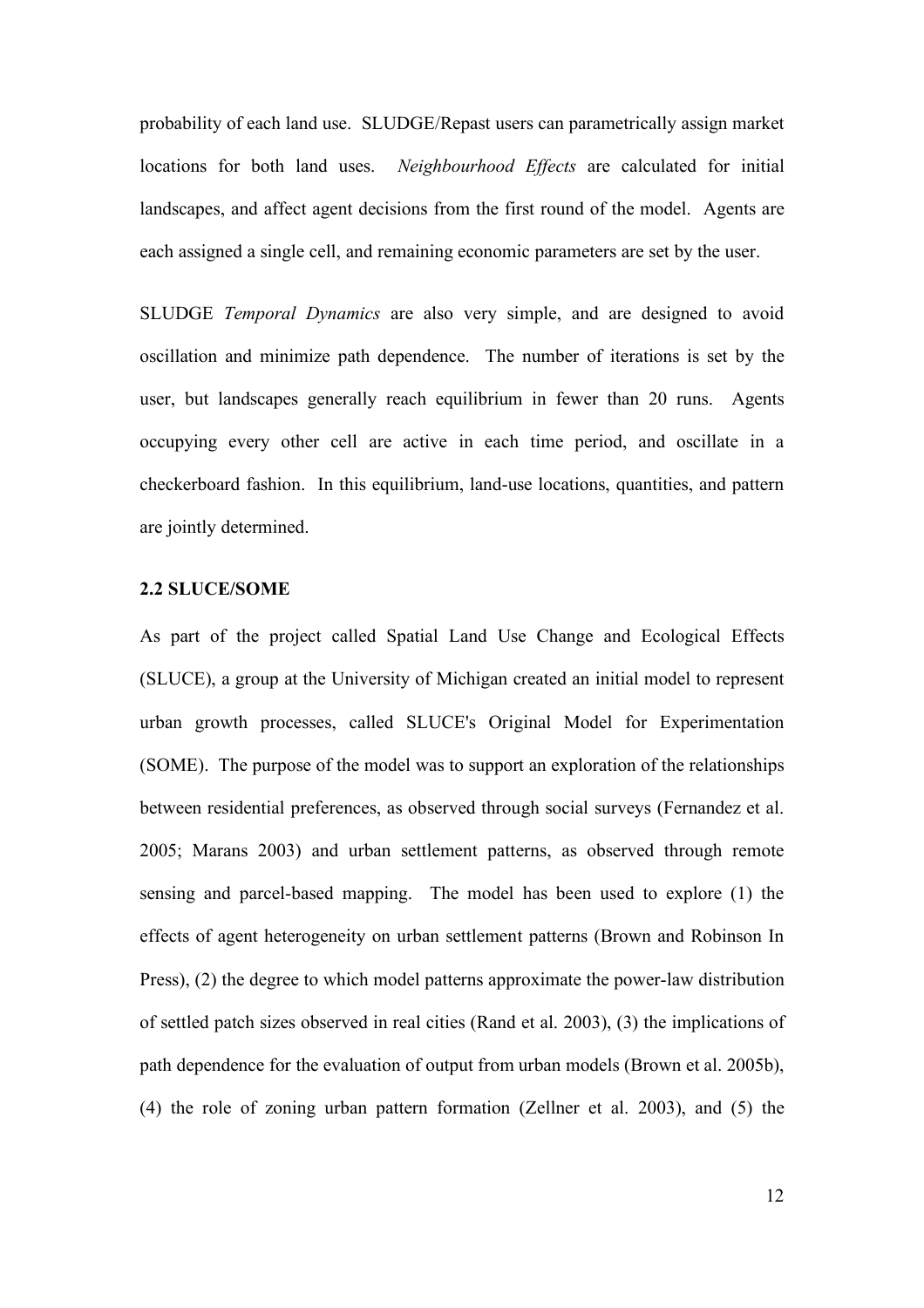probability of each land use. SLUDGE/Repast users can parametrically assign market locations for both land uses. *Neighbourhood Effects* are calculated for initial landscapes, and affect agent decisions from the first round of the model. Agents are each assigned a single cell, and remaining economic parameters are set by the user.

SLUDGE *Temporal Dynamics* are also very simple, and are designed to avoid oscillation and minimize path dependence. The number of iterations is set by the user, but landscapes generally reach equilibrium in fewer than 20 runs. Agents occupying every other cell are active in each time period, and oscillate in a checkerboard fashion. In this equilibrium, land-use locations, quantities, and pattern are jointly determined.

#### **2.2 SLUCE/SOME**

As part of the project called Spatial Land Use Change and Ecological Effects (SLUCE), a group at the University of Michigan created an initial model to represent urban growth processes, called SLUCE's Original Model for Experimentation (SOME). The purpose of the model was to support an exploration of the relationships between residential preferences, as observed through social surveys (Fernandez et al. 2005; Marans 2003) and urban settlement patterns, as observed through remote sensing and parcel-based mapping. The model has been used to explore (1) the effects of agent heterogeneity on urban settlement patterns (Brown and Robinson In Press), (2) the degree to which model patterns approximate the power-law distribution of settled patch sizes observed in real cities (Rand et al. 2003), (3) the implications of path dependence for the evaluation of output from urban models (Brown et al. 2005b), (4) the role of zoning urban pattern formation (Zellner et al. 2003), and (5) the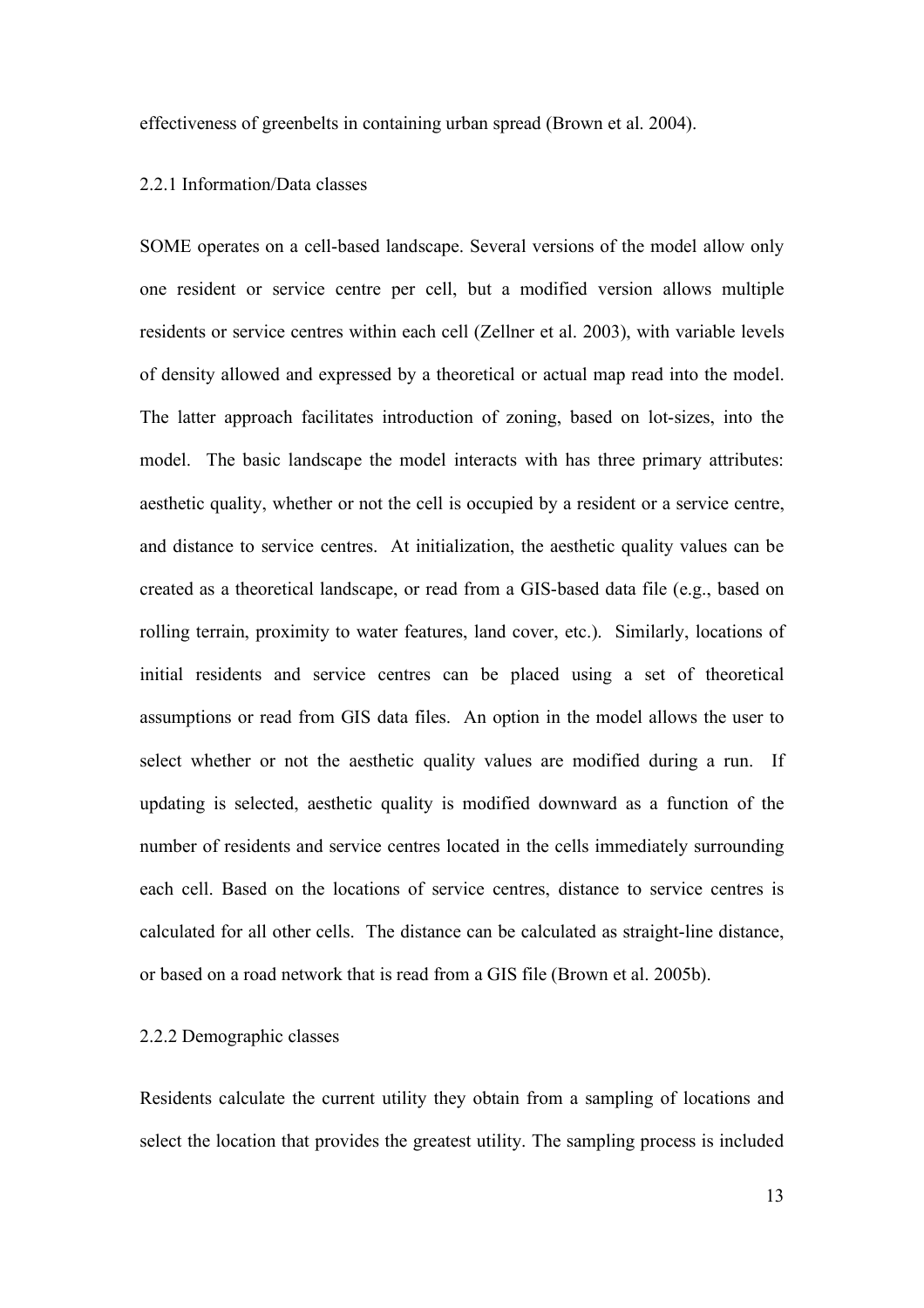effectiveness of greenbelts in containing urban spread (Brown et al. 2004).

## 2.2.1 Information/Data classes

SOME operates on a cell-based landscape. Several versions of the model allow only one resident or service centre per cell, but a modified version allows multiple residents or service centres within each cell (Zellner et al. 2003), with variable levels of density allowed and expressed by a theoretical or actual map read into the model. The latter approach facilitates introduction of zoning, based on lot-sizes, into the model. The basic landscape the model interacts with has three primary attributes: aesthetic quality, whether or not the cell is occupied by a resident or a service centre, and distance to service centres. At initialization, the aesthetic quality values can be created as a theoretical landscape, or read from a GIS-based data file (e.g., based on rolling terrain, proximity to water features, land cover, etc.). Similarly, locations of initial residents and service centres can be placed using a set of theoretical assumptions or read from GIS data files. An option in the model allows the user to select whether or not the aesthetic quality values are modified during a run. If updating is selected, aesthetic quality is modified downward as a function of the number of residents and service centres located in the cells immediately surrounding each cell. Based on the locations of service centres, distance to service centres is calculated for all other cells. The distance can be calculated as straight-line distance, or based on a road network that is read from a GIS file (Brown et al. 2005b).

## 2.2.2 Demographic classes

Residents calculate the current utility they obtain from a sampling of locations and select the location that provides the greatest utility. The sampling process is included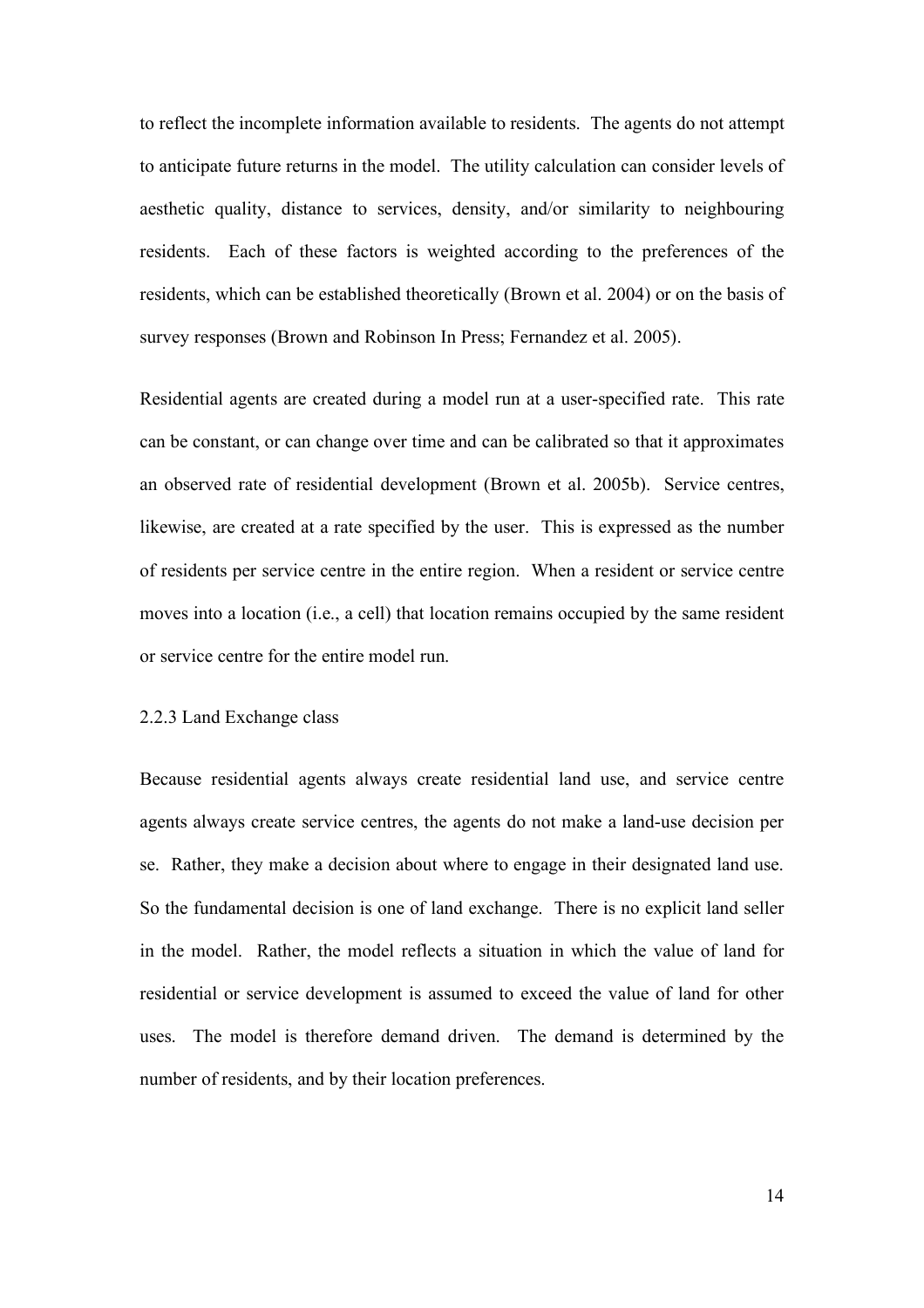to reflect the incomplete information available to residents. The agents do not attempt to anticipate future returns in the model. The utility calculation can consider levels of aesthetic quality, distance to services, density, and/or similarity to neighbouring residents. Each of these factors is weighted according to the preferences of the residents, which can be established theoretically (Brown et al. 2004) or on the basis of survey responses (Brown and Robinson In Press; Fernandez et al. 2005).

Residential agents are created during a model run at a user-specified rate. This rate can be constant, or can change over time and can be calibrated so that it approximates an observed rate of residential development (Brown et al. 2005b). Service centres, likewise, are created at a rate specified by the user. This is expressed as the number of residents per service centre in the entire region. When a resident or service centre moves into a location (i.e., a cell) that location remains occupied by the same resident or service centre for the entire model run.

## 2.2.3 Land Exchange class

Because residential agents always create residential land use, and service centre agents always create service centres, the agents do not make a land-use decision per se. Rather, they make a decision about where to engage in their designated land use. So the fundamental decision is one of land exchange. There is no explicit land seller in the model. Rather, the model reflects a situation in which the value of land for residential or service development is assumed to exceed the value of land for other uses. The model is therefore demand driven. The demand is determined by the number of residents, and by their location preferences.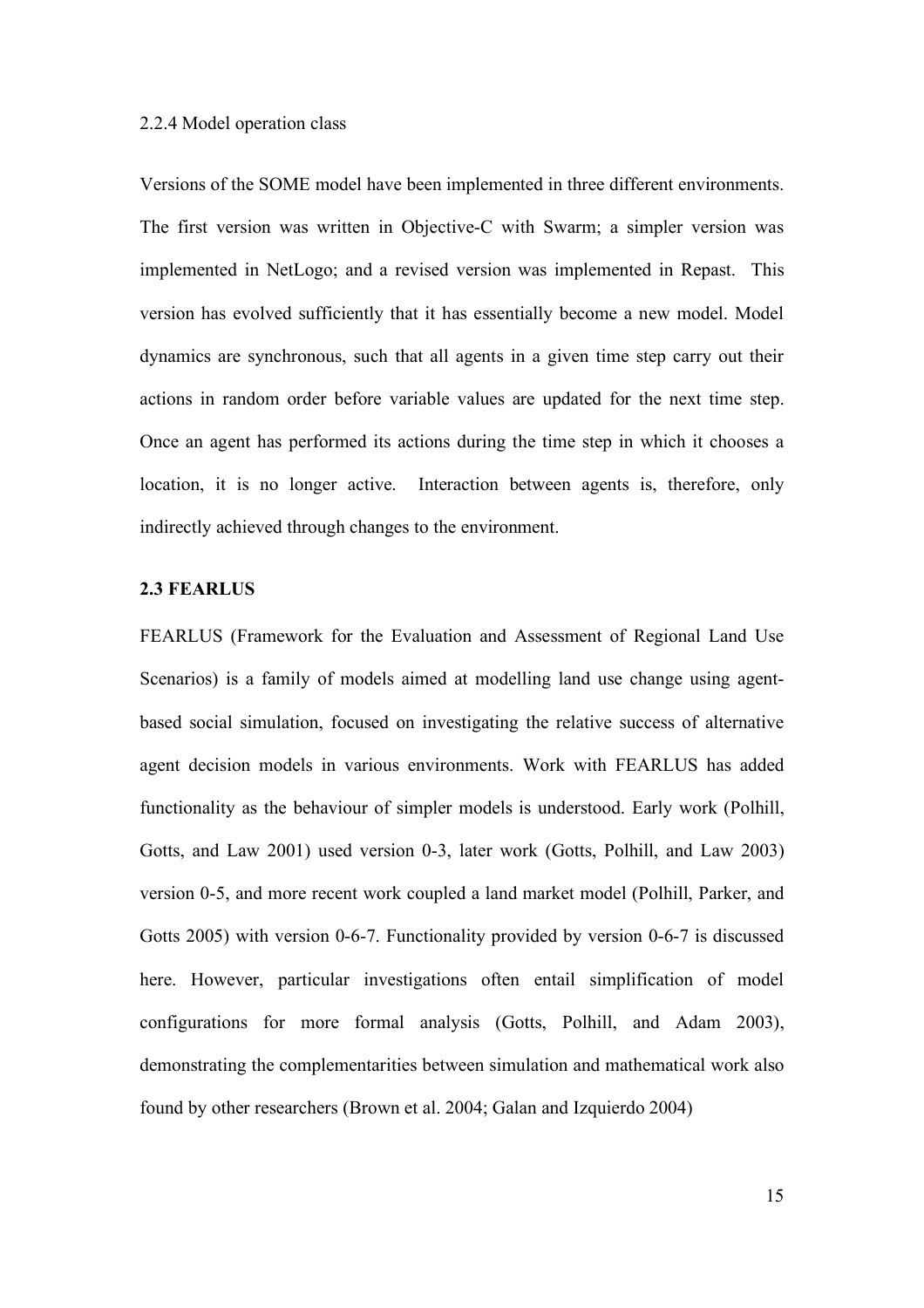#### 2.2.4 Model operation class

Versions of the SOME model have been implemented in three different environments. The first version was written in Objective-C with Swarm; a simpler version was implemented in NetLogo; and a revised version was implemented in Repast. This version has evolved sufficiently that it has essentially become a new model. Model dynamics are synchronous, such that all agents in a given time step carry out their actions in random order before variable values are updated for the next time step. Once an agent has performed its actions during the time step in which it chooses a location, it is no longer active. Interaction between agents is, therefore, only indirectly achieved through changes to the environment.

## **2.3 FEARLUS**

FEARLUS (Framework for the Evaluation and Assessment of Regional Land Use Scenarios) is a family of models aimed at modelling land use change using agentbased social simulation, focused on investigating the relative success of alternative agent decision models in various environments. Work with FEARLUS has added functionality as the behaviour of simpler models is understood. Early work (Polhill, Gotts, and Law 2001) used version 0-3, later work (Gotts, Polhill, and Law 2003) version 0-5, and more recent work coupled a land market model (Polhill, Parker, and Gotts 2005) with version 0-6-7. Functionality provided by version 0-6-7 is discussed here. However, particular investigations often entail simplification of model configurations for more formal analysis (Gotts, Polhill, and Adam 2003), demonstrating the complementarities between simulation and mathematical work also found by other researchers (Brown et al. 2004; Galan and Izquierdo 2004)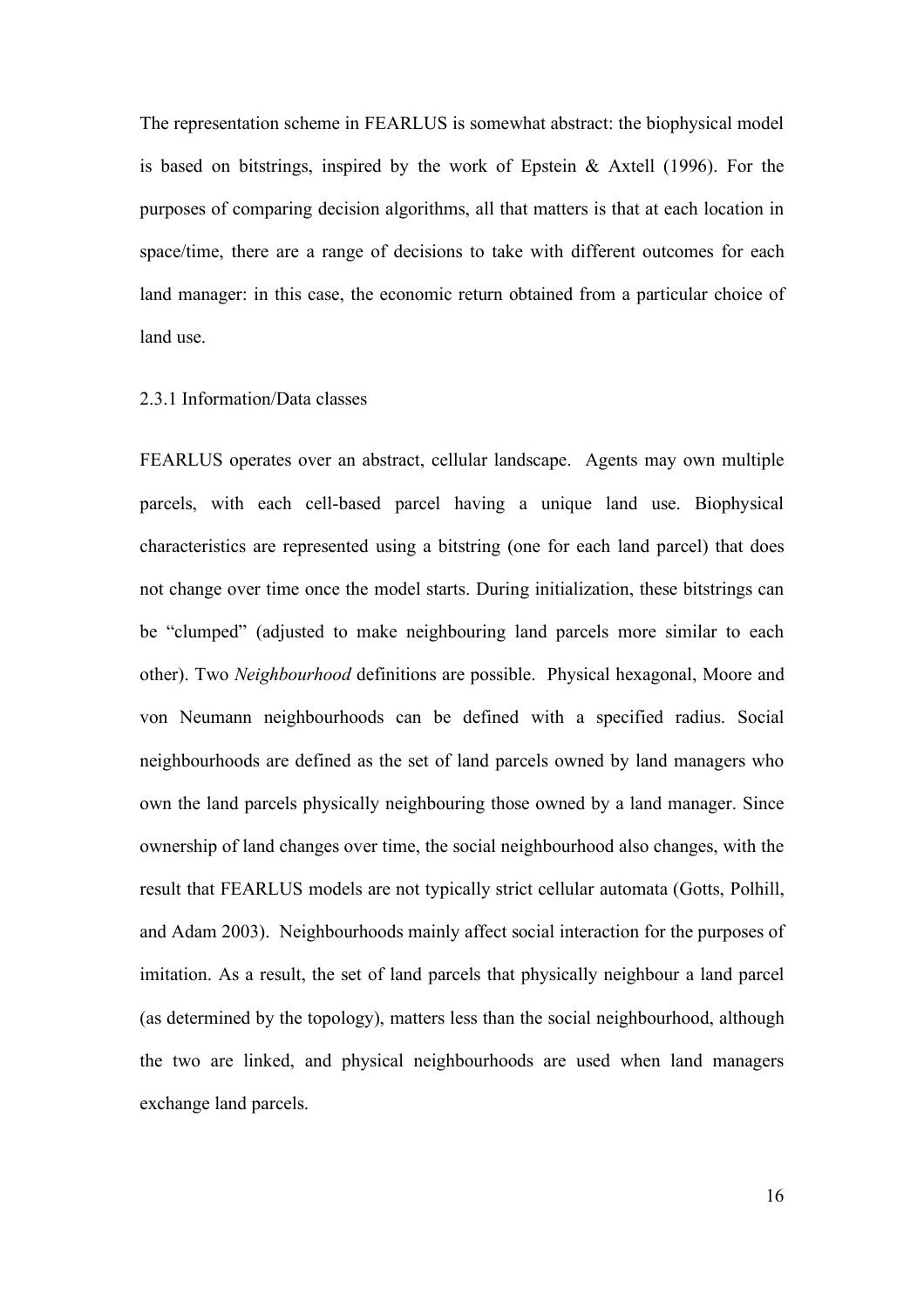The representation scheme in FEARLUS is somewhat abstract: the biophysical model is based on bitstrings, inspired by the work of Epstein  $\&$  Axtell (1996). For the purposes of comparing decision algorithms, all that matters is that at each location in space/time, there are a range of decisions to take with different outcomes for each land manager: in this case, the economic return obtained from a particular choice of land use.

## 2.3.1 Information/Data classes

FEARLUS operates over an abstract, cellular landscape. Agents may own multiple parcels, with each cell-based parcel having a unique land use. Biophysical characteristics are represented using a bitstring (one for each land parcel) that does not change over time once the model starts. During initialization, these bitstrings can be "clumped" (adjusted to make neighbouring land parcels more similar to each other). Two *Neighbourhood* definitions are possible. Physical hexagonal, Moore and von Neumann neighbourhoods can be defined with a specified radius. Social neighbourhoods are defined as the set of land parcels owned by land managers who own the land parcels physically neighbouring those owned by a land manager. Since ownership of land changes over time, the social neighbourhood also changes, with the result that FEARLUS models are not typically strict cellular automata (Gotts, Polhill, and Adam 2003). Neighbourhoods mainly affect social interaction for the purposes of imitation. As a result, the set of land parcels that physically neighbour a land parcel (as determined by the topology), matters less than the social neighbourhood, although the two are linked, and physical neighbourhoods are used when land managers exchange land parcels.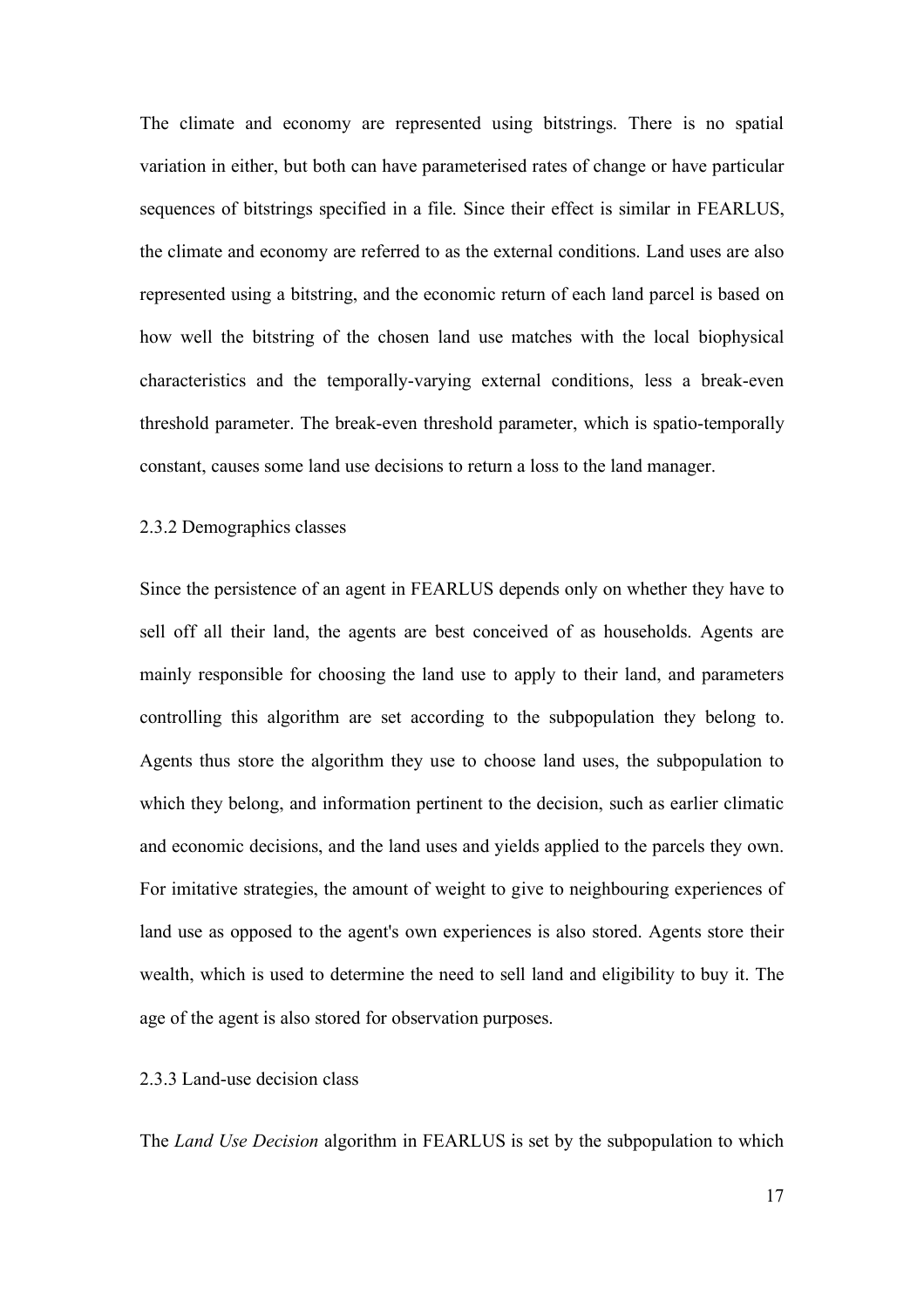The climate and economy are represented using bitstrings. There is no spatial variation in either, but both can have parameterised rates of change or have particular sequences of bitstrings specified in a file. Since their effect is similar in FEARLUS, the climate and economy are referred to as the external conditions. Land uses are also represented using a bitstring, and the economic return of each land parcel is based on how well the bitstring of the chosen land use matches with the local biophysical characteristics and the temporally-varying external conditions, less a break-even threshold parameter. The break-even threshold parameter, which is spatio-temporally constant, causes some land use decisions to return a loss to the land manager.

#### 2.3.2 Demographics classes

Since the persistence of an agent in FEARLUS depends only on whether they have to sell off all their land, the agents are best conceived of as households. Agents are mainly responsible for choosing the land use to apply to their land, and parameters controlling this algorithm are set according to the subpopulation they belong to. Agents thus store the algorithm they use to choose land uses, the subpopulation to which they belong, and information pertinent to the decision, such as earlier climatic and economic decisions, and the land uses and yields applied to the parcels they own. For imitative strategies, the amount of weight to give to neighbouring experiences of land use as opposed to the agent's own experiences is also stored. Agents store their wealth, which is used to determine the need to sell land and eligibility to buy it. The age of the agent is also stored for observation purposes.

## 2.3.3 Land-use decision class

The *Land Use Decision* algorithm in FEARLUS is set by the subpopulation to which

17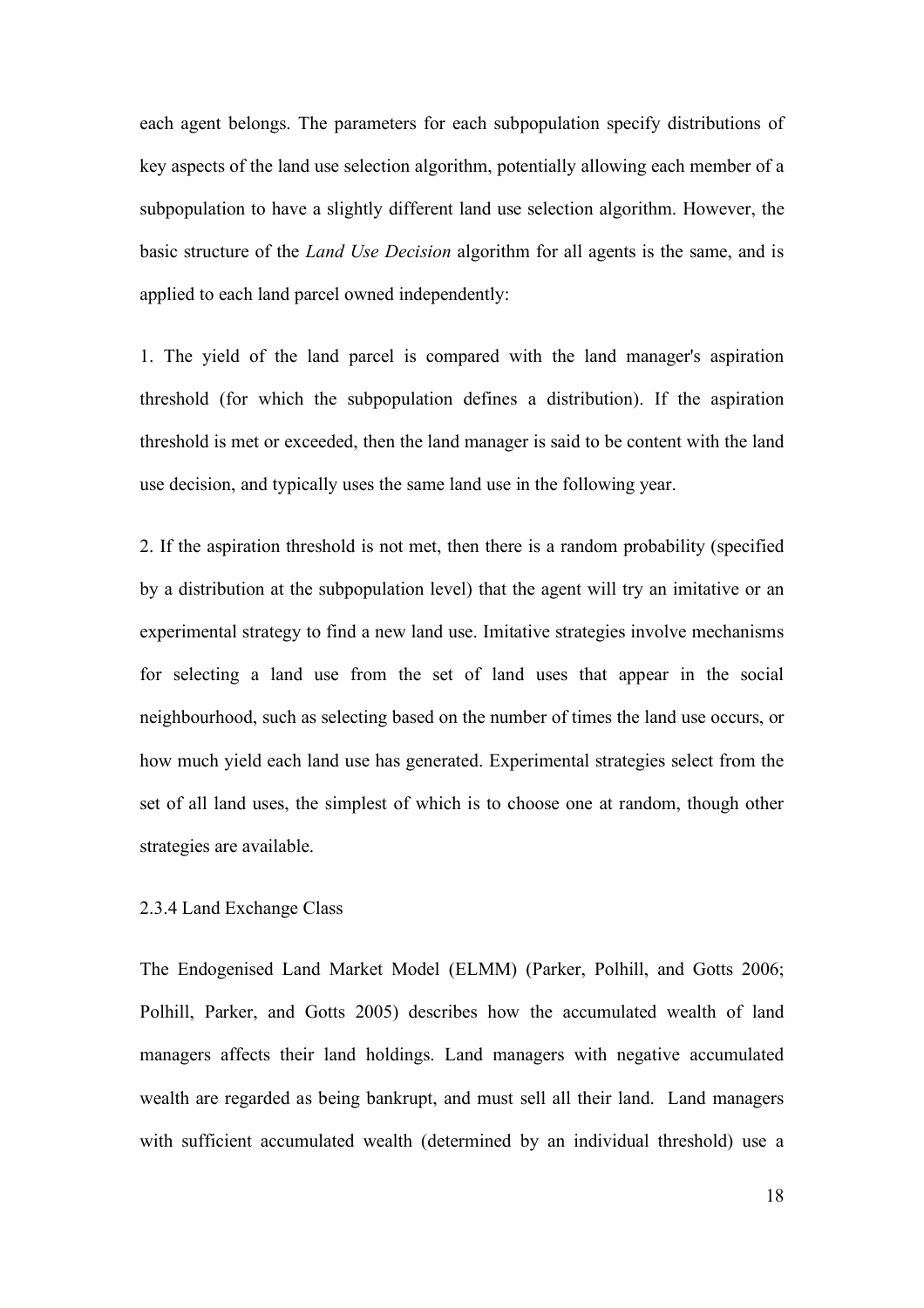each agent belongs. The parameters for each subpopulation specify distributions of key aspects of the land use selection algorithm, potentially allowing each member of a subpopulation to have a slightly different land use selection algorithm. However, the basic structure of the *Land Use Decision* algorithm for all agents is the same, and is applied to each land parcel owned independently:

1. The yield of the land parcel is compared with the land manager's aspiration threshold (for which the subpopulation defines a distribution). If the aspiration threshold is met or exceeded, then the land manager is said to be content with the land use decision, and typically uses the same land use in the following year.

2. If the aspiration threshold is not met, then there is a random probability (specified by a distribution at the subpopulation level) that the agent will try an imitative or an experimental strategy to find a new land use. Imitative strategies involve mechanisms for selecting a land use from the set of land uses that appear in the social neighbourhood, such as selecting based on the number of times the land use occurs, or how much yield each land use has generated. Experimental strategies select from the set of all land uses, the simplest of which is to choose one at random, though other strategies are available.

## 2.3.4 Land Exchange Class

The Endogenised Land Market Model (ELMM) (Parker, Polhill, and Gotts 2006; Polhill, Parker, and Gotts 2005) describes how the accumulated wealth of land managers affects their land holdings. Land managers with negative accumulated wealth are regarded as being bankrupt, and must sell all their land. Land managers with sufficient accumulated wealth (determined by an individual threshold) use a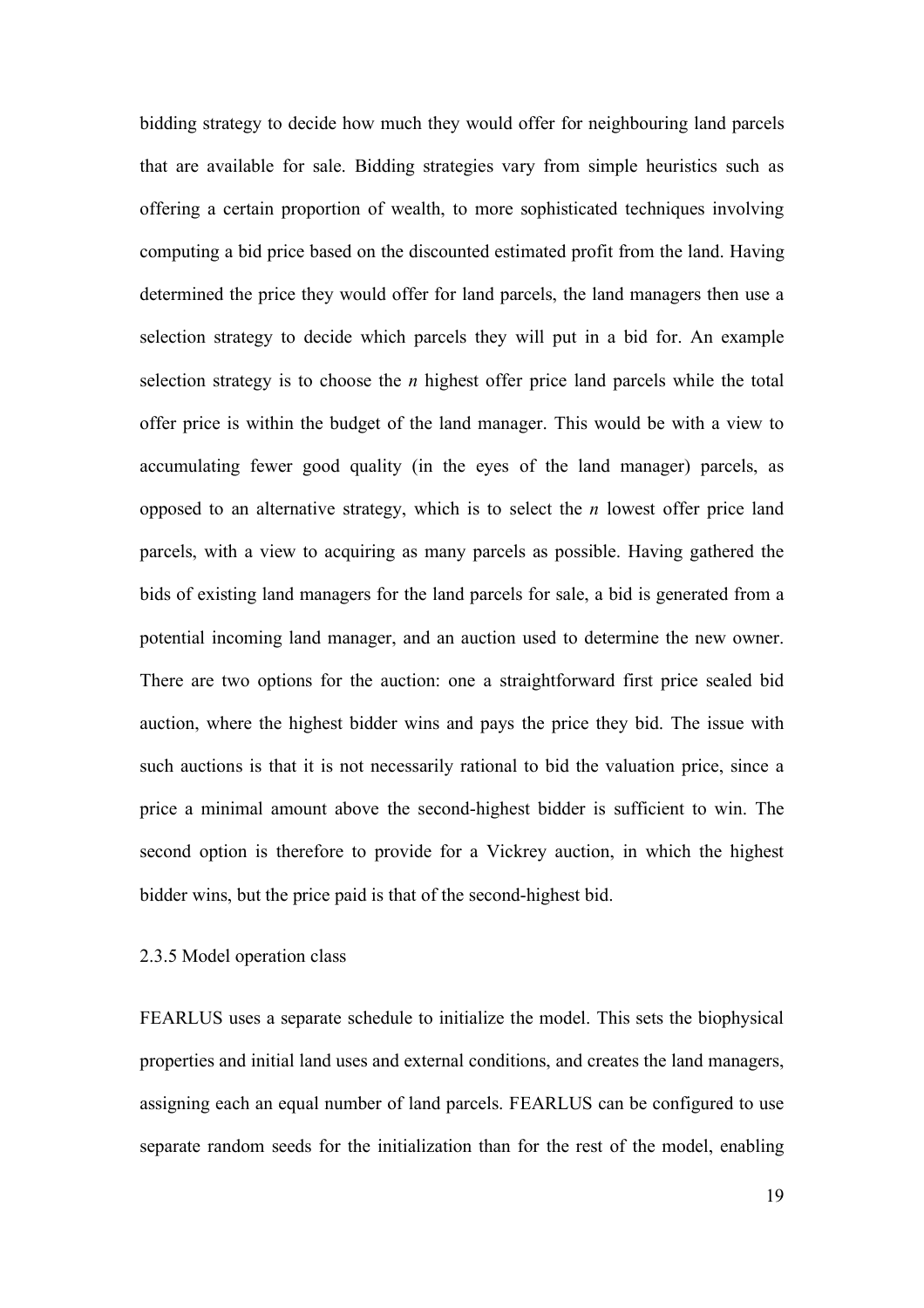bidding strategy to decide how much they would offer for neighbouring land parcels that are available for sale. Bidding strategies vary from simple heuristics such as offering a certain proportion of wealth, to more sophisticated techniques involving computing a bid price based on the discounted estimated profit from the land. Having determined the price they would offer for land parcels, the land managers then use a selection strategy to decide which parcels they will put in a bid for. An example selection strategy is to choose the *n* highest offer price land parcels while the total offer price is within the budget of the land manager. This would be with a view to accumulating fewer good quality (in the eyes of the land manager) parcels, as opposed to an alternative strategy, which is to select the *n* lowest offer price land parcels, with a view to acquiring as many parcels as possible. Having gathered the bids of existing land managers for the land parcels for sale, a bid is generated from a potential incoming land manager, and an auction used to determine the new owner. There are two options for the auction: one a straightforward first price sealed bid auction, where the highest bidder wins and pays the price they bid. The issue with such auctions is that it is not necessarily rational to bid the valuation price, since a price a minimal amount above the second-highest bidder is sufficient to win. The second option is therefore to provide for a Vickrey auction, in which the highest bidder wins, but the price paid is that of the second-highest bid.

## 2.3.5 Model operation class

FEARLUS uses a separate schedule to initialize the model. This sets the biophysical properties and initial land uses and external conditions, and creates the land managers, assigning each an equal number of land parcels. FEARLUS can be configured to use separate random seeds for the initialization than for the rest of the model, enabling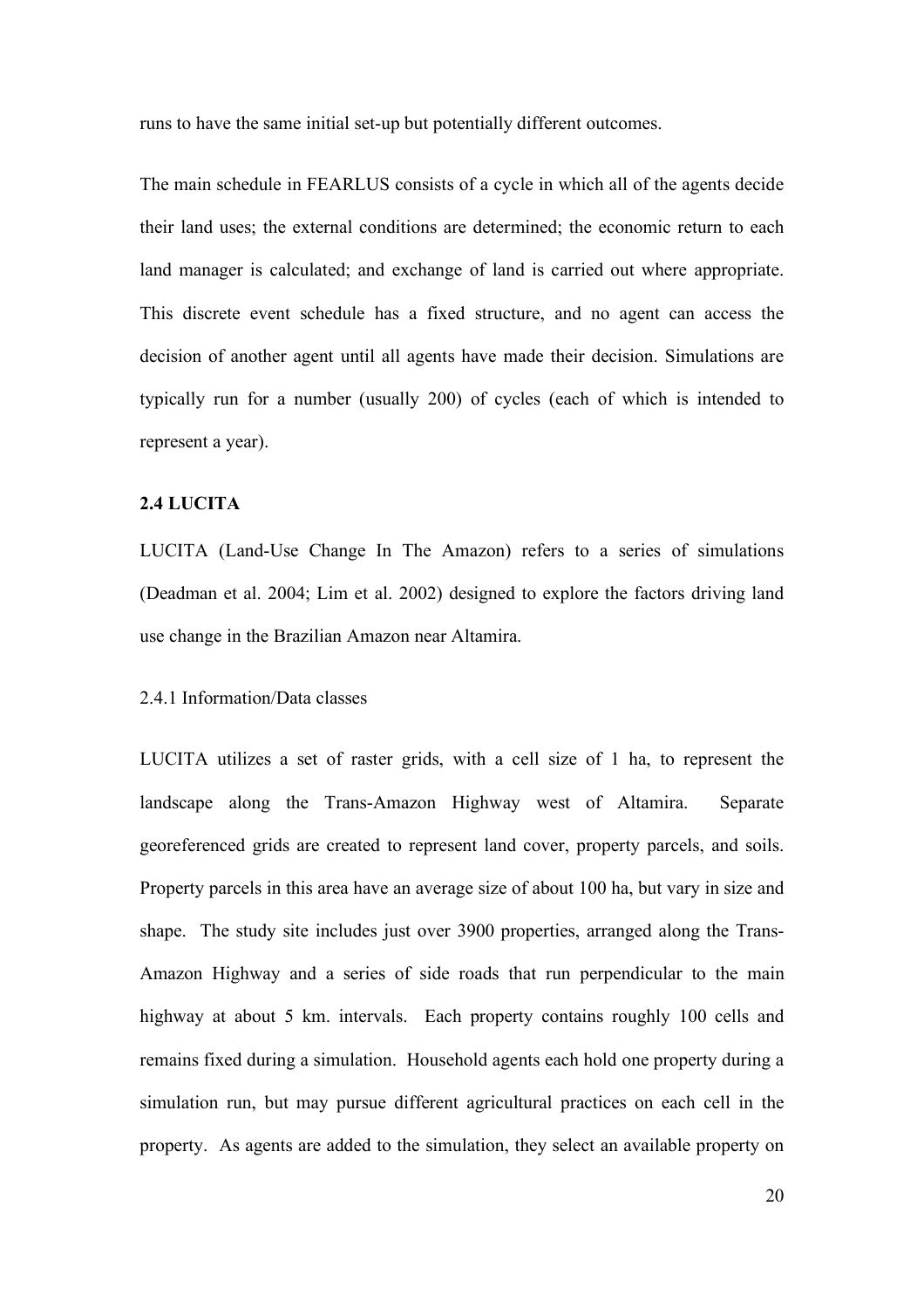runs to have the same initial set-up but potentially different outcomes.

The main schedule in FEARLUS consists of a cycle in which all of the agents decide their land uses; the external conditions are determined; the economic return to each land manager is calculated; and exchange of land is carried out where appropriate. This discrete event schedule has a fixed structure, and no agent can access the decision of another agent until all agents have made their decision. Simulations are typically run for a number (usually 200) of cycles (each of which is intended to represent a year).

## **2.4 LUCITA**

LUCITA (Land-Use Change In The Amazon) refers to a series of simulations (Deadman et al. 2004; Lim et al. 2002) designed to explore the factors driving land use change in the Brazilian Amazon near Altamira.

#### 2.4.1 Information/Data classes

LUCITA utilizes a set of raster grids, with a cell size of 1 ha, to represent the landscape along the Trans-Amazon Highway west of Altamira. Separate georeferenced grids are created to represent land cover, property parcels, and soils. Property parcels in this area have an average size of about 100 ha, but vary in size and shape. The study site includes just over 3900 properties, arranged along the Trans-Amazon Highway and a series of side roads that run perpendicular to the main highway at about 5 km. intervals. Each property contains roughly 100 cells and remains fixed during a simulation. Household agents each hold one property during a simulation run, but may pursue different agricultural practices on each cell in the property. As agents are added to the simulation, they select an available property on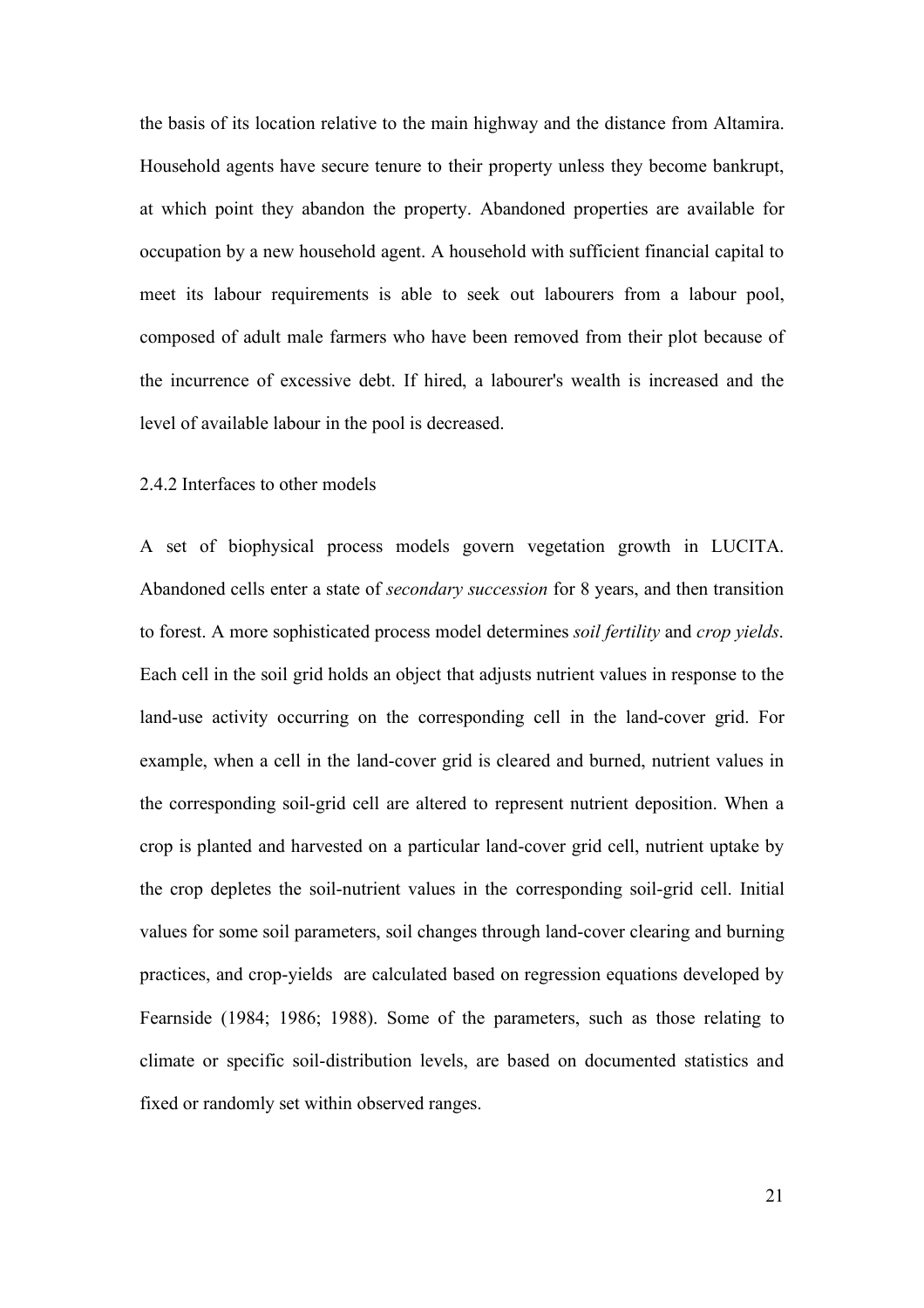the basis of its location relative to the main highway and the distance from Altamira. Household agents have secure tenure to their property unless they become bankrupt, at which point they abandon the property. Abandoned properties are available for occupation by a new household agent. A household with sufficient financial capital to meet its labour requirements is able to seek out labourers from a labour pool, composed of adult male farmers who have been removed from their plot because of the incurrence of excessive debt. If hired, a labourer's wealth is increased and the level of available labour in the pool is decreased.

#### 2.4.2 Interfaces to other models

A set of biophysical process models govern vegetation growth in LUCITA. Abandoned cells enter a state of *secondary succession* for 8 years, and then transition to forest. A more sophisticated process model determines *soil fertility* and *crop yields*. Each cell in the soil grid holds an object that adjusts nutrient values in response to the land-use activity occurring on the corresponding cell in the land-cover grid. For example, when a cell in the land-cover grid is cleared and burned, nutrient values in the corresponding soil-grid cell are altered to represent nutrient deposition. When a crop is planted and harvested on a particular land-cover grid cell, nutrient uptake by the crop depletes the soil-nutrient values in the corresponding soil-grid cell. Initial values for some soil parameters, soil changes through land-cover clearing and burning practices, and crop-yields are calculated based on regression equations developed by Fearnside (1984; 1986; 1988). Some of the parameters, such as those relating to climate or specific soil-distribution levels, are based on documented statistics and fixed or randomly set within observed ranges.

21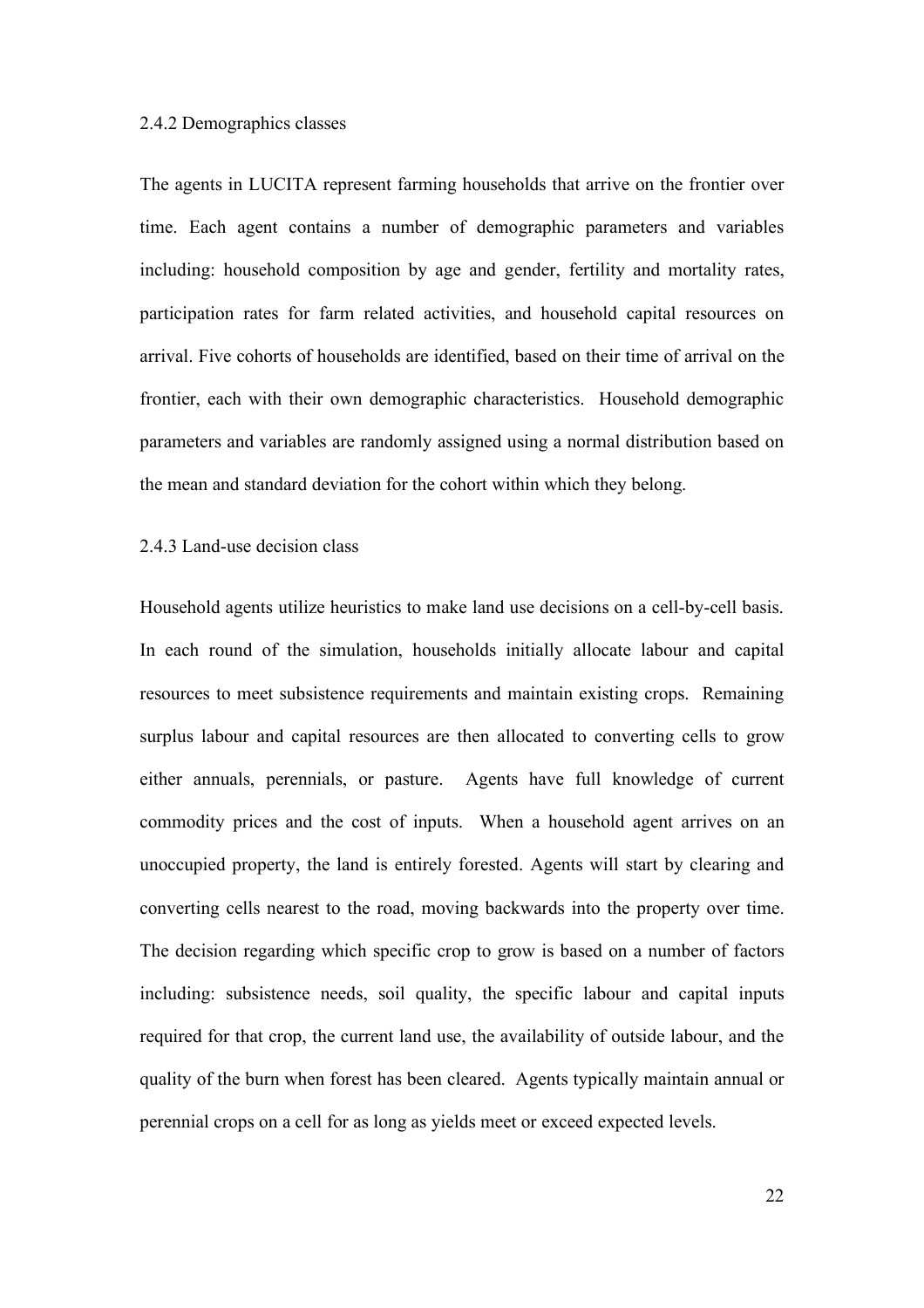#### 2.4.2 Demographics classes

The agents in LUCITA represent farming households that arrive on the frontier over time. Each agent contains a number of demographic parameters and variables including: household composition by age and gender, fertility and mortality rates, participation rates for farm related activities, and household capital resources on arrival. Five cohorts of households are identified, based on their time of arrival on the frontier, each with their own demographic characteristics. Household demographic parameters and variables are randomly assigned using a normal distribution based on the mean and standard deviation for the cohort within which they belong.

#### 2.4.3 Land-use decision class

Household agents utilize heuristics to make land use decisions on a cell-by-cell basis. In each round of the simulation, households initially allocate labour and capital resources to meet subsistence requirements and maintain existing crops. Remaining surplus labour and capital resources are then allocated to converting cells to grow either annuals, perennials, or pasture. Agents have full knowledge of current commodity prices and the cost of inputs. When a household agent arrives on an unoccupied property, the land is entirely forested. Agents will start by clearing and converting cells nearest to the road, moving backwards into the property over time. The decision regarding which specific crop to grow is based on a number of factors including: subsistence needs, soil quality, the specific labour and capital inputs required for that crop, the current land use, the availability of outside labour, and the quality of the burn when forest has been cleared. Agents typically maintain annual or perennial crops on a cell for as long as yields meet or exceed expected levels.

22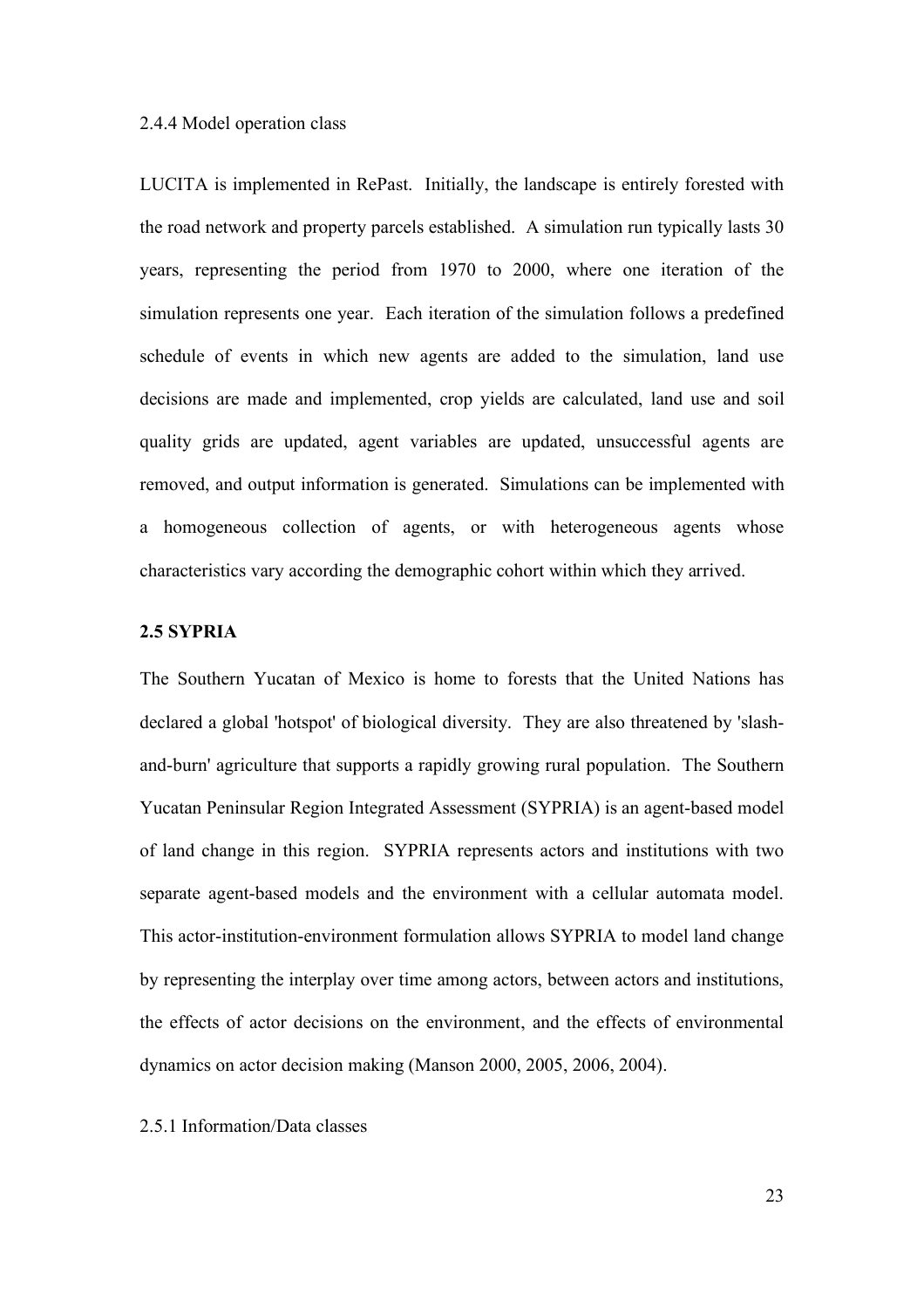#### 2.4.4 Model operation class

LUCITA is implemented in RePast. Initially, the landscape is entirely forested with the road network and property parcels established. A simulation run typically lasts 30 years, representing the period from 1970 to 2000, where one iteration of the simulation represents one year. Each iteration of the simulation follows a predefined schedule of events in which new agents are added to the simulation, land use decisions are made and implemented, crop yields are calculated, land use and soil quality grids are updated, agent variables are updated, unsuccessful agents are removed, and output information is generated. Simulations can be implemented with a homogeneous collection of agents, or with heterogeneous agents whose characteristics vary according the demographic cohort within which they arrived.

## **2.5 SYPRIA**

The Southern Yucatan of Mexico is home to forests that the United Nations has declared a global 'hotspot' of biological diversity. They are also threatened by 'slashand-burn' agriculture that supports a rapidly growing rural population. The Southern Yucatan Peninsular Region Integrated Assessment (SYPRIA) is an agent-based model of land change in this region. SYPRIA represents actors and institutions with two separate agent-based models and the environment with a cellular automata model. This actor-institution-environment formulation allows SYPRIA to model land change by representing the interplay over time among actors, between actors and institutions, the effects of actor decisions on the environment, and the effects of environmental dynamics on actor decision making (Manson 2000, 2005, 2006, 2004).

#### 2.5.1 Information/Data classes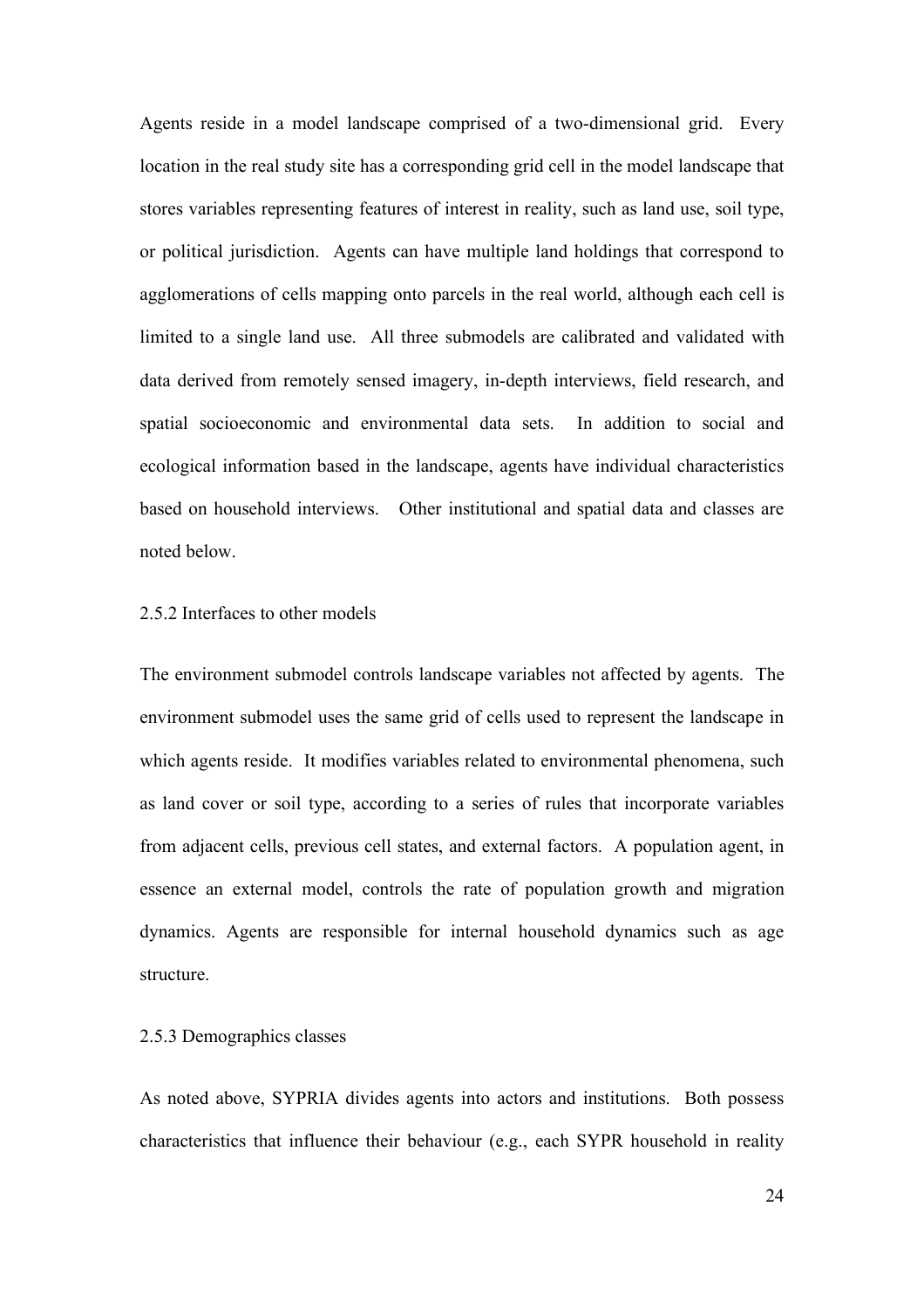Agents reside in a model landscape comprised of a two-dimensional grid. Every location in the real study site has a corresponding grid cell in the model landscape that stores variables representing features of interest in reality, such as land use, soil type, or political jurisdiction. Agents can have multiple land holdings that correspond to agglomerations of cells mapping onto parcels in the real world, although each cell is limited to a single land use. All three submodels are calibrated and validated with data derived from remotely sensed imagery, in-depth interviews, field research, and spatial socioeconomic and environmental data sets. In addition to social and ecological information based in the landscape, agents have individual characteristics based on household interviews. Other institutional and spatial data and classes are noted below.

#### 2.5.2 Interfaces to other models

The environment submodel controls landscape variables not affected by agents. The environment submodel uses the same grid of cells used to represent the landscape in which agents reside. It modifies variables related to environmental phenomena, such as land cover or soil type, according to a series of rules that incorporate variables from adjacent cells, previous cell states, and external factors. A population agent, in essence an external model, controls the rate of population growth and migration dynamics. Agents are responsible for internal household dynamics such as age structure.

#### 2.5.3 Demographics classes

As noted above, SYPRIA divides agents into actors and institutions. Both possess characteristics that influence their behaviour (e.g., each SYPR household in reality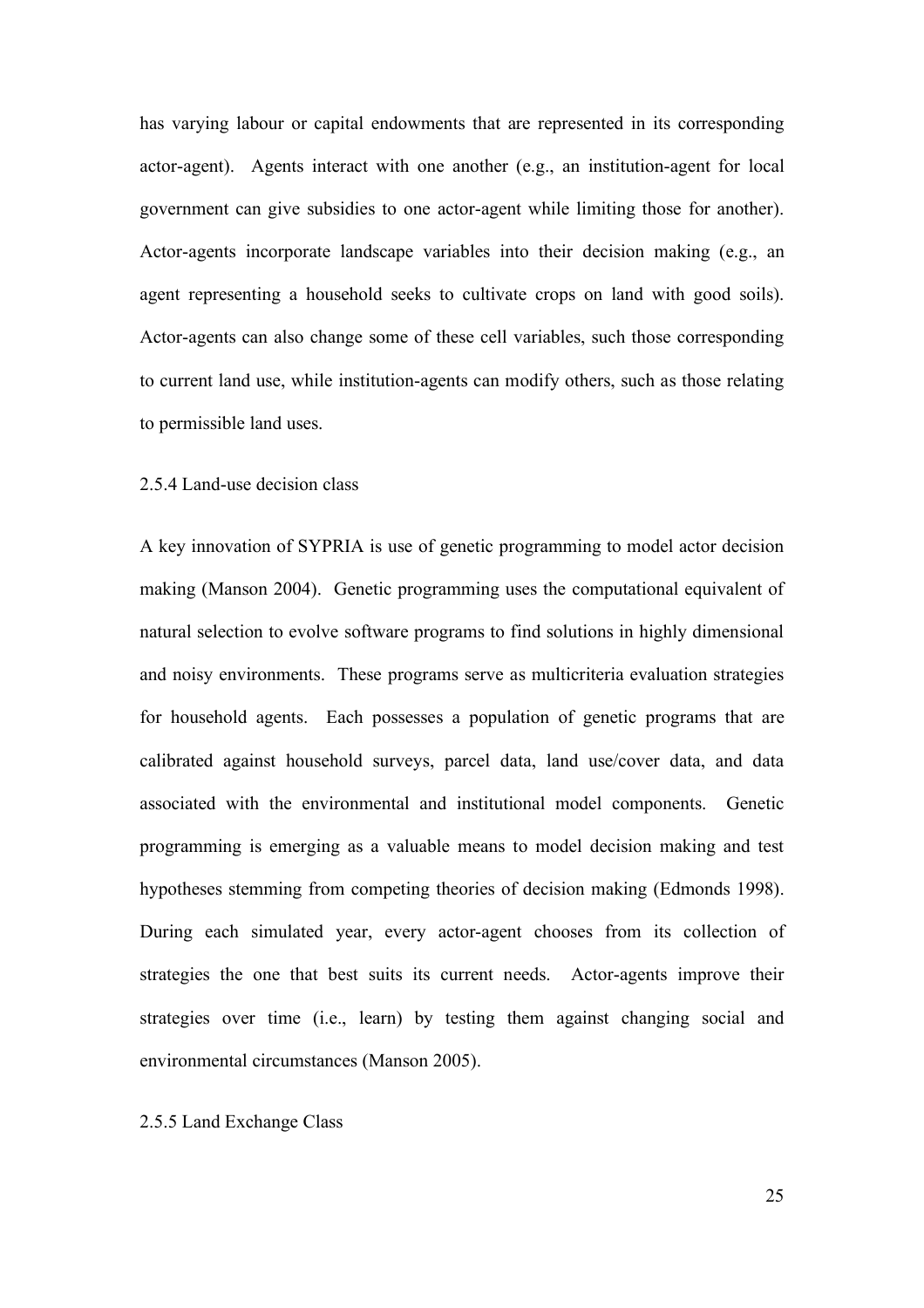has varying labour or capital endowments that are represented in its corresponding actor-agent). Agents interact with one another (e.g., an institution-agent for local government can give subsidies to one actor-agent while limiting those for another). Actor-agents incorporate landscape variables into their decision making (e.g., an agent representing a household seeks to cultivate crops on land with good soils). Actor-agents can also change some of these cell variables, such those corresponding to current land use, while institution-agents can modify others, such as those relating to permissible land uses.

#### 2.5.4 Land-use decision class

A key innovation of SYPRIA is use of genetic programming to model actor decision making (Manson 2004). Genetic programming uses the computational equivalent of natural selection to evolve software programs to find solutions in highly dimensional and noisy environments. These programs serve as multicriteria evaluation strategies for household agents. Each possesses a population of genetic programs that are calibrated against household surveys, parcel data, land use/cover data, and data associated with the environmental and institutional model components. Genetic programming is emerging as a valuable means to model decision making and test hypotheses stemming from competing theories of decision making (Edmonds 1998). During each simulated year, every actor-agent chooses from its collection of strategies the one that best suits its current needs. Actor-agents improve their strategies over time (i.e., learn) by testing them against changing social and environmental circumstances (Manson 2005).

#### 2.5.5 Land Exchange Class

25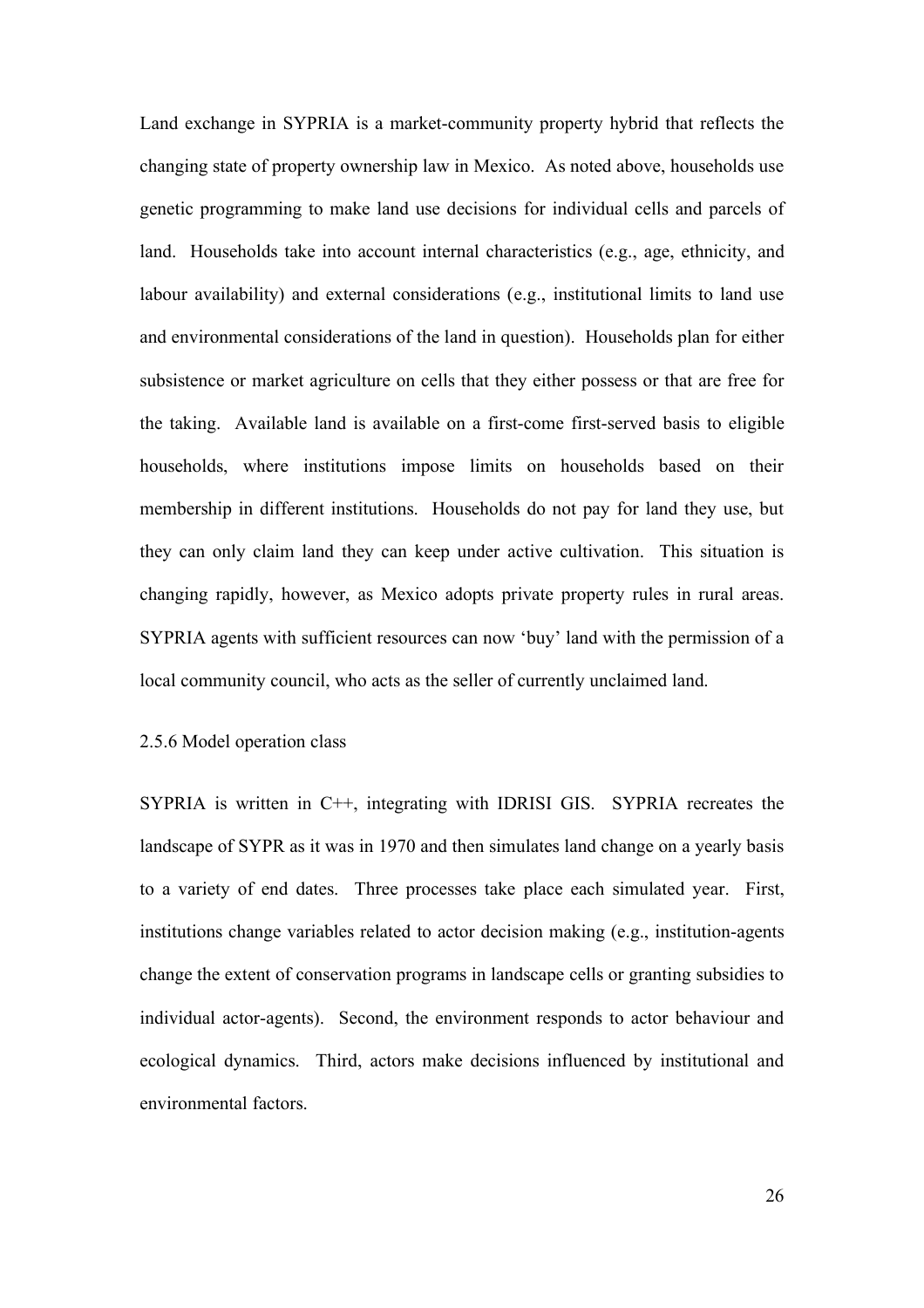Land exchange in SYPRIA is a market-community property hybrid that reflects the changing state of property ownership law in Mexico. As noted above, households use genetic programming to make land use decisions for individual cells and parcels of land. Households take into account internal characteristics (e.g., age, ethnicity, and labour availability) and external considerations (e.g., institutional limits to land use and environmental considerations of the land in question). Households plan for either subsistence or market agriculture on cells that they either possess or that are free for the taking. Available land is available on a first-come first-served basis to eligible households, where institutions impose limits on households based on their membership in different institutions. Households do not pay for land they use, but they can only claim land they can keep under active cultivation. This situation is changing rapidly, however, as Mexico adopts private property rules in rural areas. SYPRIA agents with sufficient resources can now 'buy' land with the permission of a local community council, who acts as the seller of currently unclaimed land.

## 2.5.6 Model operation class

SYPRIA is written in C++, integrating with IDRISI GIS. SYPRIA recreates the landscape of SYPR as it was in 1970 and then simulates land change on a yearly basis to a variety of end dates. Three processes take place each simulated year. First, institutions change variables related to actor decision making (e.g., institution-agents change the extent of conservation programs in landscape cells or granting subsidies to individual actor-agents). Second, the environment responds to actor behaviour and ecological dynamics. Third, actors make decisions influenced by institutional and environmental factors.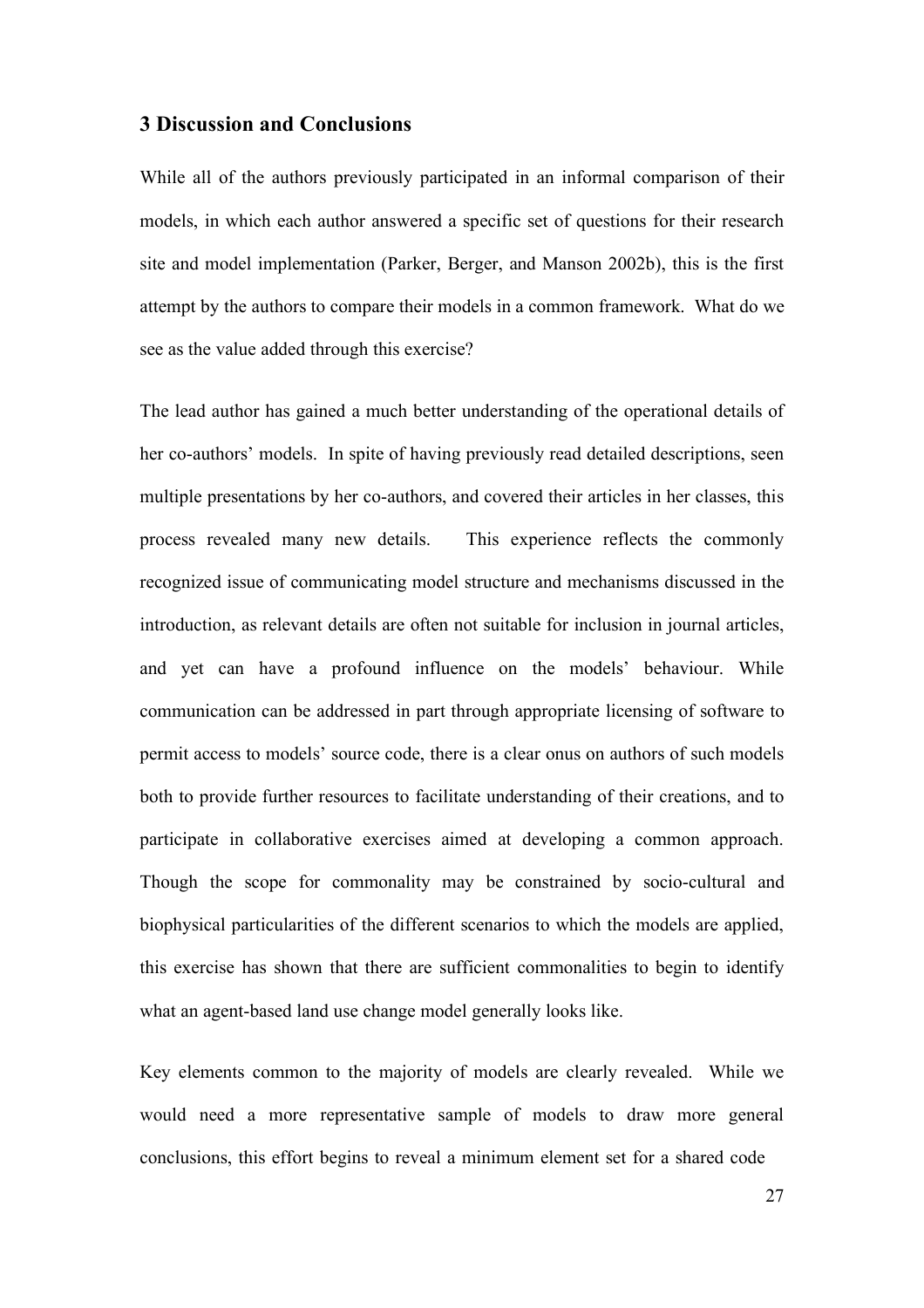## **3 Discussion and Conclusions**

While all of the authors previously participated in an informal comparison of their models, in which each author answered a specific set of questions for their research site and model implementation (Parker, Berger, and Manson 2002b), this is the first attempt by the authors to compare their models in a common framework. What do we see as the value added through this exercise?

The lead author has gained a much better understanding of the operational details of her co-authors' models. In spite of having previously read detailed descriptions, seen multiple presentations by her co-authors, and covered their articles in her classes, this process revealed many new details. This experience reflects the commonly recognized issue of communicating model structure and mechanisms discussed in the introduction, as relevant details are often not suitable for inclusion in journal articles, and yet can have a profound influence on the models' behaviour. While communication can be addressed in part through appropriate licensing of software to permit access to models' source code, there is a clear onus on authors of such models both to provide further resources to facilitate understanding of their creations, and to participate in collaborative exercises aimed at developing a common approach. Though the scope for commonality may be constrained by socio-cultural and biophysical particularities of the different scenarios to which the models are applied, this exercise has shown that there are sufficient commonalities to begin to identify what an agent-based land use change model generally looks like.

Key elements common to the majority of models are clearly revealed. While we would need a more representative sample of models to draw more general conclusions, this effort begins to reveal a minimum element set for a shared code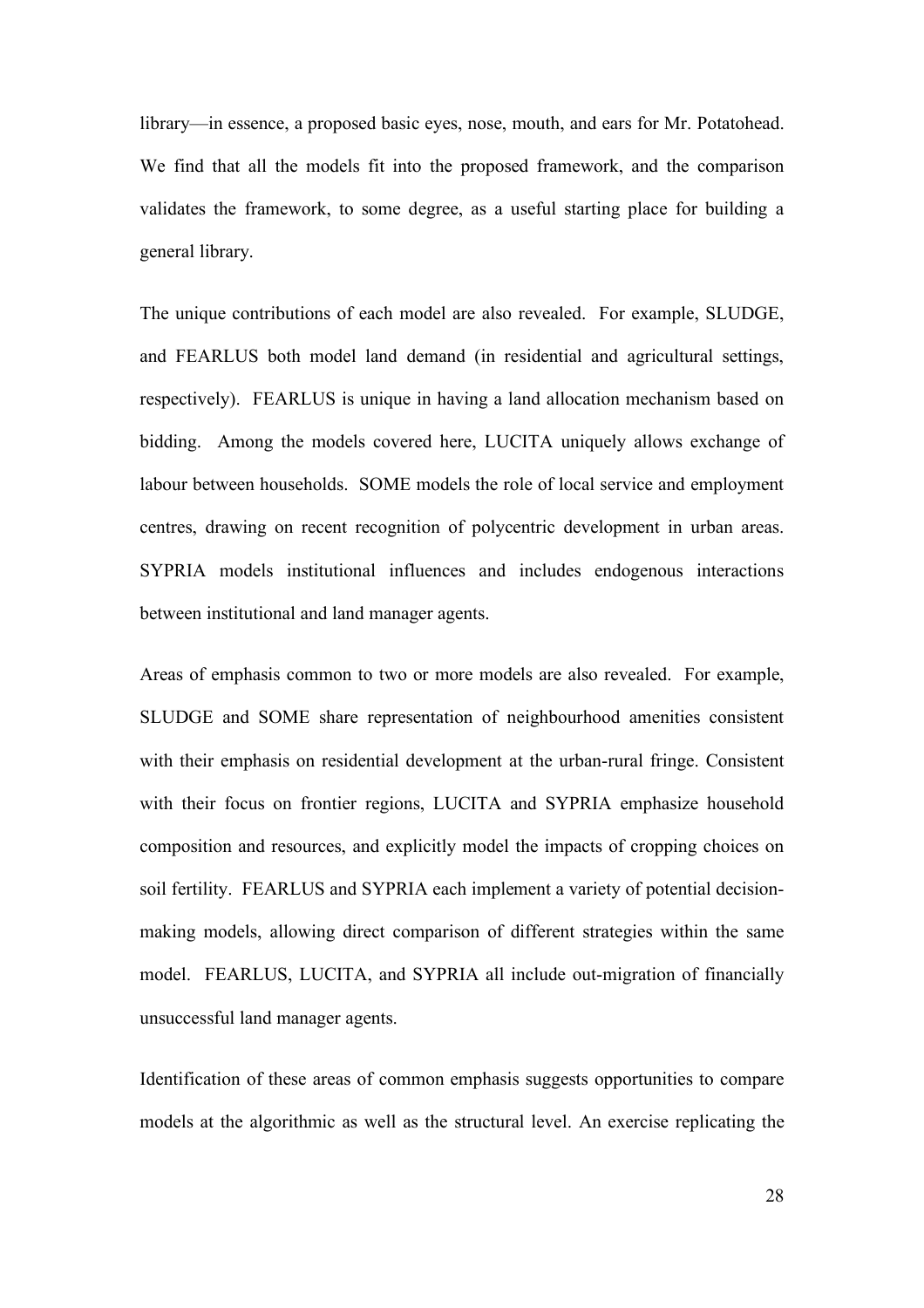library—in essence, a proposed basic eyes, nose, mouth, and ears for Mr. Potatohead. We find that all the models fit into the proposed framework, and the comparison validates the framework, to some degree, as a useful starting place for building a general library.

The unique contributions of each model are also revealed. For example, SLUDGE, and FEARLUS both model land demand (in residential and agricultural settings, respectively). FEARLUS is unique in having a land allocation mechanism based on bidding. Among the models covered here, LUCITA uniquely allows exchange of labour between households. SOME models the role of local service and employment centres, drawing on recent recognition of polycentric development in urban areas. SYPRIA models institutional influences and includes endogenous interactions between institutional and land manager agents.

Areas of emphasis common to two or more models are also revealed. For example, SLUDGE and SOME share representation of neighbourhood amenities consistent with their emphasis on residential development at the urban-rural fringe. Consistent with their focus on frontier regions, LUCITA and SYPRIA emphasize household composition and resources, and explicitly model the impacts of cropping choices on soil fertility. FEARLUS and SYPRIA each implement a variety of potential decisionmaking models, allowing direct comparison of different strategies within the same model. FEARLUS, LUCITA, and SYPRIA all include out-migration of financially unsuccessful land manager agents.

Identification of these areas of common emphasis suggests opportunities to compare models at the algorithmic as well as the structural level. An exercise replicating the

28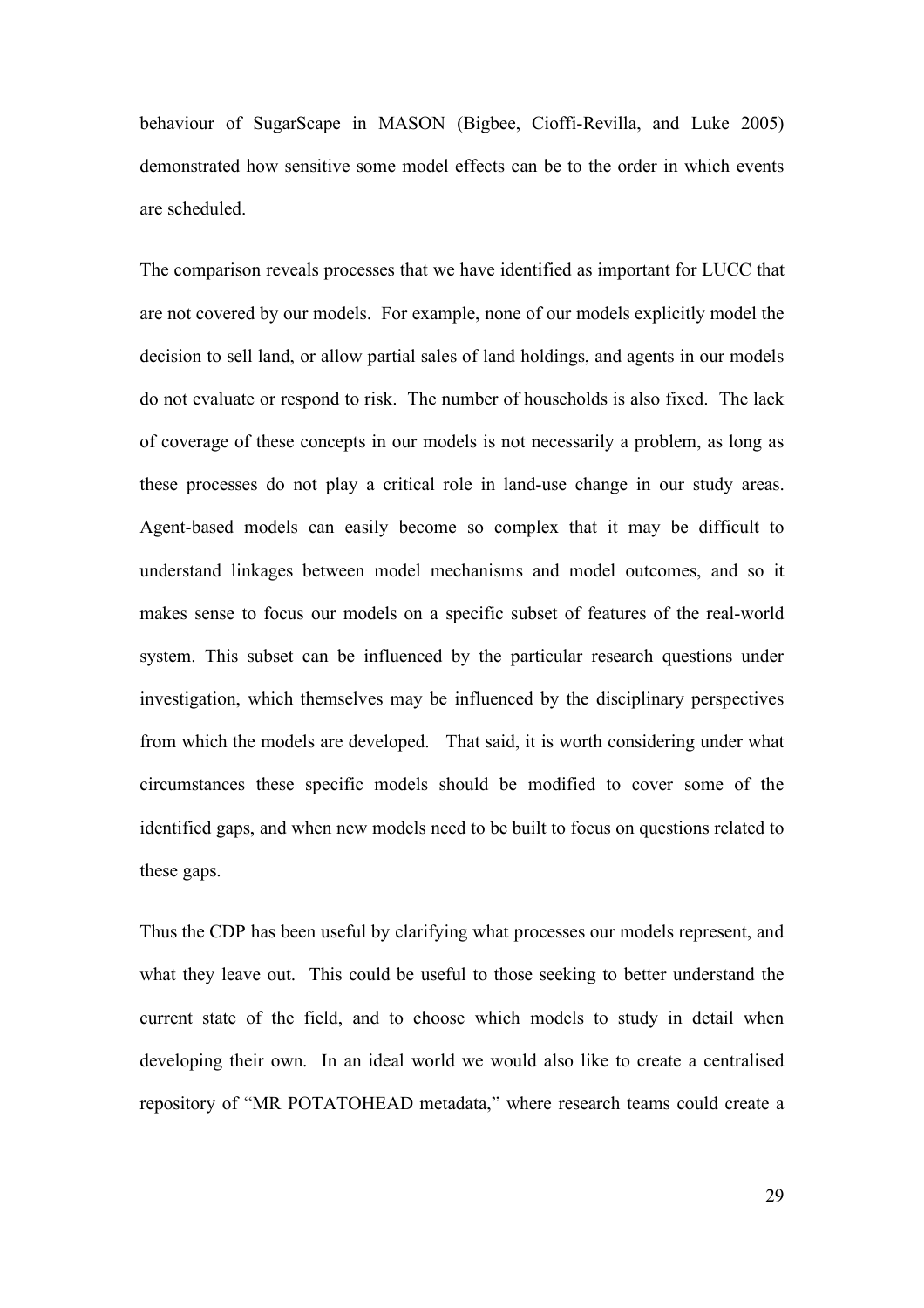behaviour of SugarScape in MASON (Bigbee, Cioffi-Revilla, and Luke 2005) demonstrated how sensitive some model effects can be to the order in which events are scheduled.

The comparison reveals processes that we have identified as important for LUCC that are not covered by our models. For example, none of our models explicitly model the decision to sell land, or allow partial sales of land holdings, and agents in our models do not evaluate or respond to risk. The number of households is also fixed. The lack of coverage of these concepts in our models is not necessarily a problem, as long as these processes do not play a critical role in land-use change in our study areas. Agent-based models can easily become so complex that it may be difficult to understand linkages between model mechanisms and model outcomes, and so it makes sense to focus our models on a specific subset of features of the real-world system. This subset can be influenced by the particular research questions under investigation, which themselves may be influenced by the disciplinary perspectives from which the models are developed. That said, it is worth considering under what circumstances these specific models should be modified to cover some of the identified gaps, and when new models need to be built to focus on questions related to these gaps.

Thus the CDP has been useful by clarifying what processes our models represent, and what they leave out. This could be useful to those seeking to better understand the current state of the field, and to choose which models to study in detail when developing their own. In an ideal world we would also like to create a centralised repository of "MR POTATOHEAD metadata," where research teams could create a

29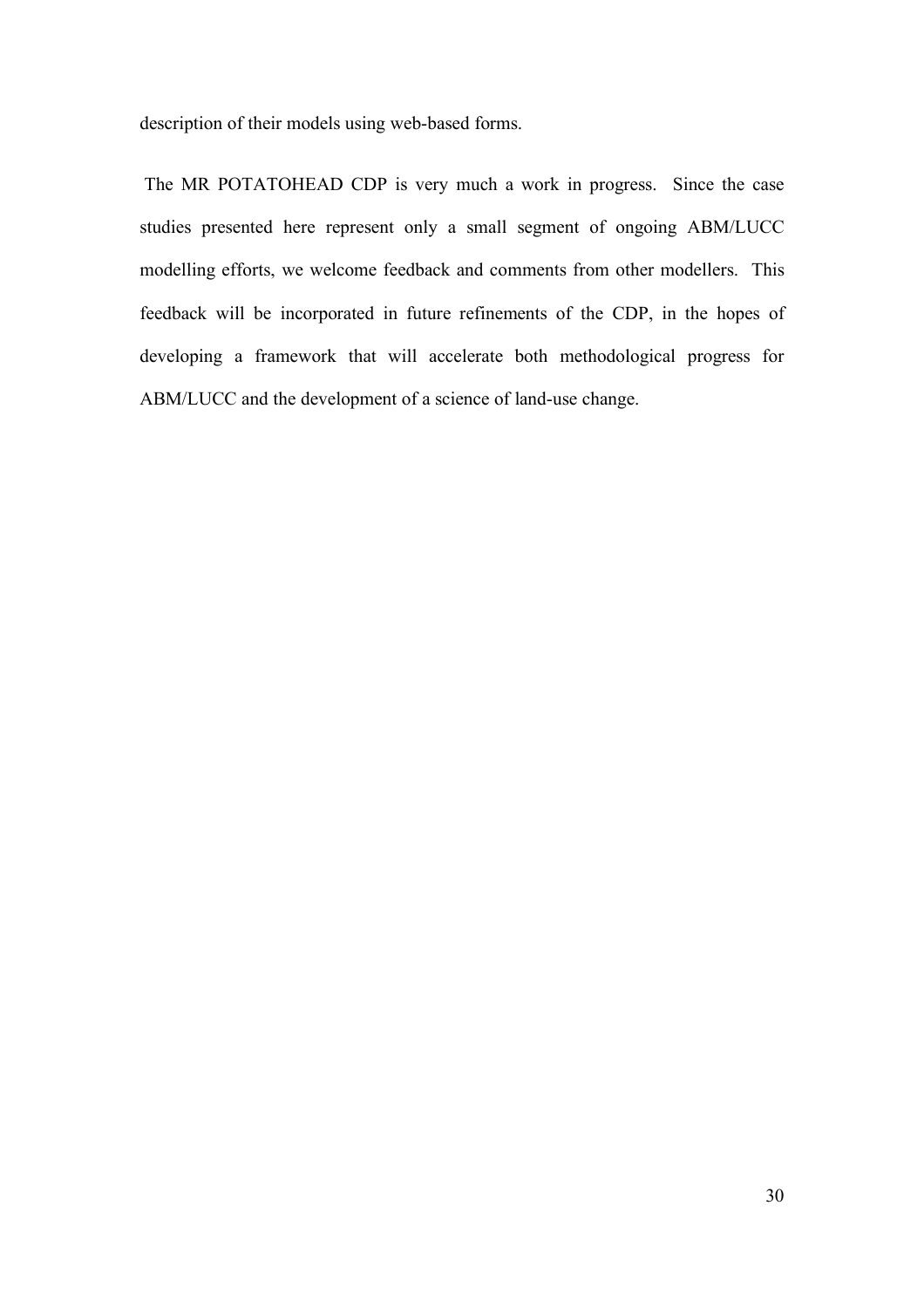description of their models using web-based forms.

The MR POTATOHEAD CDP is very much a work in progress. Since the case studies presented here represent only a small segment of ongoing ABM/LUCC modelling efforts, we welcome feedback and comments from other modellers. This feedback will be incorporated in future refinements of the CDP, in the hopes of developing a framework that will accelerate both methodological progress for ABM/LUCC and the development of a science of land-use change.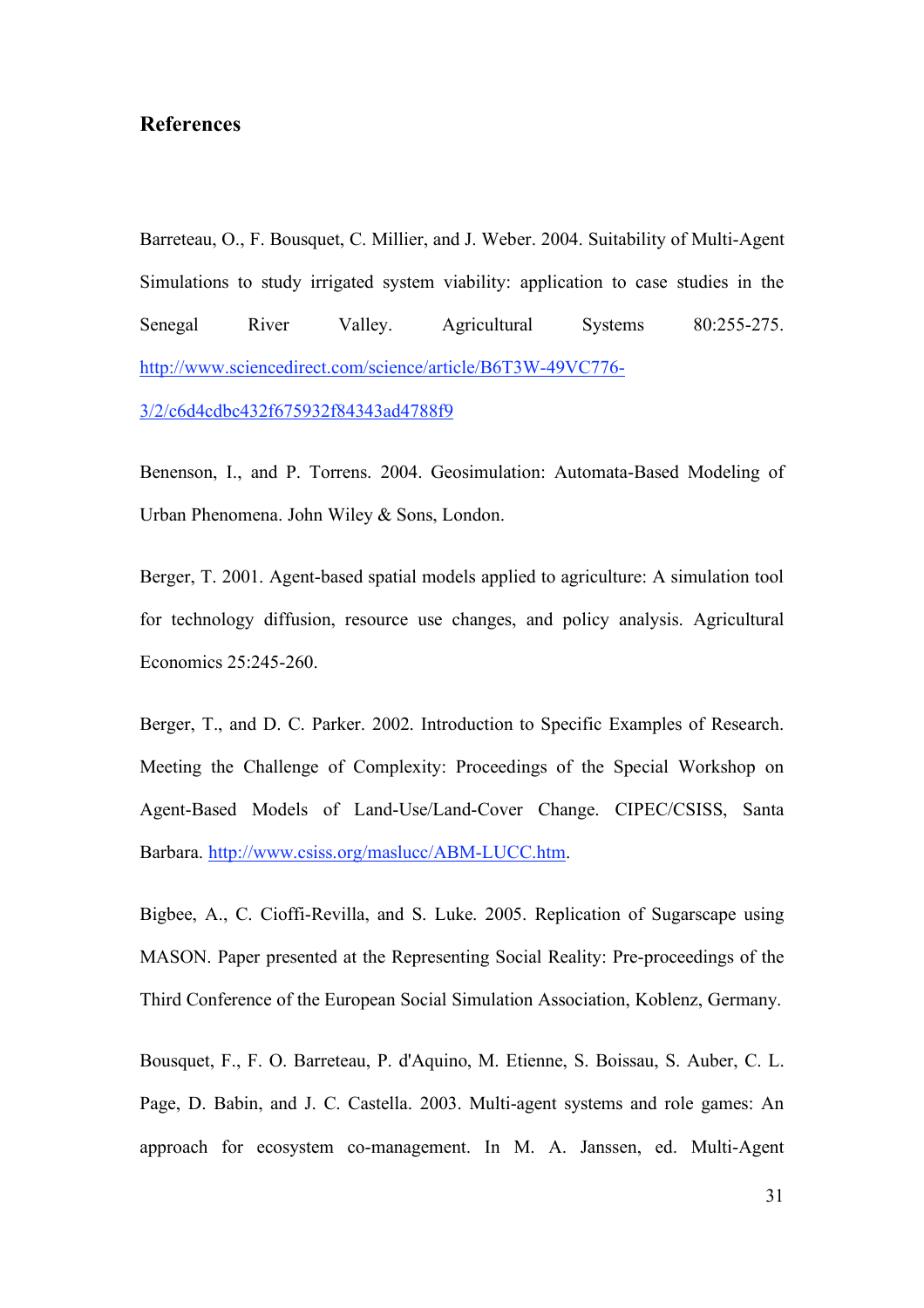## **References**

Barreteau, O., F. Bousquet, C. Millier, and J. Weber. 2004. Suitability of Multi-Agent Simulations to study irrigated system viability: application to case studies in the Senegal River Valley. Agricultural Systems 80:255-275. http://www.sciencedirect.com/science/article/B6T3W-49VC776-

3/2/c6d4cdbc432f675932f84343ad4788f9

Benenson, I., and P. Torrens. 2004. Geosimulation: Automata-Based Modeling of Urban Phenomena. John Wiley & Sons, London.

Berger, T. 2001. Agent-based spatial models applied to agriculture: A simulation tool for technology diffusion, resource use changes, and policy analysis. Agricultural Economics 25:245-260.

Berger, T., and D. C. Parker. 2002. Introduction to Specific Examples of Research. Meeting the Challenge of Complexity: Proceedings of the Special Workshop on Agent-Based Models of Land-Use/Land-Cover Change. CIPEC/CSISS, Santa Barbara. http://www.csiss.org/maslucc/ABM-LUCC.htm.

Bigbee, A., C. Cioffi-Revilla, and S. Luke. 2005. Replication of Sugarscape using MASON. Paper presented at the Representing Social Reality: Pre-proceedings of the Third Conference of the European Social Simulation Association, Koblenz, Germany.

Bousquet, F., F. O. Barreteau, P. d'Aquino, M. Etienne, S. Boissau, S. Auber, C. L. Page, D. Babin, and J. C. Castella. 2003. Multi-agent systems and role games: An approach for ecosystem co-management. In M. A. Janssen, ed. Multi-Agent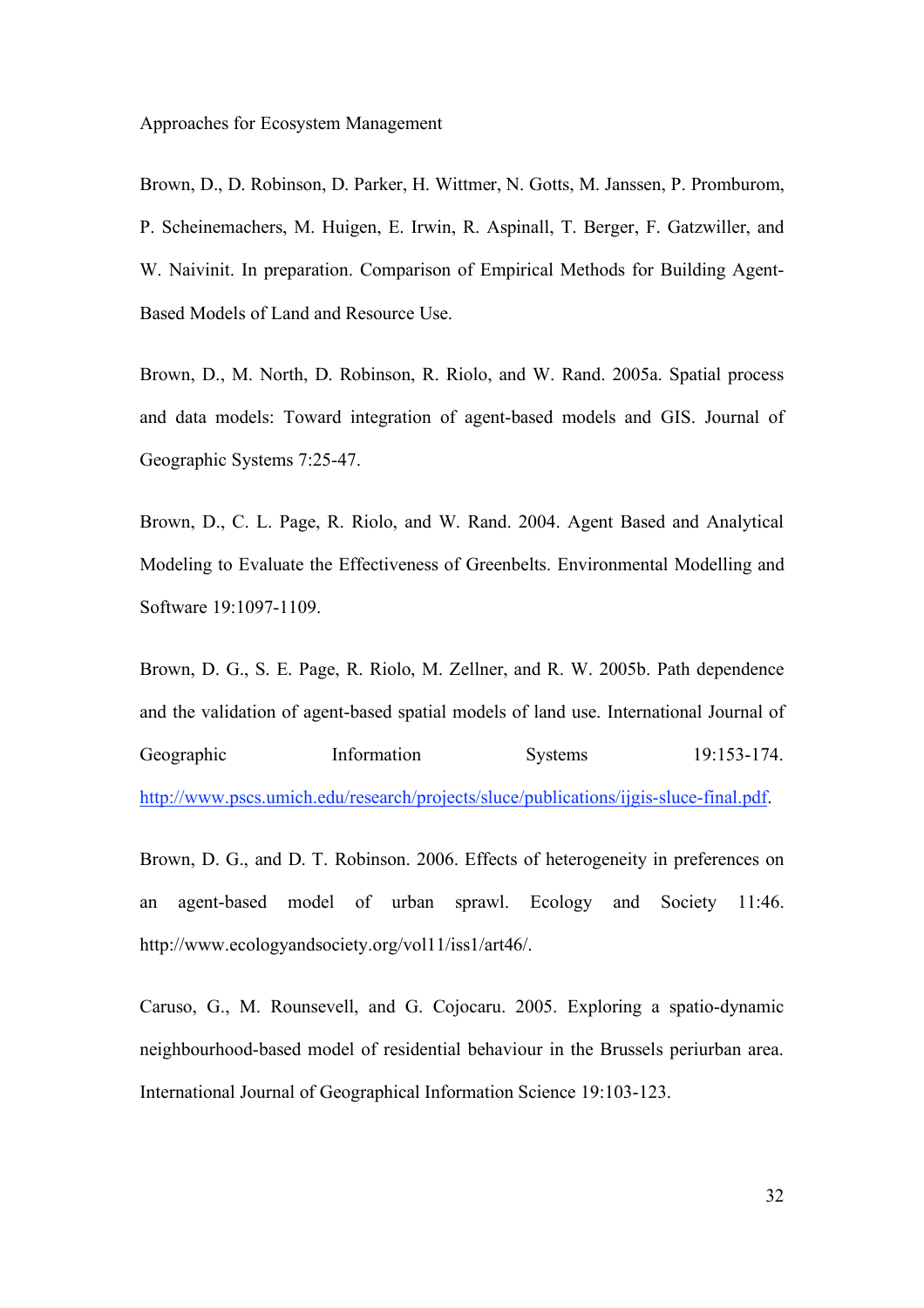Brown, D., D. Robinson, D. Parker, H. Wittmer, N. Gotts, M. Janssen, P. Promburom, P. Scheinemachers, M. Huigen, E. Irwin, R. Aspinall, T. Berger, F. Gatzwiller, and W. Naivinit. In preparation. Comparison of Empirical Methods for Building Agent-Based Models of Land and Resource Use.

Brown, D., M. North, D. Robinson, R. Riolo, and W. Rand. 2005a. Spatial process and data models: Toward integration of agent-based models and GIS. Journal of Geographic Systems 7:25-47.

Brown, D., C. L. Page, R. Riolo, and W. Rand. 2004. Agent Based and Analytical Modeling to Evaluate the Effectiveness of Greenbelts. Environmental Modelling and Software 19:1097-1109.

Brown, D. G., S. E. Page, R. Riolo, M. Zellner, and R. W. 2005b. Path dependence and the validation of agent-based spatial models of land use. International Journal of Geographic Information Systems 19:153-174. http://www.pscs.umich.edu/research/projects/sluce/publications/ijgis-sluce-final.pdf.

Brown, D. G., and D. T. Robinson. 2006. Effects of heterogeneity in preferences on an agent-based model of urban sprawl. Ecology and Society 11:46. http://www.ecologyandsociety.org/vol11/iss1/art46/.

Caruso, G., M. Rounsevell, and G. Cojocaru. 2005. Exploring a spatio-dynamic neighbourhood-based model of residential behaviour in the Brussels periurban area. International Journal of Geographical Information Science 19:103-123.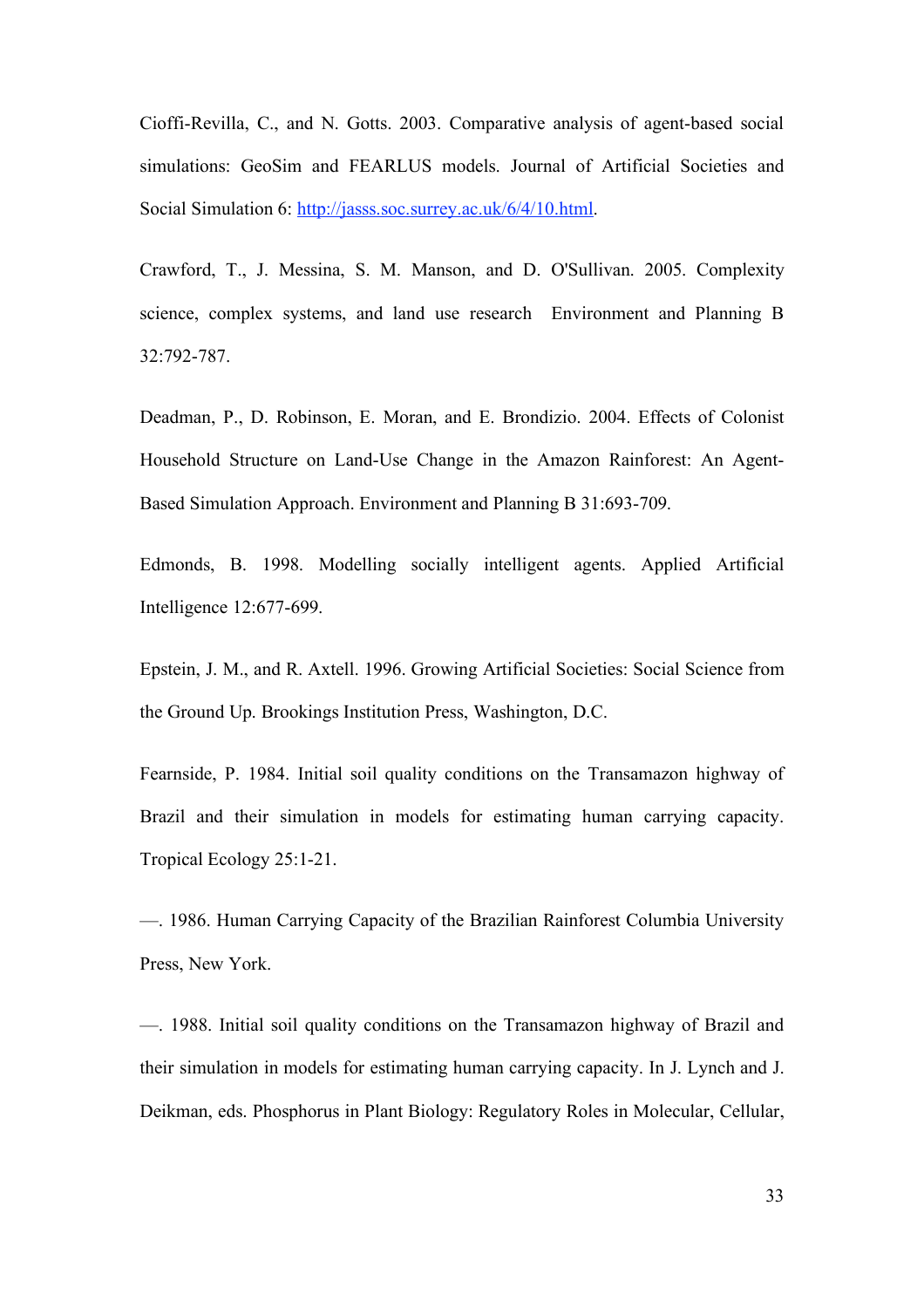Cioffi-Revilla, C., and N. Gotts. 2003. Comparative analysis of agent-based social simulations: GeoSim and FEARLUS models. Journal of Artificial Societies and Social Simulation 6: http://jasss.soc.surrey.ac.uk/6/4/10.html.

Crawford, T., J. Messina, S. M. Manson, and D. O'Sullivan. 2005. Complexity science, complex systems, and land use research Environment and Planning B 32:792-787.

Deadman, P., D. Robinson, E. Moran, and E. Brondizio. 2004. Effects of Colonist Household Structure on Land-Use Change in the Amazon Rainforest: An Agent-Based Simulation Approach. Environment and Planning B 31:693-709.

Edmonds, B. 1998. Modelling socially intelligent agents. Applied Artificial Intelligence 12:677-699.

Epstein, J. M., and R. Axtell. 1996. Growing Artificial Societies: Social Science from the Ground Up. Brookings Institution Press, Washington, D.C.

Fearnside, P. 1984. Initial soil quality conditions on the Transamazon highway of Brazil and their simulation in models for estimating human carrying capacity. Tropical Ecology 25:1-21.

—. 1986. Human Carrying Capacity of the Brazilian Rainforest Columbia University Press, New York.

—. 1988. Initial soil quality conditions on the Transamazon highway of Brazil and their simulation in models for estimating human carrying capacity. In J. Lynch and J. Deikman, eds. Phosphorus in Plant Biology: Regulatory Roles in Molecular, Cellular,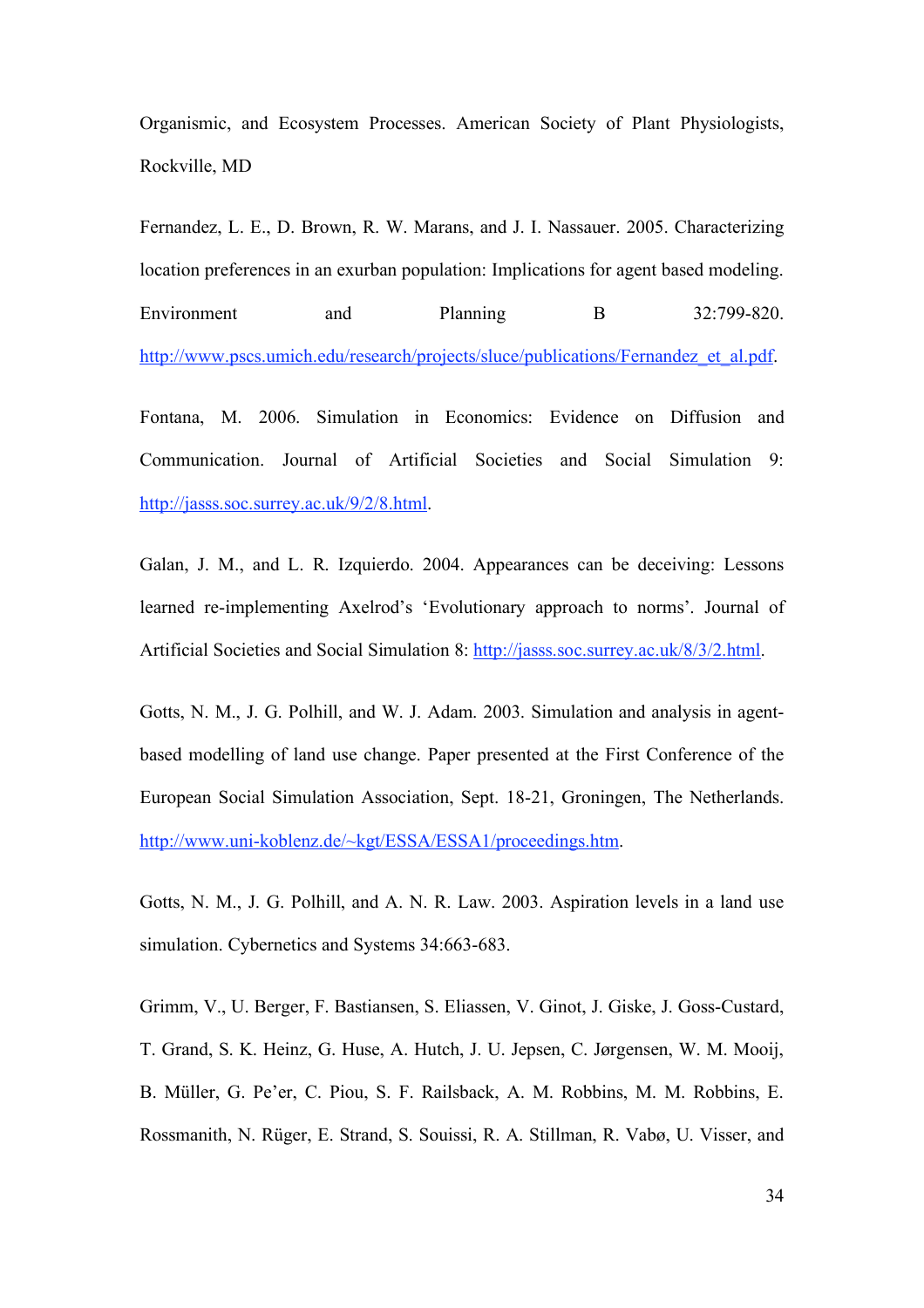Organismic, and Ecosystem Processes. American Society of Plant Physiologists, Rockville, MD

Fernandez, L. E., D. Brown, R. W. Marans, and J. I. Nassauer. 2005. Characterizing location preferences in an exurban population: Implications for agent based modeling. Environment and Planning B 32:799-820. http://www.pscs.umich.edu/research/projects/sluce/publications/Fernandez et al.pdf.

Fontana, M. 2006. Simulation in Economics: Evidence on Diffusion and Communication. Journal of Artificial Societies and Social Simulation 9: http://jasss.soc.surrey.ac.uk/9/2/8.html.

Galan, J. M., and L. R. Izquierdo. 2004. Appearances can be deceiving: Lessons learned re-implementing Axelrod's 'Evolutionary approach to norms'. Journal of Artificial Societies and Social Simulation 8: http://jasss.soc.surrey.ac.uk/8/3/2.html.

Gotts, N. M., J. G. Polhill, and W. J. Adam. 2003. Simulation and analysis in agentbased modelling of land use change. Paper presented at the First Conference of the European Social Simulation Association, Sept. 18-21, Groningen, The Netherlands. http://www.uni-koblenz.de/~kgt/ESSA/ESSA1/proceedings.htm.

Gotts, N. M., J. G. Polhill, and A. N. R. Law. 2003. Aspiration levels in a land use simulation. Cybernetics and Systems 34:663-683.

Grimm, V., U. Berger, F. Bastiansen, S. Eliassen, V. Ginot, J. Giske, J. Goss-Custard, T. Grand, S. K. Heinz, G. Huse, A. Hutch, J. U. Jepsen, C. Jørgensen, W. M. Mooij, B. Müller, G. Pe'er, C. Piou, S. F. Railsback, A. M. Robbins, M. M. Robbins, E. Rossmanith, N. Rüger, E. Strand, S. Souissi, R. A. Stillman, R. Vabø, U. Visser, and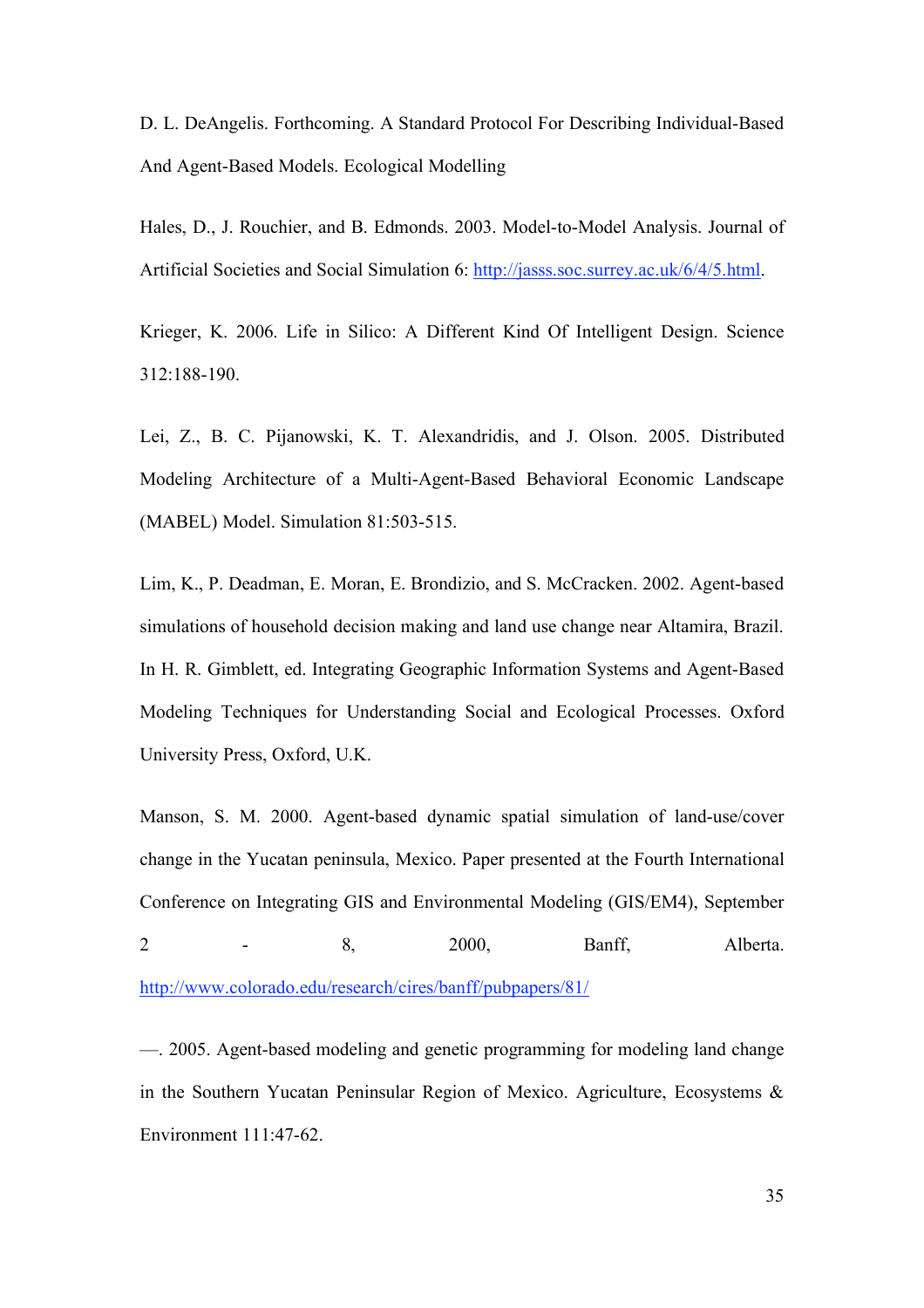D. L. DeAngelis. Forthcoming. A Standard Protocol For Describing Individual-Based And Agent-Based Models. Ecological Modelling

Hales, D., J. Rouchier, and B. Edmonds. 2003. Model-to-Model Analysis. Journal of Artificial Societies and Social Simulation 6: http://jasss.soc.surrey.ac.uk/6/4/5.html.

Krieger, K. 2006. Life in Silico: A Different Kind Of Intelligent Design. Science 312:188-190.

Lei, Z., B. C. Pijanowski, K. T. Alexandridis, and J. Olson. 2005. Distributed Modeling Architecture of a Multi-Agent-Based Behavioral Economic Landscape (MABEL) Model. Simulation 81:503-515.

Lim, K., P. Deadman, E. Moran, E. Brondizio, and S. McCracken. 2002. Agent-based simulations of household decision making and land use change near Altamira, Brazil. In H. R. Gimblett, ed. Integrating Geographic Information Systems and Agent-Based Modeling Techniques for Understanding Social and Ecological Processes. Oxford University Press, Oxford, U.K.

Manson, S. M. 2000. Agent-based dynamic spatial simulation of land-use/cover change in the Yucatan peninsula, Mexico. Paper presented at the Fourth International Conference on Integrating GIS and Environmental Modeling (GIS/EM4), September 2 - 8, 2000, Banff, Alberta. http://www.colorado.edu/research/cires/banff/pubpapers/81/

—. 2005. Agent-based modeling and genetic programming for modeling land change in the Southern Yucatan Peninsular Region of Mexico. Agriculture, Ecosystems & Environment 111:47-62.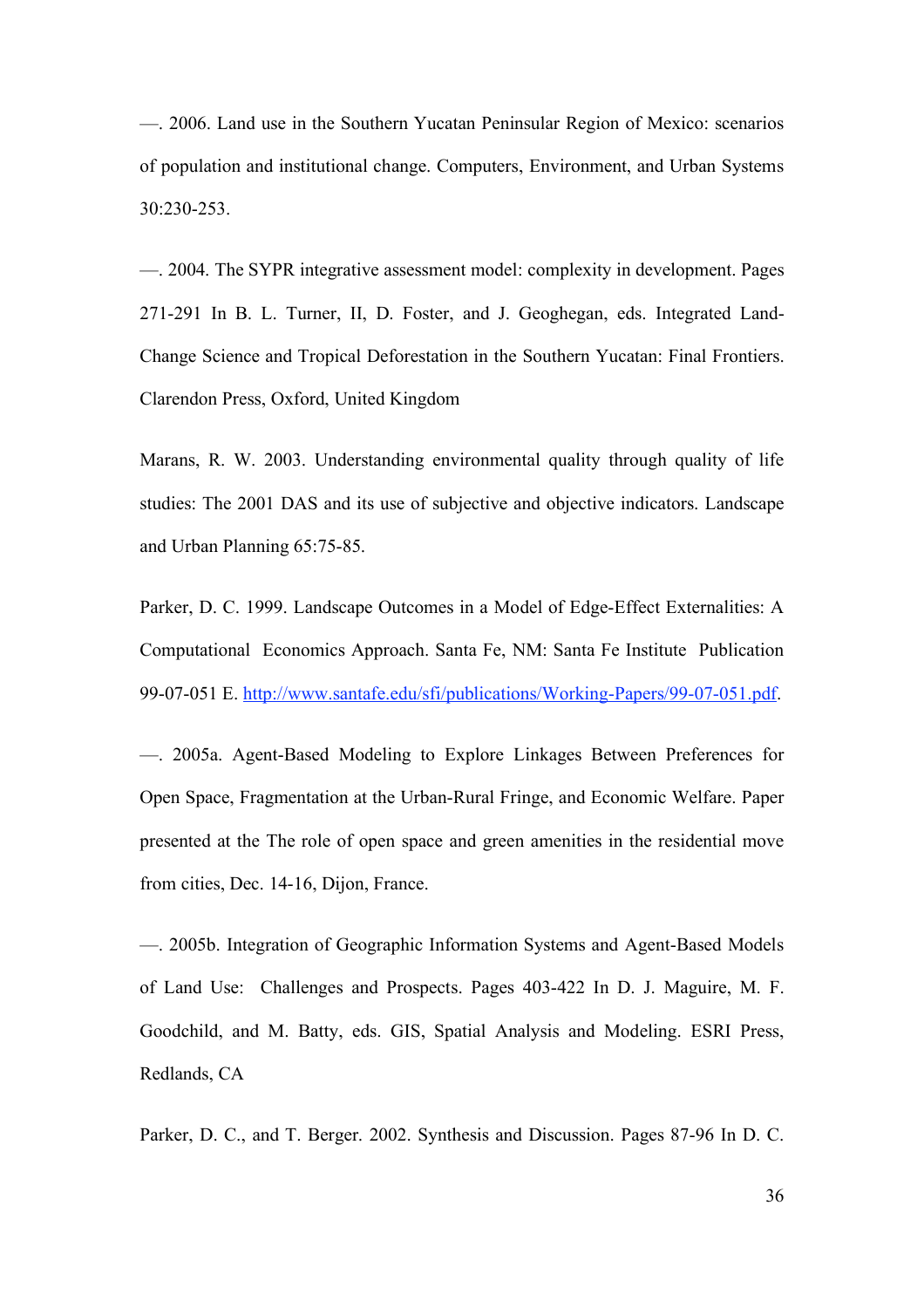—. 2006. Land use in the Southern Yucatan Peninsular Region of Mexico: scenarios of population and institutional change. Computers, Environment, and Urban Systems 30:230-253.

—. 2004. The SYPR integrative assessment model: complexity in development. Pages 271-291 In B. L. Turner, II, D. Foster, and J. Geoghegan, eds. Integrated Land-Change Science and Tropical Deforestation in the Southern Yucatan: Final Frontiers. Clarendon Press, Oxford, United Kingdom

Marans, R. W. 2003. Understanding environmental quality through quality of life studies: The 2001 DAS and its use of subjective and objective indicators. Landscape and Urban Planning 65:75-85.

Parker, D. C. 1999. Landscape Outcomes in a Model of Edge-Effect Externalities: A Computational Economics Approach. Santa Fe, NM: Santa Fe Institute Publication 99-07-051 E. http://www.santafe.edu/sfi/publications/Working-Papers/99-07-051.pdf.

—. 2005a. Agent-Based Modeling to Explore Linkages Between Preferences for Open Space, Fragmentation at the Urban-Rural Fringe, and Economic Welfare. Paper presented at the The role of open space and green amenities in the residential move from cities, Dec. 14-16, Dijon, France.

—. 2005b. Integration of Geographic Information Systems and Agent-Based Models of Land Use: Challenges and Prospects. Pages 403-422 In D. J. Maguire, M. F. Goodchild, and M. Batty, eds. GIS, Spatial Analysis and Modeling. ESRI Press, Redlands, CA

Parker, D. C., and T. Berger. 2002. Synthesis and Discussion. Pages 87-96 In D. C.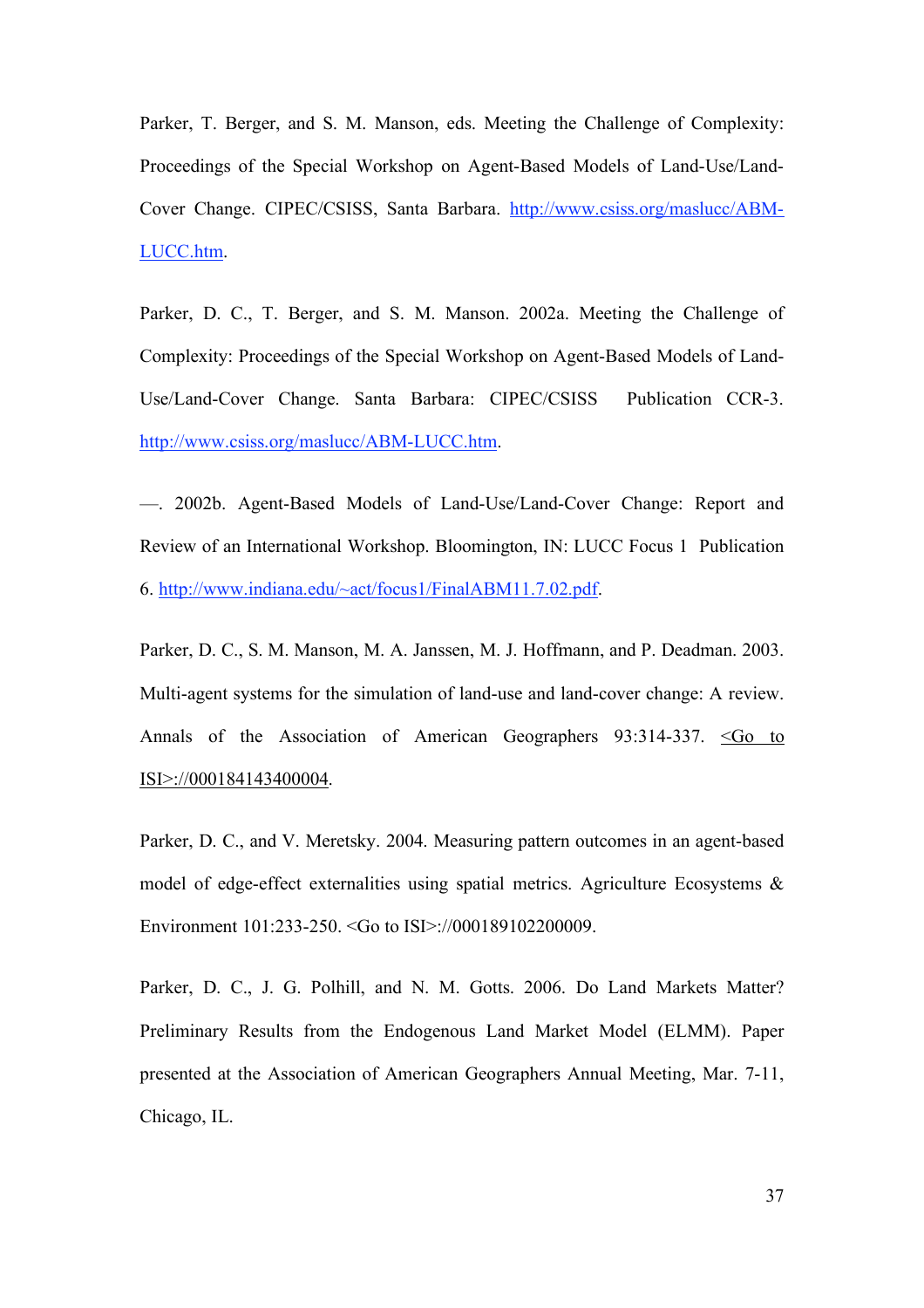Parker, T. Berger, and S. M. Manson, eds. Meeting the Challenge of Complexity: Proceedings of the Special Workshop on Agent-Based Models of Land-Use/Land-Cover Change. CIPEC/CSISS, Santa Barbara. http://www.csiss.org/maslucc/ABM-LUCC.htm.

Parker, D. C., T. Berger, and S. M. Manson. 2002a. Meeting the Challenge of Complexity: Proceedings of the Special Workshop on Agent-Based Models of Land-Use/Land-Cover Change. Santa Barbara: CIPEC/CSISS Publication CCR-3. http://www.csiss.org/maslucc/ABM-LUCC.htm.

—. 2002b. Agent-Based Models of Land-Use/Land-Cover Change: Report and Review of an International Workshop. Bloomington, IN: LUCC Focus 1 Publication 6. http://www.indiana.edu/~act/focus1/FinalABM11.7.02.pdf.

Parker, D. C., S. M. Manson, M. A. Janssen, M. J. Hoffmann, and P. Deadman. 2003. Multi-agent systems for the simulation of land-use and land-cover change: A review. Annals of the Association of American Geographers 93:314-337. <Go to ISI>://000184143400004.

Parker, D. C., and V. Meretsky. 2004. Measuring pattern outcomes in an agent-based model of edge-effect externalities using spatial metrics. Agriculture Ecosystems & Environment 101:233-250. <Go to ISI>://000189102200009.

Parker, D. C., J. G. Polhill, and N. M. Gotts. 2006. Do Land Markets Matter? Preliminary Results from the Endogenous Land Market Model (ELMM). Paper presented at the Association of American Geographers Annual Meeting, Mar. 7-11, Chicago, IL.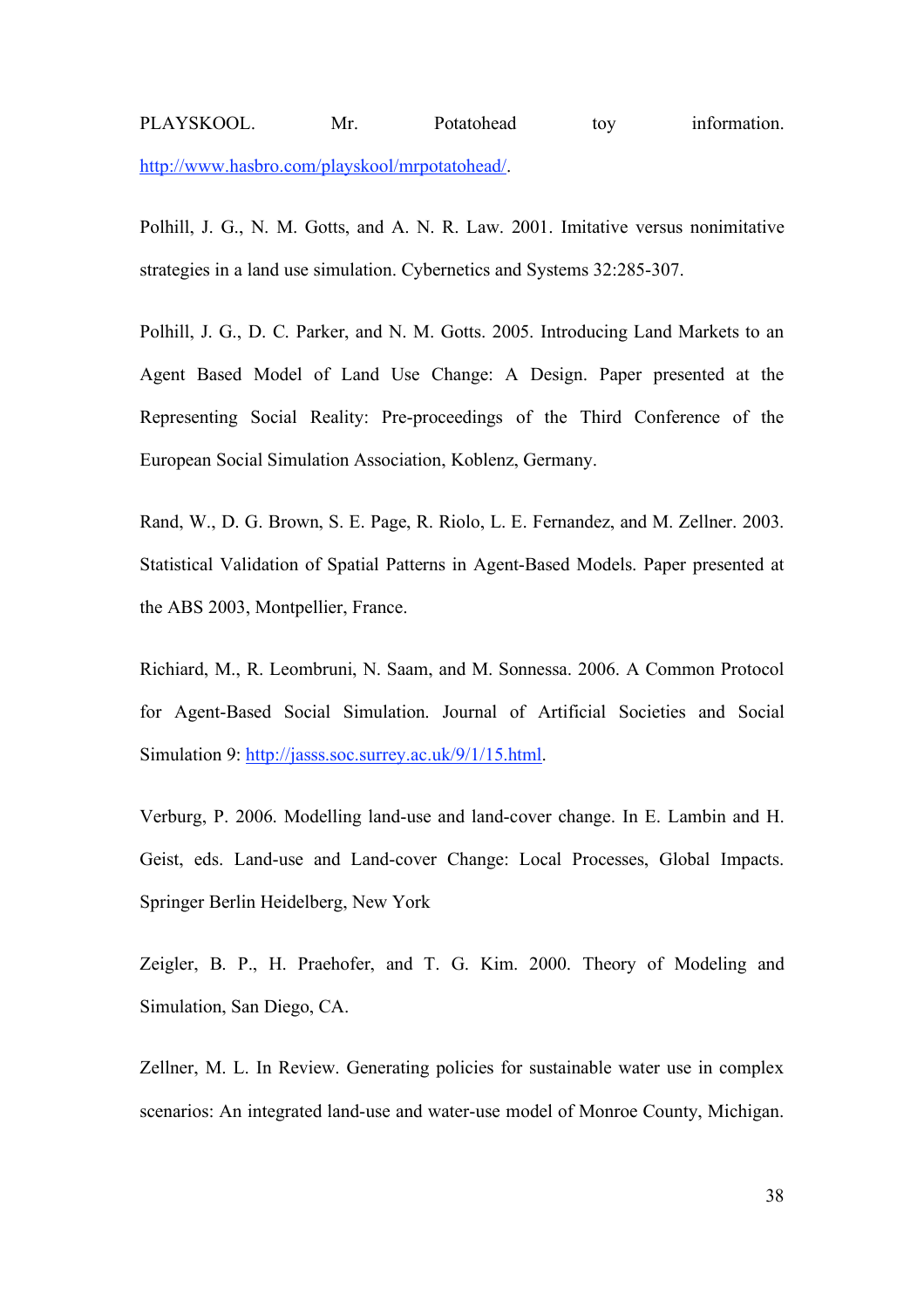# PLAYSKOOL. Mr. Potatohead toy information. http://www.hasbro.com/playskool/mrpotatohead/.

Polhill, J. G., N. M. Gotts, and A. N. R. Law. 2001. Imitative versus nonimitative strategies in a land use simulation. Cybernetics and Systems 32:285-307.

Polhill, J. G., D. C. Parker, and N. M. Gotts. 2005. Introducing Land Markets to an Agent Based Model of Land Use Change: A Design. Paper presented at the Representing Social Reality: Pre-proceedings of the Third Conference of the European Social Simulation Association, Koblenz, Germany.

Rand, W., D. G. Brown, S. E. Page, R. Riolo, L. E. Fernandez, and M. Zellner. 2003. Statistical Validation of Spatial Patterns in Agent-Based Models. Paper presented at the ABS 2003, Montpellier, France.

Richiard, M., R. Leombruni, N. Saam, and M. Sonnessa. 2006. A Common Protocol for Agent-Based Social Simulation. Journal of Artificial Societies and Social Simulation 9: http://jasss.soc.surrey.ac.uk/9/1/15.html.

Verburg, P. 2006. Modelling land-use and land-cover change. In E. Lambin and H. Geist, eds. Land-use and Land-cover Change: Local Processes, Global Impacts. Springer Berlin Heidelberg, New York

Zeigler, B. P., H. Praehofer, and T. G. Kim. 2000. Theory of Modeling and Simulation, San Diego, CA.

Zellner, M. L. In Review. Generating policies for sustainable water use in complex scenarios: An integrated land-use and water-use model of Monroe County, Michigan.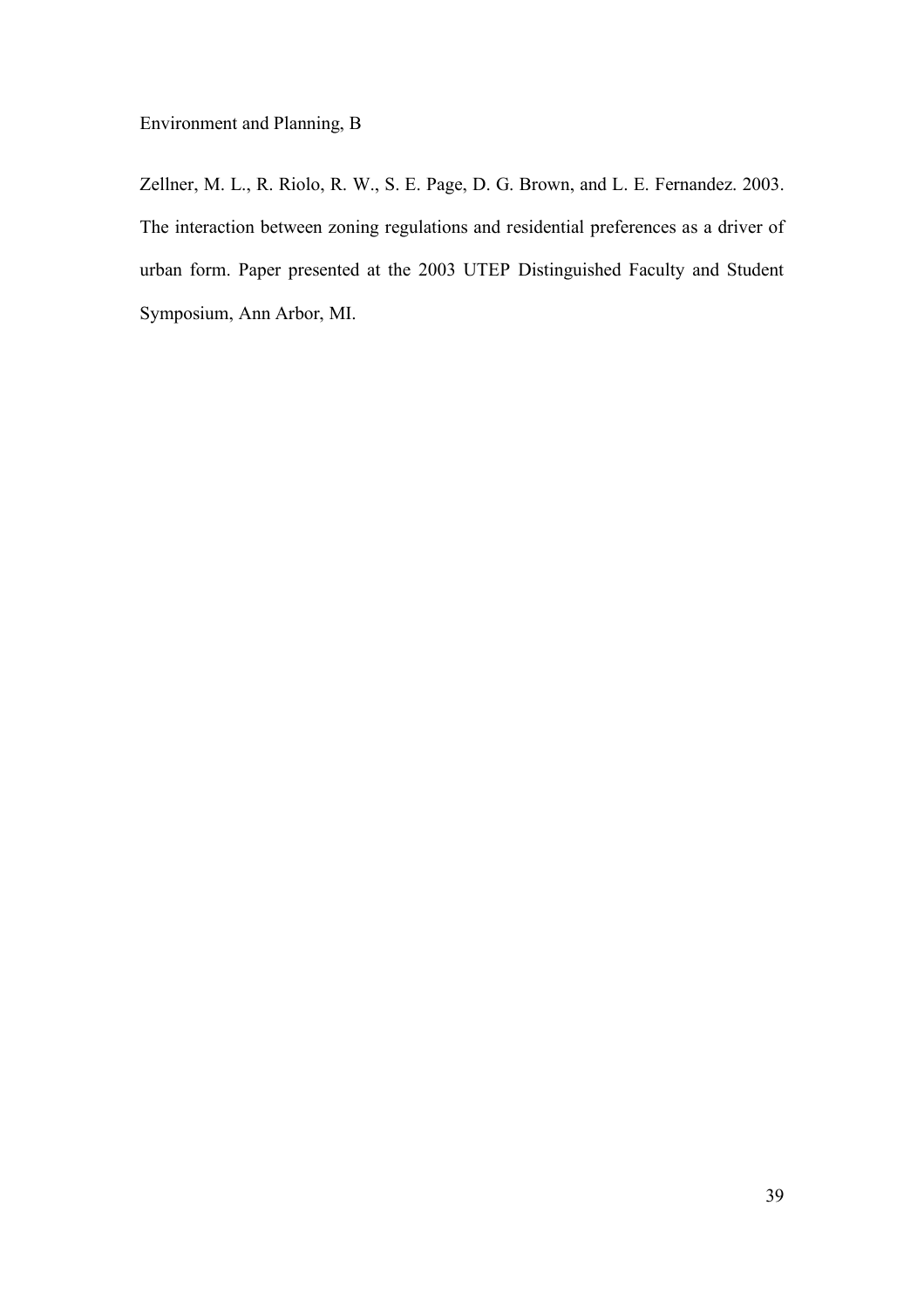Environment and Planning, B

Zellner, M. L., R. Riolo, R. W., S. E. Page, D. G. Brown, and L. E. Fernandez. 2003. The interaction between zoning regulations and residential preferences as a driver of urban form. Paper presented at the 2003 UTEP Distinguished Faculty and Student Symposium, Ann Arbor, MI.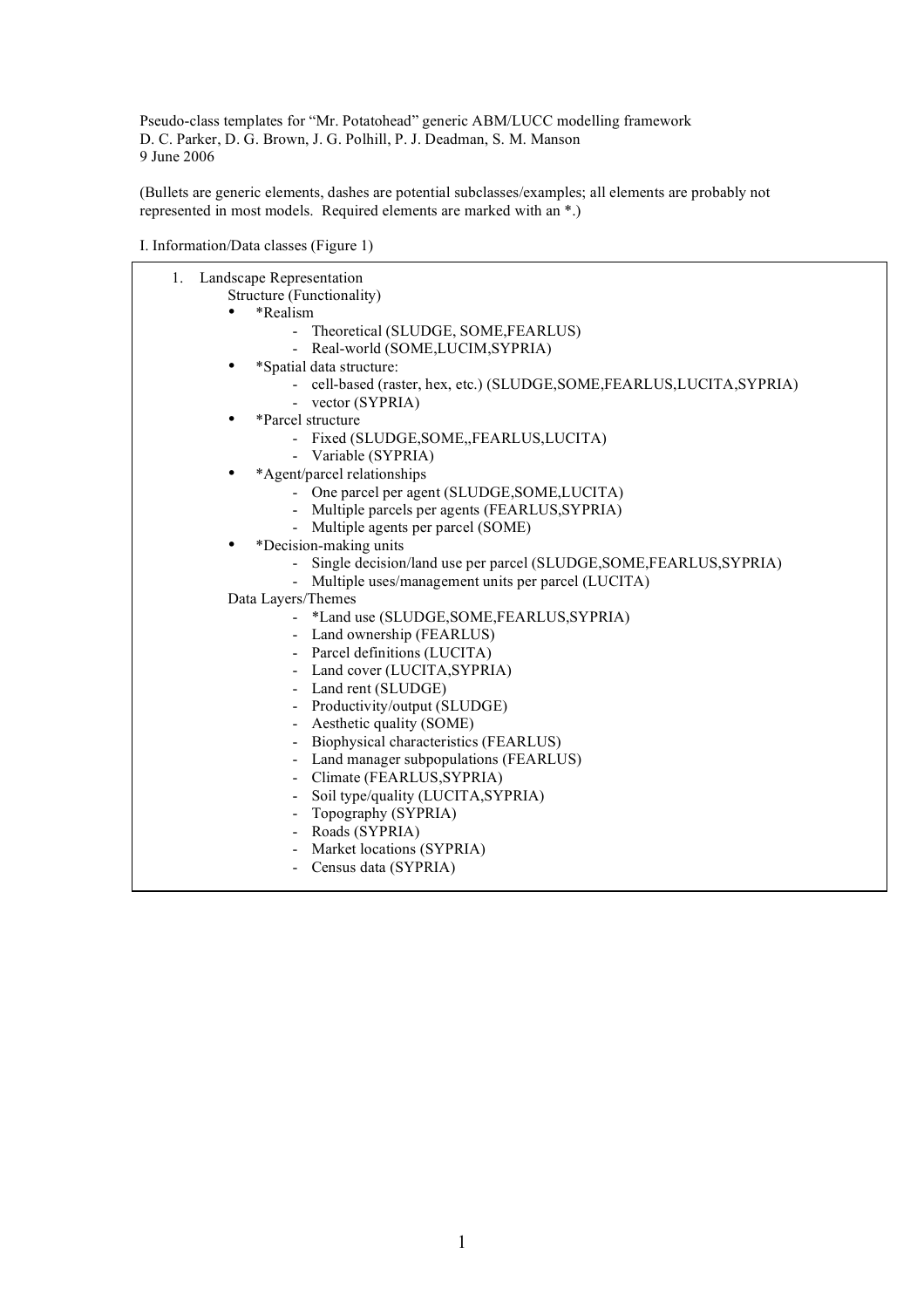Pseudo-class templates for "Mr. Potatohead" generic ABM/LUCC modelling framework D. C. Parker, D. G. Brown, J. G. Polhill, P. J. Deadman, S. M. Manson 9 June 2006

(Bullets are generic elements, dashes are potential subclasses/examples; all elements are probably not represented in most models. Required elements are marked with an \*.)

I. Information/Data classes (Figure 1)

| $1_{\cdot}$ | Landscape Representation                                                 |
|-------------|--------------------------------------------------------------------------|
|             | Structure (Functionality)                                                |
|             | *Realism                                                                 |
|             | - Theoretical (SLUDGE, SOME, FEARLUS)                                    |
|             | - Real-world (SOME, LUCIM, SYPRIA)                                       |
|             | *Spatial data structure:                                                 |
|             | - cell-based (raster, hex, etc.) (SLUDGE, SOME, FEARLUS, LUCITA, SYPRIA) |
|             | - vector (SYPRIA)                                                        |
|             | *Parcel structure                                                        |
|             | - Fixed (SLUDGE, SOME, FEARLUS, LUCITA)                                  |
|             | - Variable (SYPRIA)                                                      |
|             | *Agent/parcel relationships                                              |
|             | - One parcel per agent (SLUDGE, SOME, LUCITA)                            |
|             | - Multiple parcels per agents (FEARLUS, SYPRIA)                          |
|             | - Multiple agents per parcel (SOME)                                      |
|             | *Decision-making units                                                   |
|             | Single decision/land use per parcel (SLUDGE, SOME, FEARLUS, SYPRIA)      |
|             | Multiple uses/management units per parcel (LUCITA)                       |
|             | Data Layers/Themes                                                       |
|             | - *Land use (SLUDGE, SOME, FEARLUS, SYPRIA)                              |
|             | - Land ownership (FEARLUS)                                               |
|             | - Parcel definitions (LUCITA)                                            |
|             | Land cover (LUCITA, SYPRIA)                                              |
|             | - Land rent (SLUDGE)                                                     |
|             | Productivity/output (SLUDGE)                                             |
|             | Aesthetic quality (SOME)                                                 |
|             | Biophysical characteristics (FEARLUS)                                    |
|             | Land manager subpopulations (FEARLUS)                                    |
|             | - Climate (FEARLUS, SYPRIA)                                              |
|             | Soil type/quality (LUCITA, SYPRIA)                                       |
|             | Topography (SYPRIA)                                                      |
|             | Roads (SYPRIA)                                                           |
|             | Market locations (SYPRIA)                                                |
|             | Census data (SYPRIA)                                                     |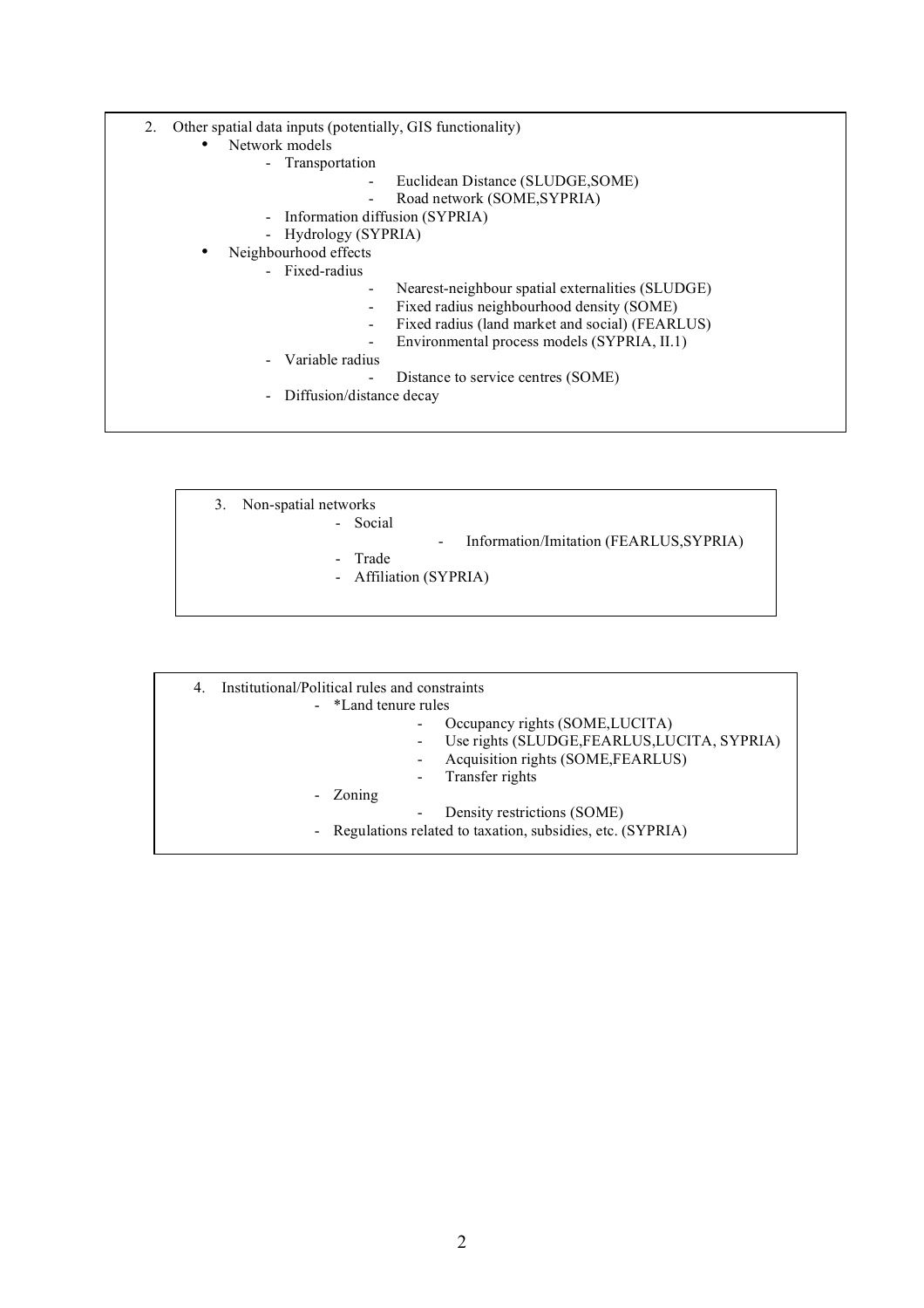- 2. Other spatial data inputs (potentially, GIS functionality)
	- Network models
		- Transportation
			- Euclidean Distance (SLUDGE,SOME)
			- Road network (SOME, SYPRIA)
		- Information diffusion (SYPRIA)
		- Hydrology (SYPRIA)
		- Neighbourhood effects
			- Fixed-radius
- Nearest-neighbour spatial externalities (SLUDGE)
- Fixed radius neighbourhood density (SOME)
- Fixed radius (land market and social) (FEARLUS)
- Environmental process models (SYPRIA, II.1)
- Variable radius
	- Distance to service centres (SOME)
- Diffusion/distance decay
- 3. Non-spatial networks
	- Social
- Information/Imitation (FEARLUS,SYPRIA)
- Trade
- Affiliation (SYPRIA)
- 4. Institutional/Political rules and constraints - \*Land tenure rules Occupancy rights (SOME, LUCITA) - Use rights (SLUDGE,FEARLUS,LUCITA, SYPRIA) - Acquisition rights (SOME,FEARLUS) Transfer rights - Zoning Density restrictions (SOME) - Regulations related to taxation, subsidies, etc. (SYPRIA)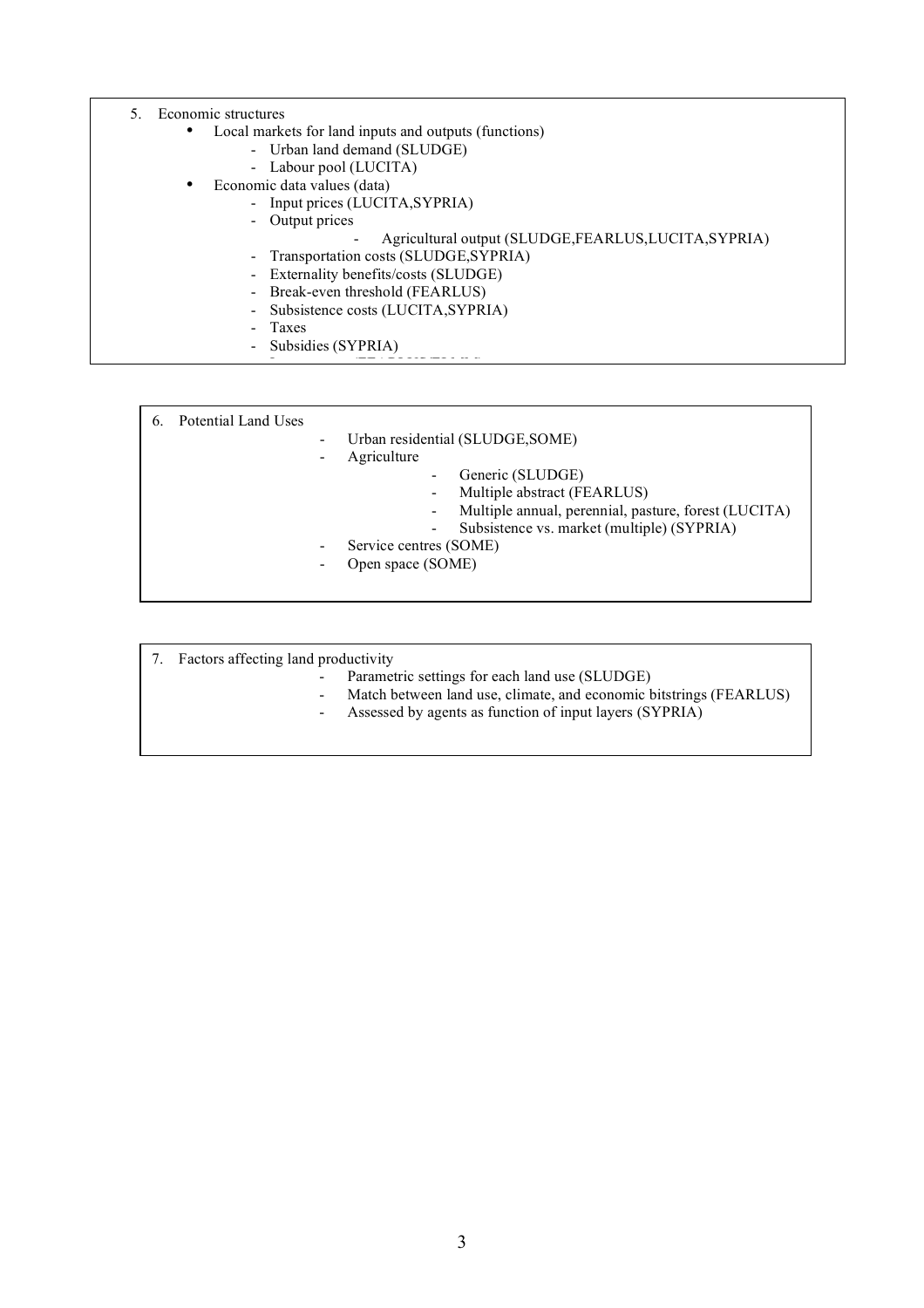- 5. Economic structures
	- Local markets for land inputs and outputs (functions)
		- Urban land demand (SLUDGE)
		- Labour pool (LUCITA)
		- Economic data values (data)
			- Input prices (LUCITA, SYPRIA)
				- Output prices
					- Agricultural output (SLUDGE,FEARLUS,LUCITA,SYPRIA)
				- Transportation costs (SLUDGE, SYPRIA)
				- Externality benefits/costs (SLUDGE)
				- Break-even threshold (FEARLUS)

- Interest rates (FEARLUS) in the second control of the second control of the second control of the second control of the second control of the second control of the second control of the second control of the second contr

- Subsistence costs (LUCITA,SYPRIA)
- **Taxes**
- Subsidies (SYPRIA)

| Service centres (SOME)<br>Open space (SOME) |
|---------------------------------------------|
|---------------------------------------------|

- 7. Factors affecting land productivity
	- Parametric settings for each land use (SLUDGE)
	- Match between land use, climate, and economic bitstrings (FEARLUS)
	- Assessed by agents as function of input layers (SYPRIA)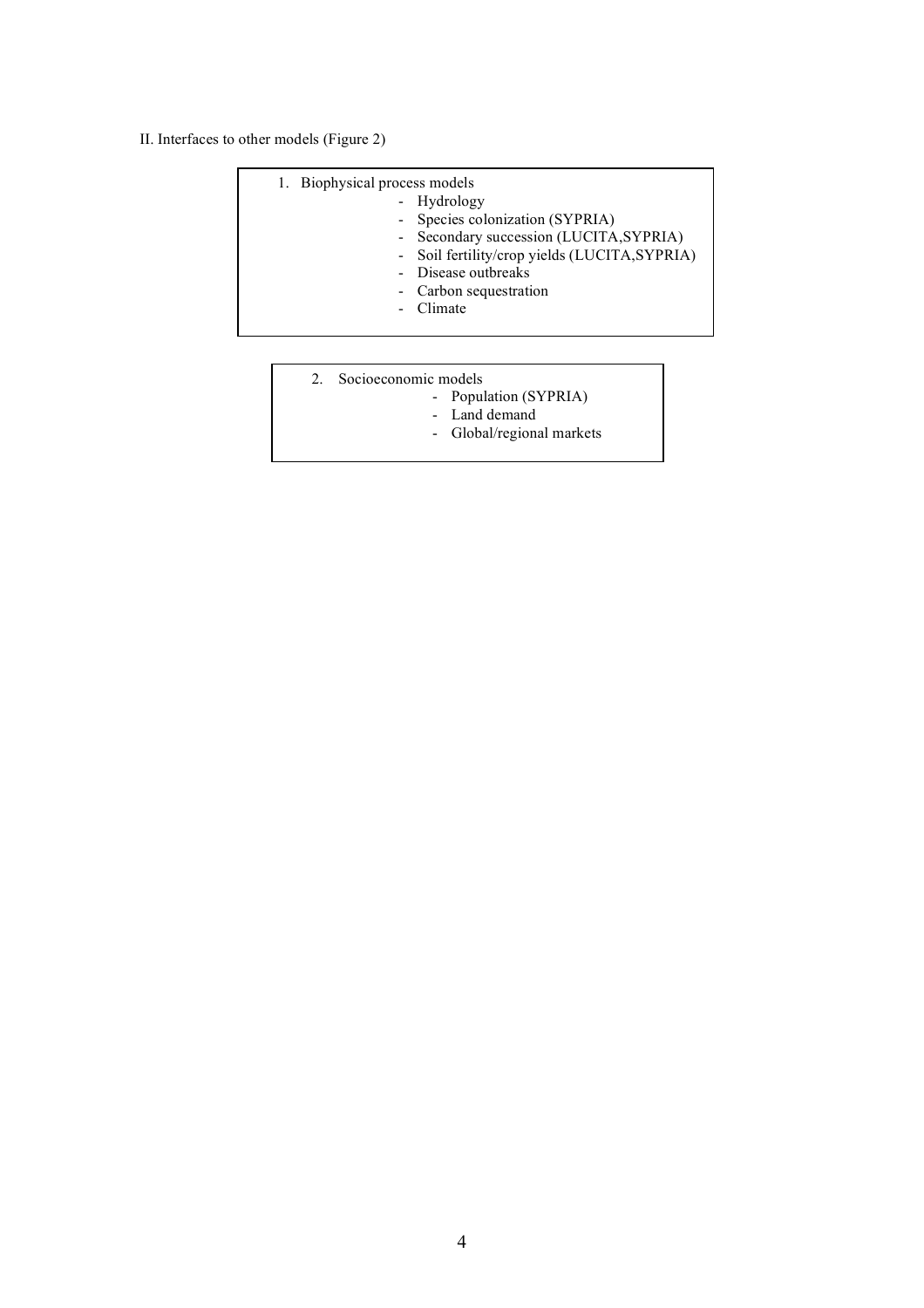II. Interfaces to other models (Figure 2)

| 1. Biophysical process models<br>- Hydrology<br>- Species colonization (SYPRIA)<br>- Secondary succession (LUCITA, SYPRIA)<br>- Soil fertility/crop yields (LUCITA, SYPRIA)<br>- Disease outbreaks<br>- Carbon sequestration<br>- Climate |
|-------------------------------------------------------------------------------------------------------------------------------------------------------------------------------------------------------------------------------------------|
|                                                                                                                                                                                                                                           |

- 2. Socioeconomic models
	- Population (SYPRIA)
	- Land demand
	- Global/regional markets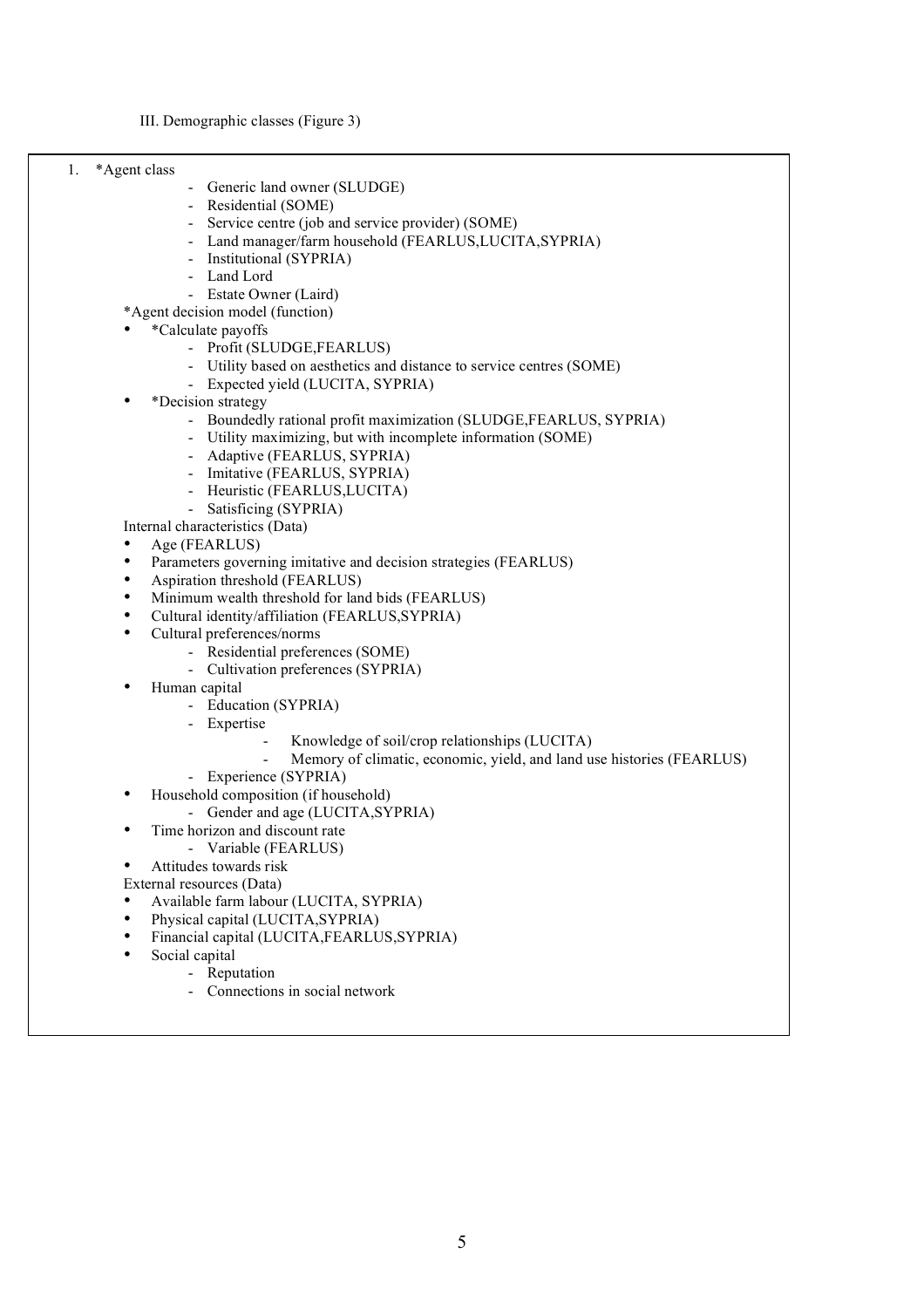III. Demographic classes (Figure 3)

1. \*Agent class

- Generic land owner (SLUDGE)
- Residential (SOME)
- Service centre (job and service provider) (SOME)
- Land manager/farm household (FEARLUS,LUCITA,SYPRIA)
- Institutional (SYPRIA)
- Land Lord
- Estate Owner (Laird)

\*Agent decision model (function)

- \*Calculate payoffs
	- Profit (SLUDGE,FEARLUS)
	- Utility based on aesthetics and distance to service centres (SOME)
	- Expected yield (LUCITA, SYPRIA)
- \*Decision strategy
	- Boundedly rational profit maximization (SLUDGE,FEARLUS, SYPRIA)
	- Utility maximizing, but with incomplete information (SOME)
	- Adaptive (FEARLUS, SYPRIA)
	- Imitative (FEARLUS, SYPRIA)
	- Heuristic (FEARLUS,LUCITA)
	- Satisficing (SYPRIA)

Internal characteristics (Data)

- Age (FEARLUS)
- Parameters governing imitative and decision strategies (FEARLUS)
- Aspiration threshold (FEARLUS)
- Minimum wealth threshold for land bids (FEARLUS)
- Cultural identity/affiliation (FEARLUS,SYPRIA)
- Cultural preferences/norms
	- Residential preferences (SOME)
	- Cultivation preferences (SYPRIA)
- Human capital
	- Education (SYPRIA)
	- Expertise
		- Knowledge of soil/crop relationships (LUCITA)
		- Memory of climatic, economic, yield, and land use histories (FEARLUS)
	- Experience (SYPRIA)
- Household composition (if household)
- Gender and age (LUCITA,SYPRIA)
	- Time horizon and discount rate
		- Variable (FEARLUS)
- Attitudes towards risk
- External resources (Data)
- Available farm labour (LUCITA, SYPRIA)
- Physical capital (LUCITA,SYPRIA)
- Financial capital (LUCITA,FEARLUS,SYPRIA)
- Social capital
	- **Reputation**
	- Connections in social network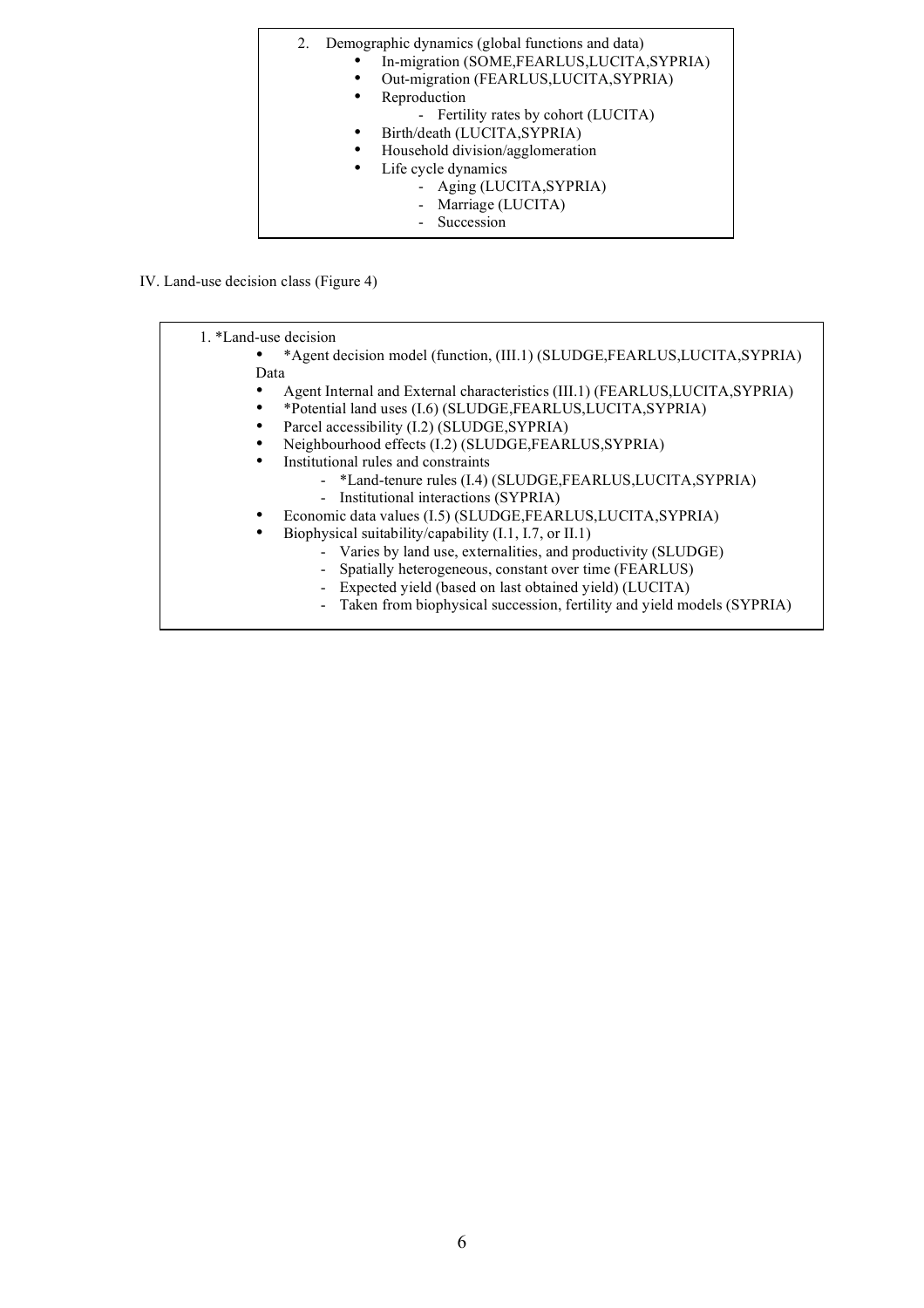| Demographic dynamics (global functions and data)<br>2. |
|--------------------------------------------------------|
| In-migration (SOME,FEARLUS,LUCITA,SYPRIA)              |
| Out-migration (FEARLUS, LUCITA, SYPRIA)                |
| Reproduction<br>$\bullet$                              |
| - Fertility rates by cohort (LUCITA)                   |
| Birth/death (LUCITA, SYPRIA)<br>$\bullet$              |
| Household division/agglomeration<br>٠                  |
| Life cycle dynamics<br>$\bullet$                       |
| - Aging (LUCITA, SYPRIA)                               |
| - Marriage (LUCITA)                                    |
| - Succession                                           |

IV. Land-use decision class (Figure 4)

| 1. *Land-use decision |                                                                               |
|-----------------------|-------------------------------------------------------------------------------|
|                       | *Agent decision model (function, (III.1) (SLUDGE, FEARLUS, LUCITA, SYPRIA)    |
| Data                  |                                                                               |
|                       | Agent Internal and External characteristics (III.1) (FEARLUS, LUCITA, SYPRIA) |
|                       | *Potential land uses (I.6) (SLUDGE, FEARLUS, LUCITA, SYPRIA)                  |
|                       | Parcel accessibility (I.2) (SLUDGE, SYPRIA)                                   |
|                       | Neighbourhood effects (I.2) (SLUDGE,FEARLUS,SYPRIA)                           |
| ٠                     | Institutional rules and constraints                                           |
|                       | - *Land-tenure rules (I.4) (SLUDGE,FEARLUS,LUCITA,SYPRIA)                     |
|                       | - Institutional interactions (SYPRIA)                                         |
|                       | Economic data values (I.5) (SLUDGE,FEARLUS,LUCITA,SYPRIA)                     |
| $\bullet$             | Biophysical suitability/capability (I.1, I.7, or II.1)                        |
|                       | - Varies by land use, externalities, and productivity (SLUDGE)                |
|                       | Spatially heterogeneous, constant over time (FEARLUS)<br>$\sim$               |
|                       | Expected yield (based on last obtained yield) (LUCITA)                        |

- Taken from biophysical succession, fertility and yield models (SYPRIA)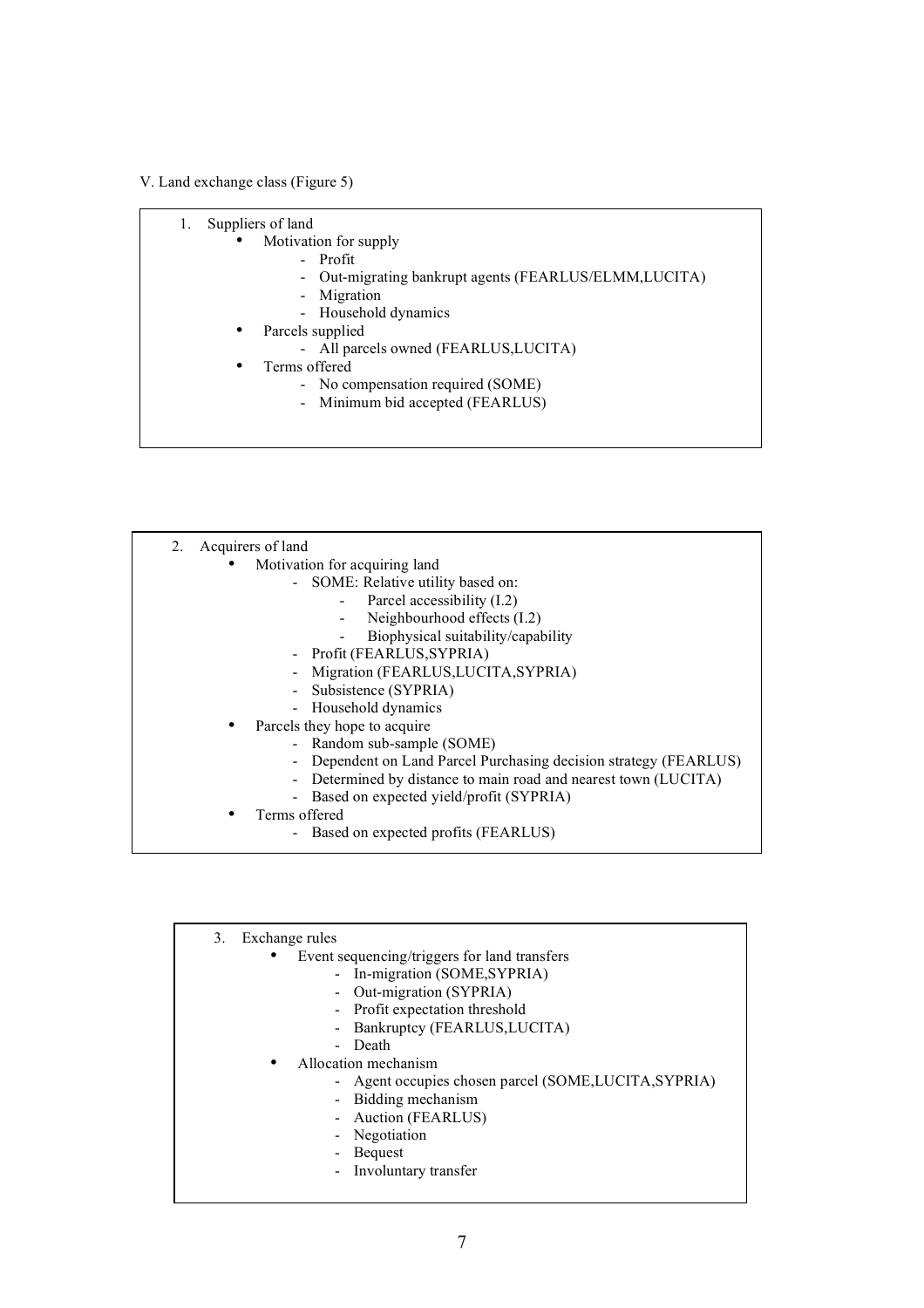## V. Land exchange class (Figure 5)

- Motivation for supply
	- Profit
	- Out-migrating bankrupt agents (FEARLUS/ELMM,LUCITA)
	- Migration
	- Household dynamics
- Parcels supplied
	- All parcels owned (FEARLUS, LUCITA)
- Terms offered
	- No compensation required (SOME)
	- Minimum bid accepted (FEARLUS)

| 2. Acquirers of land                                              |
|-------------------------------------------------------------------|
| Motivation for acquiring land                                     |
| - SOME: Relative utility based on:                                |
| - Parcel accessibility $(I.2)$                                    |
| Neighbourhood effects (I.2)                                       |
| Biophysical suitability/capability                                |
| - Profit (FEARLUS, SYPRIA)                                        |
| Migration (FEARLUS, LUCITA, SYPRIA)                               |
| - Subsistence (SYPRIA)                                            |
| - Household dynamics                                              |
| Parcels they hope to acquire                                      |
| - Random sub-sample (SOME)                                        |
| - Dependent on Land Parcel Purchasing decision strategy (FEARLUS) |
| - Determined by distance to main road and nearest town (LUCITA)   |
| - Based on expected yield/profit (SYPRIA)                         |
| Terms offered                                                     |

- Based on expected profits (FEARLUS)